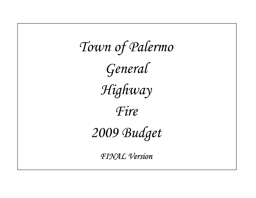*Town of Palermo General Highway Fire 2009 Budget FINAL Version*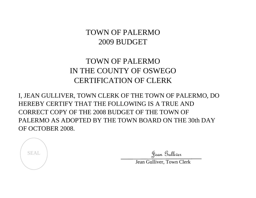# TOWN OF PALERMO2009 BUDGET

# TOWN OF PALERMOIN THE COUNTY OF OSWEGOCERTIFICATION OF CLERK

I, JEAN GULLIVER, TOWN CLERK OF THE TOWN OF PALERMO, DO HEREBY CERTIFY THAT THE FOLLOWING IS A TRUE AND CORRECT COPY OF THE 2008 BUDGET OF THE TOWN OF PALERMO AS ADOPTED BY THE TOWN BOARD ON THE 30th DAY OF OCTOBER 2008.



SEAL Julie Sean Gulliver

Jean Gulliver, Town Clerk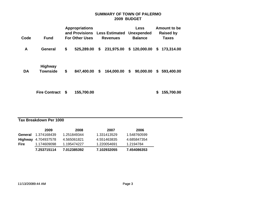# **SUMMARY OF TOWN OF PALERMO 2009 BUDGET**

| Code | <b>Fund</b>                       | <b>Appropriations</b><br>and Provisions<br><b>For Other Uses</b> |            |  | <b>Less Estimated Unexpended</b><br><b>Revenues</b> | <b>Less</b><br><b>Balance</b> | Amount to be<br><b>Raised by</b><br><b>Taxes</b> |
|------|-----------------------------------|------------------------------------------------------------------|------------|--|-----------------------------------------------------|-------------------------------|--------------------------------------------------|
| A    | <b>General</b>                    | \$                                                               |            |  | 525,289.00 \$ 231,975.00 \$ 120,000.00              |                               | \$173,314.00                                     |
| DA   | <b>Highway</b><br><b>Townside</b> | \$                                                               | 847,400.00 |  | $$164,000.00$$ \$ 90,000.00                         |                               | \$593,400.00                                     |
|      | <b>Fire Contract</b>              | \$                                                               | 155,700.00 |  |                                                     |                               | \$<br>155,700.00                                 |
|      | Tax Breakdown Per 1000            |                                                                  |            |  |                                                     |                               |                                                  |

# Tax Breakdown Per 1000

|             | 2009                       | 2008        | 2007        | 2006        |
|-------------|----------------------------|-------------|-------------|-------------|
| General     | 1.374168439                | 1.251849344 | 1.331413529 | 1.548760599 |
|             | <b>Highway</b> 4.704937578 | 4.565061821 | 4.551463835 | 4.685847354 |
| <b>Fire</b> | 1.174609098                | 1.195474227 | 1.220054691 | 1.2194784   |
|             | 7.253715114                | 7.012385392 | 7.102932055 | 7.454086353 |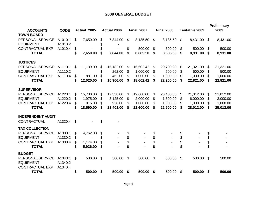|                                                                |                               |                 |          |                    |    |                   |    |                   |                       |                       | <b>Preliminary</b> |
|----------------------------------------------------------------|-------------------------------|-----------------|----------|--------------------|----|-------------------|----|-------------------|-----------------------|-----------------------|--------------------|
| <b>ACCOUNTS</b><br><b>TOWN BOARD</b>                           | <b>CODE</b>                   | Actual 2005     |          | <b>Actual 2006</b> |    | <b>Final 2007</b> |    | <b>Final 2008</b> | <b>Tentative 2009</b> |                       | 2009               |
| PERSONAL SERVICE<br><b>EQUIPMENT</b>                           | A1010.1<br>A1010.2            | \$<br>7,650.00  | \$<br>\$ | 7,844.00           | \$ | 8,185.50          | \$ | 8,185.50          | \$<br>8,431.00        | -\$                   | 8,431.00           |
| <b>CONTRACTUAL EXP</b>                                         | A1010.4                       | \$              |          |                    | \$ | 500.00            | \$ | 500.00            | \$<br>500.00          | \$                    | 500.00             |
| <b>TOTAL</b>                                                   |                               | \$<br>7,650.00  | \$       | 7,844.00           | \$ | 8,685.50          | \$ | 8,685.50          | \$<br>8,931.00        | \$                    | 8,931.00           |
| <b>JUSTICES</b>                                                |                               |                 |          |                    |    |                   |    |                   |                       |                       |                    |
| PERSONAL SERVICE                                               | A1110.1                       | \$<br>11,139.00 | \$       | 15,182.00          | \$ | 16,602.42         | \$ | 20,700.00         | \$<br>21,321.00       | \$                    | 21,321.00          |
| <b>EQUIPMENT</b>                                               | A1110.2                       |                 | \$       | 262.00             | \$ | 1,000.00          | \$ | 500.00            | \$<br>500.00          | \$                    | 500.00             |
| <b>CONTRACTUAL EXP</b>                                         | A1110.4                       | \$<br>881.00    | \$       | 462.00             | \$ | 1,000.00          | \$ | 1,000.00          | \$<br>1,000.00        | \$                    | 1,000.00           |
| <b>TOTAL</b>                                                   |                               | \$<br>12,020.00 | \$       | 15,906.00          | S  | 18,602.42         | S  | 22,200.00         | \$<br>22,821.00       | S                     | 22,821.00          |
| <b>SUPERVISOR</b>                                              |                               |                 |          |                    |    |                   |    |                   |                       |                       |                    |
| PERSONAL SERVICE                                               | A1220.1                       | \$<br>15,700.00 | \$       | 17,338.00          | \$ | 19,600.00         | \$ | 20,400.00         | \$<br>21,012.00       | \$                    | 21,012.00          |
| <b>EQUIPMENT</b>                                               | A1220.2                       | \$<br>1,975.00  | S        | 3,125.00           | \$ | 2,000.00          | \$ | 1,500.00          | \$<br>6,000.00        | \$                    | 3,000.00           |
| <b>CONTRACTUAL EXP</b>                                         | A1220.4                       | \$<br>915.00    | \$       | 938.00             | \$ | 1,000.00          | \$ | 1,000.00          | \$<br>1,000.00        | \$                    | 1,000.00           |
| <b>TOTAL</b>                                                   |                               | \$<br>18,590.00 | \$       | 21,401.00          | S  | 22,600.00         | \$ | 22,900.00         | \$<br>28,012.00       | \$                    | 25,012.00          |
| <b>INDEPENDENT AUDIT</b>                                       |                               |                 |          |                    |    |                   |    |                   |                       |                       |                    |
| CONTRACTUAL                                                    | A1320.4 \$                    |                 | S        |                    |    |                   |    |                   |                       |                       |                    |
| <b>TAX COLLECTION</b>                                          |                               |                 |          |                    |    |                   |    |                   |                       |                       |                    |
| PERSONAL SERVICE                                               | A1330.1                       | \$<br>4,762.00  | \$       |                    | \$ |                   | \$ |                   | \$                    | \$                    |                    |
| <b>EQUIPMENT</b>                                               | A1330.2                       | \$              | \$       |                    | \$ |                   | \$ |                   | \$                    | $\boldsymbol{\theta}$ |                    |
| <b>CONTRACTUAL EXP</b>                                         | A1330.4                       | \$<br>1,174.00  | \$       |                    | \$ |                   | \$ |                   | \$                    | \$                    |                    |
| <b>TOTAL</b>                                                   |                               | \$<br>5,936.00  | \$       |                    | \$ |                   | \$ |                   | \$                    | \$                    |                    |
| <b>BUDGET</b>                                                  |                               |                 |          |                    |    |                   |    |                   |                       |                       |                    |
| PERSONAL SERVICE<br><b>EQUIPMENT</b><br><b>CONTRACTUAL EXP</b> | A1340.1<br>A1340.2<br>A1340.4 | \$<br>500.00    | \$       | 500.00             | \$ | 500.00            | \$ | 500.00            | \$<br>500.00          | \$                    | 500.00             |
| <b>TOTAL</b>                                                   |                               | \$<br>500.00    | \$       | 500.00             | \$ | 500.00            | \$ | 500.00            | \$<br>500.00          | \$                    | 500.00             |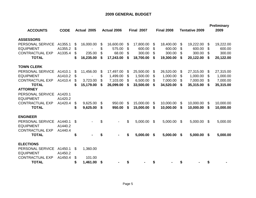| <b>ACCOUNTS</b>        | <b>CODE</b> | Actual 2005     |    | <b>Actual 2006</b> |    | <b>Final 2007</b> |    | <b>Final 2008</b> |     | <b>Tentative 2009</b> |     | <b>Preliminary</b><br>2009 |
|------------------------|-------------|-----------------|----|--------------------|----|-------------------|----|-------------------|-----|-----------------------|-----|----------------------------|
|                        |             |                 |    |                    |    |                   |    |                   |     |                       |     |                            |
| <b>ASSESSORS</b>       |             |                 |    |                    |    |                   |    |                   |     |                       |     |                            |
| PERSONAL SERVICE       | A1355.1     | \$<br>16,000.00 | \$ | 16,600.00          | \$ | 17,800.00         | \$ | 18,400.00         | \$  | 19,222.00             | \$  | 19,222.00                  |
| <b>EQUIPMENT</b>       | A1355.2     | \$              | \$ | 575.00             | \$ | 600.00            | \$ | 600.00            | \$. | 600.00                | \$  | 600.00                     |
| <b>CONTRACTUAL EXP</b> | A1335.4     | \$<br>235.00    | \$ | 68.00              | S  | 300.00            | \$ | 300.00            | \$. | 300.00                | \$  | 300.00                     |
| <b>TOTAL</b>           |             | \$<br>16,235.00 | S  | 17,243.00          | S  | 18,700.00         | \$ | 19,300.00         | \$  | 20,122.00             | \$  | 20,122.00                  |
| <b>TOWN CLERK</b>      |             |                 |    |                    |    |                   |    |                   |     |                       |     |                            |
| PERSONAL SERVICE       | A1410.1     | \$<br>11,456.00 | \$ | 17,497.00          | \$ | 25,500.00         | \$ | 26,520.00         | \$  | 27,315.00             | \$. | 27,315.00                  |
| <b>EQUIPMENT</b>       | A1410.2     | \$              | \$ | 1,499.00           | \$ | 1,500.00          | \$ | 1,000.00          | S   | 1,000.00              | \$. | 1,000.00                   |
| <b>CONTRACTUAL EXP</b> | A1410.4     | \$<br>3,723.00  | \$ | 7,103.00           | \$ | 6,500.00          | \$ | 7,000.00          | S   | 7,000.00              | \$  | 7,000.00                   |
| <b>TOTAL</b>           |             | \$<br>15,179.00 | \$ | 26,099.00          | \$ | 33,500.00         | \$ | 34,520.00         | \$  | 35,315.00             | \$  | 35,315.00                  |
| <b>ATTORNEY</b>        |             |                 |    |                    |    |                   |    |                   |     |                       |     |                            |
| PERSONAL SERVICE       | A1420.1     |                 |    |                    |    |                   |    |                   |     |                       |     |                            |
| <b>EQUIPMENT</b>       | A1420.2     |                 |    |                    |    |                   |    |                   |     |                       |     |                            |
| <b>CONTRACTUAL EXP</b> | A1420.4     | \$<br>9,625.00  | \$ | 950.00             | \$ | 15,000.00         | \$ | 10,000.00         | \$  | 10,000.00             | \$  | 10,000.00                  |
| <b>TOTAL</b>           |             | \$<br>9,625.00  | \$ | 950.00             | S  | 15,000.00         | S  | 10,000.00         | \$  | 10,000.00             | \$  | 10,000.00                  |
| <b>ENGINEER</b>        |             |                 |    |                    |    |                   |    |                   |     |                       |     |                            |
| PERSONAL SERVICE       | A1440.1     | \$              | \$ |                    | \$ | 5,000.00          | \$ | 5,000.00          | -\$ | 5,000.00              | \$  | 5,000.00                   |
| <b>EQUIPMENT</b>       | A1440.2     |                 |    |                    |    |                   |    |                   |     |                       |     |                            |
| <b>CONTRACTUAL EXP</b> | A1440.4     |                 |    |                    |    |                   |    |                   |     |                       |     |                            |
| <b>TOTAL</b>           |             | \$              | \$ |                    | \$ | 5,000.00          | \$ | 5,000.00          | \$  | 5,000.00              | \$  | 5,000.00                   |
| <b>ELECTIONS</b>       |             |                 |    |                    |    |                   |    |                   |     |                       |     |                            |
| PERSONAL SERVICE       | A1450.1     | \$<br>1,360.00  |    |                    |    |                   |    |                   |     |                       |     |                            |
| <b>EQUIPMENT</b>       | A1450.2     |                 |    |                    |    |                   |    |                   |     |                       |     |                            |
| <b>CONTRACTUAL EXP</b> | A1450.4     | \$<br>101.00    |    |                    |    |                   |    |                   |     |                       |     |                            |
| <b>TOTAL</b>           |             | \$<br>1,461.00  | \$ |                    | S  |                   |    |                   |     |                       | S   |                            |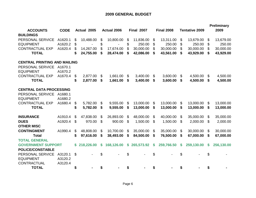|                                      |                    |    |             |    |                    |    |                   |    |                   |                       |    | <b>Preliminary</b> |
|--------------------------------------|--------------------|----|-------------|----|--------------------|----|-------------------|----|-------------------|-----------------------|----|--------------------|
| <b>ACCOUNTS</b>                      | <b>CODE</b>        |    | Actual 2005 |    | <b>Actual 2006</b> |    | <b>Final 2007</b> |    | <b>Final 2008</b> | <b>Tentative 2009</b> |    | 2009               |
| <b>BUILDINGS</b><br>PERSONAL SERVICE | A1620.1            | \$ | 10,488.00   | \$ | 10,800.00          | \$ | 11,836.00         | \$ | 13,311.00         | \$<br>13,679.00       | \$ | 13,679.00          |
| <b>EQUIPMENT</b>                     | A1620.2            | \$ |             | \$ |                    | \$ | 250.00            | \$ | 250.00            | \$<br>250.00          | \$ | 250.00             |
| <b>CONTRACTUAL EXP</b>               | A1620.4            | \$ | 14,267.00   | \$ | 17,674.00          | \$ | 30,000.00         | \$ | 30,000.00         | \$<br>30,000.00       | \$ | 30,000.00          |
| <b>TOTAL</b>                         |                    | \$ | 24,755.00   | S  | 28,474.00          | \$ | 42,086.00         | \$ | 43,561.00         | \$<br>43,929.00       | \$ | 43,929.00          |
| <b>CENTRAL PRINTING AND MAILING</b>  |                    |    |             |    |                    |    |                   |    |                   |                       |    |                    |
| PERSONAL SERVICE<br><b>EQUIPMENT</b> | A1670.1<br>A1670.2 |    |             |    |                    |    |                   |    |                   |                       |    |                    |
| <b>CONTRACTUAL EXP</b>               | A1670.4            | \$ | 2,877.00    | \$ | 1,661.00           | \$ | 3,400.00          | \$ | 3,600.00          | \$<br>4,500.00        | \$ | 4,500.00           |
| <b>TOTAL</b>                         |                    | \$ | 2,877.00    | \$ | 1,661.00           | S  | 3,400.00          | S  | 3,600.00          | \$<br>4,500.00        | \$ | 4,500.00           |
| <b>CENTRAL DATA PROCESSING</b>       |                    |    |             |    |                    |    |                   |    |                   |                       |    |                    |
| PERSONAL SERVICE                     | A1680.1            |    |             |    |                    |    |                   |    |                   |                       |    |                    |
| <b>EQUIPMENT</b>                     | A1680.2            |    |             |    |                    |    |                   |    |                   |                       |    |                    |
| <b>CONTRACTUAL EXP</b>               | A1680.4            | \$ | 5,782.00    | \$ | 9,555.00           | \$ | 13,000.00         | \$ | 13,000.00         | \$<br>13,000.00       | \$ | 13,000.00          |
| <b>TOTAL</b>                         |                    | \$ | 5,782.00    | \$ | 9,555.00           | \$ | 13,000.00         | \$ | 13,000.00         | \$<br>13,000.00       | \$ | 13,000.00          |
| <b>INSURANCE</b>                     | A1910.4            | \$ | 47,838.00   | \$ | 26,893.00          | \$ | 48,000.00         | \$ | 40,000.00         | \$<br>35,000.00       | \$ | 35,000.00          |
| <b>DUES</b>                          | A1920.4            | \$ | 970.00      | \$ | 900.00             | \$ | 1,500.00          | \$ | 1,500.00          | \$<br>2,000.00        | \$ | 2,000.00           |
| <b>OTHER MISC</b>                    |                    |    |             |    |                    |    |                   |    |                   |                       |    |                    |
| <b>CONTINGMENT</b>                   | A1990.4            | \$ | 48,808.00   | S  | 10,700.00          | \$ | 35,000.00         | \$ | 35,000.00         | \$<br>30,000.00       | \$ | 30,000.00          |
| <b>Total</b>                         |                    | \$ | 97,616.00   | \$ | 38,493.00          | \$ | 84,500.00         | \$ | 76,500.00         | \$<br>67,000.00       | S. | 67,000.00          |
| <b>TOTAL GENERAL</b>                 |                    |    |             |    |                    |    |                   |    |                   |                       |    |                    |
| <b>GOVERNMENT SUPPORT</b>            |                    | \$ | 218,226.00  | \$ | 168,126.00         | \$ | 265,573.92        | S  | 259,766.50        | \$<br>259,130.00      | S  | 256,130.00         |
| <b>POLICE/CONSTABLE</b>              |                    |    |             |    |                    |    |                   |    |                   |                       |    |                    |
| PERSONAL SERVICE                     | A3120.1            | \$ |             | \$ |                    | \$ |                   | \$ |                   | \$                    | \$ |                    |
| <b>EQUIPMENT</b>                     | A3120.2            |    |             |    |                    |    |                   |    |                   |                       |    |                    |
| CONTRACTUAL                          | A3120.4            |    |             |    |                    |    |                   |    |                   |                       |    |                    |
| <b>TOTAL</b>                         |                    | S  |             |    |                    | S  |                   | \$ |                   |                       |    |                    |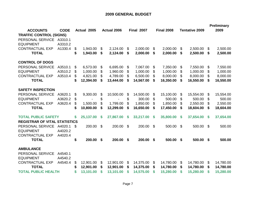| <b>ACCOUNTS</b><br><b>TRAFFIC CONTROL (SIGNS)</b><br>PERSONAL SERVICE | <b>CODE</b><br>A3310.1 |          | Actual 2005           |          | <b>Actual 2006</b>    |          | <b>Final 2007</b>     |          | <b>Final 2008</b>     |          | <b>Tentative 2009</b> |          | <b>Preliminary</b><br>2009 |
|-----------------------------------------------------------------------|------------------------|----------|-----------------------|----------|-----------------------|----------|-----------------------|----------|-----------------------|----------|-----------------------|----------|----------------------------|
| <b>EQUIPMENT</b><br><b>CONTRACTUAL EXP</b><br><b>TOTAL</b>            | A3310.2<br>A1330.4     | \$<br>\$ | 1,943.00<br>1,943.00  | \$<br>\$ | 2,124.00<br>2,124.00  | \$<br>\$ | 2,000.00<br>2,000.00  | \$<br>\$ | 2,000.00<br>2,000.00  | \$<br>\$ | 2,500.00<br>2,500.00  | \$<br>\$ | 2,500.00<br>2,500.00       |
| <b>CONTROL OF DOGS</b>                                                |                        |          |                       |          |                       |          |                       |          |                       |          |                       |          |                            |
| PERSONAL SERVICE<br><b>EQUIPMENT</b>                                  | A3510.1<br>A3510.2     | \$<br>\$ | 6,573.00<br>1,000.00  | \$<br>\$ | 6,695.00<br>1,960.00  | \$<br>\$ | 7,067.00<br>1,000.00  | \$<br>\$ | 7,350.00<br>1,000.00  | \$<br>\$ | 7,550.00<br>1,000.00  | \$<br>\$ | 7,550.00<br>1,000.00       |
| <b>CONTRACTUAL EXP</b><br><b>TOTAL</b>                                | A3510.4                | \$<br>\$ | 4,821.00<br>12,394.00 | \$<br>S  | 4,789.00<br>13,444.00 | \$<br>\$ | 6,500.00<br>14,567.00 | \$<br>\$ | 8,000.00<br>16,350.00 | \$<br>\$ | 8,000.00<br>16,550.00 | \$<br>S  | 8,000.00<br>16,550.00      |
| <b>SAFETY INSPECTION</b>                                              |                        |          |                       |          |                       |          |                       |          |                       |          |                       |          |                            |
| PERSONAL SERVICE                                                      | A3620.1                | \$       | 9,300.00              | \$       | 10,500.00             | \$       | 14,500.00             | \$       | 15,100.00             | \$       | 15,554.00             | \$       | 15,554.00                  |
| <b>EQUIPMENT</b>                                                      | A3620.2                | \$       |                       | \$       |                       | \$       | 300.00                | \$       | 500.00                | \$       | 500.00                | \$       | 500.00                     |
| <b>CONTRACTUAL EXP</b>                                                | A3620.4                | \$       | 1,500.00              | \$       | 1,799.00              | \$       | 1,850.00              | \$       | 1,850.00              | \$       | 2,550.00              | \$       | 2,550.00                   |
| <b>TOTAL</b>                                                          |                        | \$       | 10,800.00             | \$       | 12,299.00             | \$       | 16,650.00             | \$       | 17,450.00             | \$       | 18,604.00             | S        | 18,604.00                  |
| <b>TOTAL PUBLIC SAFETY</b><br><b>REGISTRAR OF VITAL STATISTICS</b>    |                        | \$       | 25,137.00             | \$       | 27,867.00             | \$       | 33,217.00             | \$       | 35,800.00             | <b>S</b> | 37,654.00             | S.       | 37,654.00                  |
| PERSONAL SERVICE<br><b>EQUIPMENT</b>                                  | A4020.1<br>A4020.2     | -\$      | 200.00                | \$       | 200.00                | \$       | 200.00                | \$       | 500.00                | \$       | 500.00                | \$       | 500.00                     |
| <b>CONTRACTUAL EXP</b><br><b>TOTAL</b>                                | A4020.4                | \$       | 200.00                | \$       | 200.00                | \$       | 200.00                | \$       | 500.00                | \$       | 500.00                | \$       | 500.00                     |
| <b>AMBULANCE</b><br>PERSONAL SERVICE<br><b>EQUIPMENT</b>              | A4540.1<br>A4540.2     |          |                       |          |                       |          |                       |          |                       |          |                       |          |                            |
| <b>CONTRACTUAL EXP</b>                                                | A4540.4                | \$       | 12,901.00             | \$       | 12,901.00             | \$       | 14,375.00             | \$       | 14,780.00             | \$       | 14,780.00             | \$       | 14,780.00                  |
| <b>TOTAL</b>                                                          |                        | \$       | 12,901.00             | \$       | 12,901.00             | \$       | 14,375.00             | S        | 14,780.00             | \$       | 14,780.00             | S        | 14,780.00                  |
| <b>TOTAL PUBLIC HEALTH</b>                                            |                        | S        | 13,101.00             | S        | 13,101.00             | S        | 14,575.00             | \$       | 15,280.00             | S        | 15,280.00             | S        | 15,280.00                  |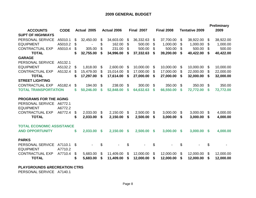|                                  |             |                 |     |                    |     |                   |                |                   |    |                       |               | Preliminary |
|----------------------------------|-------------|-----------------|-----|--------------------|-----|-------------------|----------------|-------------------|----|-----------------------|---------------|-------------|
| <b>ACCOUNTS</b>                  | <b>CODE</b> | Actual 2005     |     | <b>Actual 2006</b> |     | <b>Final 2007</b> |                | <b>Final 2008</b> |    | <b>Tentative 2009</b> |               | 2009        |
| <b>SUPT OF HIGHWAYS</b>          |             |                 |     |                    |     |                   |                |                   |    |                       |               |             |
| PERSONAL SERVICE                 | A5010.1     | \$<br>32,450.00 | \$  | 34,603.00          | \$  | 36,332.63         | \$             | 37,700.00         | \$ | 38,922.00             | \$            | 38,922.00   |
| <b>EQUIPMENT</b>                 | A5010.2     | \$              | \$  | 162.00             | \$  | 500.00            | \$             | 1,000.00          | \$ | 1,000.00              | \$            | 1,000.00    |
| <b>CONTRACTUAL EXP</b>           | A5010.4     | \$<br>305.00    | \$. | 231.00             | \$. | 500.00            | \$             | 500.00            | \$ | 500.00                | \$            | 500.00      |
| <b>TOTAL</b>                     |             | \$<br>32,755.00 | \$  | 34,996.00          | \$  | 37,332.63         | \$             | 39,200.00         | \$ | 40,422.00             | S             | 40,422.00   |
| <b>GARAGE</b>                    |             |                 |     |                    |     |                   |                |                   |    |                       |               |             |
| PERSONAL SERVICE                 | A5132.1     |                 |     |                    |     |                   |                |                   |    |                       |               |             |
| <b>EQUIPMENT</b>                 | A5132.2     | \$<br>1,818.00  | \$  | 2,600.00           | \$  | 10,000.00         | \$             | 10,000.00         | \$ | 10,000.00             | \$            | 10,000.00   |
| <b>CONTRACTUAL EXP</b>           | A5132.4     | \$<br>15,479.00 | \$  | 15,014.00          | \$  | 17,000.00         | \$             | 17,000.00         | \$ | 22,000.00             | \$            | 22,000.00   |
| <b>TOTAL</b>                     |             | \$<br>17,297.00 | \$  | 17,614.00          | \$  | 27,000.00         | \$             | 27,000.00         | \$ | 32,000.00             | S             | 32,000.00   |
| <b>STREET LIGHTING</b>           |             |                 |     |                    |     |                   |                |                   |    |                       |               |             |
| <b>CONTRACTUAL EXP</b>           | A5182.4     | \$<br>194.00    | \$  | 238.00             | S   | 300.00            | \$             | 350.00            | \$ | 350.00                | \$            | 350.00      |
| <b>TOTAL TRANSPORTATION</b>      |             | \$<br>50,246.00 | \$  | 52,848.00          | \$  | 64,632.63         | \$             | 66,550.00         | \$ | 72,772.00             | \$            | 72,772.00   |
| <b>PROGRAMS FOR THE AGING</b>    |             |                 |     |                    |     |                   |                |                   |    |                       |               |             |
| PERSONAL SERVICE                 | A6772.1     |                 |     |                    |     |                   |                |                   |    |                       |               |             |
| <b>EQUIPMENT</b>                 | A6772.2     |                 |     |                    |     |                   |                |                   |    |                       |               |             |
| <b>CONTRACTUAL EXP</b>           | A6772.4     | \$<br>2,033.00  | \$  | 2,150.00           | \$  | 2,500.00          | \$             | 3,000.00          | \$ | 3,000.00              | \$            | 4,000.00    |
| <b>TOTAL</b>                     |             | \$<br>2,033.00  | S   | 2,150.00           | S   | 2,500.00          | S              | 3,000.00          | S  | 3,000.00              | -S            | 4,000.00    |
| <b>TOTAL ECONOMIC ASSISTANCE</b> |             |                 |     |                    |     |                   |                |                   |    |                       |               |             |
| <b>AND OPPORTUNITY</b>           |             | \$<br>2,033.00  | \$  | 2,150.00           | \$  | 2,500.00          | <b>S</b>       | 3,000.00          | \$ | 3,000.00              | $\mathbf{\$}$ | 4,000.00    |
| <b>PARKS</b>                     |             |                 |     |                    |     |                   |                |                   |    |                       |               |             |
| PERSONAL SERVICE                 | A7110.1     | \$              | \$  |                    | \$  |                   | \$             |                   | \$ |                       | \$            |             |
| <b>EQUIPMENT</b>                 | A7710.2     |                 |     |                    |     |                   |                |                   |    |                       |               |             |
| <b>CONTRACTUAL EXP</b>           | A7710.4     | \$<br>5,683.00  | \$  | 11,409.00          | \$  | 12,000.00         | $\mathfrak{S}$ | 12,000.00         | \$ | 12,000.00             | \$            | 12,000.00   |
| <b>TOTAL</b>                     |             | \$<br>5,683.00  | \$  | 11,409.00          | \$  | 12,000.00         | \$             | 12,000.00         | \$ | 12,000.00             | S             | 12,000.00   |

#### **PLAYGROUNDS &RECREATION CTRS**

PERSONAL SERVICE A7140.1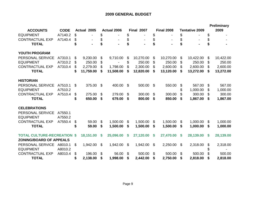|                                    |             |     |             |          |                    |                |                              |              |                   |          |                       |          | <b>Preliminary</b> |
|------------------------------------|-------------|-----|-------------|----------|--------------------|----------------|------------------------------|--------------|-------------------|----------|-----------------------|----------|--------------------|
| <b>ACCOUNTS</b>                    | <b>CODE</b> |     | Actual 2005 |          | <b>Actual 2006</b> |                | <b>Final 2007</b>            |              | <b>Final 2008</b> |          | <b>Tentative 2009</b> |          | 2009               |
| <b>EQUIPMENT</b>                   | A7140.2     | \$  |             | \$       |                    | \$             |                              | \$           |                   | \$       |                       | \$       |                    |
| <b>CONTRACTUAL EXP</b>             | A7140.4     | \$  |             |          |                    | \$             | $\qquad \qquad \blacksquare$ | \$           |                   | \$       |                       | \$       |                    |
| <b>TOTAL</b>                       |             |     |             |          |                    | \$             |                              | \$           |                   | \$       |                       | \$       |                    |
| YOUTH PROGRAM                      |             |     |             |          |                    |                |                              |              |                   |          |                       |          |                    |
| PERSONAL SERVICE                   | A7310.1     | \$  | 9,230.00    | \$       | 9,710.00           | \$             | 10,270.00                    | \$           | 10,270.00         | \$       | 10,422.00             | \$       | 10,422.00          |
| <b>EQUIPMENT</b>                   | A7310.2     | \$  | 250.00      | \$       |                    | \$             | 250.00                       | \$           | 250.00            | \$       | 250.00                | \$       | 250.00             |
| <b>CONTRACTUAL EXP</b>             | A7310.4     | \$  | 2,279.00    | \$.      | 1,798.00           | \$.            | 2,300.00                     | \$           | 2,600.00          | \$       | 2,600.00              | \$.      | 2,600.00           |
| <b>TOTAL</b>                       |             | \$  | 11,759.00   | \$       | 11,508.00          | \$             | 12,820.00                    | \$           | 13,120.00         | \$       | 13,272.00             | \$       | 13,272.00          |
| <b>HISTORIAN</b>                   |             |     |             |          |                    |                |                              |              |                   |          |                       |          |                    |
| PERSONAL SERVICE                   | A7510.1     | \$. | 375.00      | \$       | 400.00             | -S             | 500.00                       | -\$          | 550.00            | \$       | 567.00                | \$.      | 567.00             |
| <b>EQUIPMENT</b>                   | A7510.2     |     |             |          |                    |                |                              |              |                   | \$       | 1,000.00              | \$       | 1,000.00           |
| <b>CONTRACTUAL EXP</b>             | A7510.4     | \$  | 275.00      | \$       | 279.00             | \$             | 300.00                       | \$           | 300.00            | \$       | 300.00                | \$.      | 300.00             |
| <b>TOTAL</b>                       |             | S   | 650.00      | \$       | 679.00             | S              | 800.00                       | S            | 850.00            | S        | 1,867.00              | -S       | 1,867.00           |
| <b>CELEBRATIONS</b>                |             |     |             |          |                    |                |                              |              |                   |          |                       |          |                    |
| PERSONAL SERVICE                   | A7550.1     |     |             |          |                    |                |                              |              |                   |          |                       |          |                    |
| <b>EQUIPMENT</b>                   | A7550.2     |     |             |          |                    |                |                              |              |                   |          |                       |          |                    |
| <b>CONTRACTUAL EXP</b>             | A7550.4     | \$  | 59.00       | \$       | 1,500.00           | \$             | 1,500.00                     | \$           | 1,500.00          | \$       | 1,000.00              | \$       | 1,000.00           |
| <b>TOTAL</b>                       |             | \$  | 59.00       | \$       | 1,500.00           | \$             | 1,500.00                     | \$           | 1,500.00          | \$       | 1,000.00              | \$       | 1,000.00           |
| <b>TOTAL CULTURE-RECREATION \$</b> |             |     | 18,151.00   | <b>S</b> | 25,096.00          | S              | 27,120.00                    | $\mathbf{s}$ | 27,470.00         | <b>S</b> | 28,139.00             | <b>S</b> | 28,139.00          |
| <b>ZONING/BOARD OF APPEALS</b>     |             |     |             |          |                    |                |                              |              |                   |          |                       |          |                    |
| PERSONAL SERVICE                   | A8010.1     | \$  | 1,942.00    | \$       | 1,942.00           | $\mathfrak{F}$ | 1,942.00                     | \$           | 2,250.00          | \$       | 2,318.00              | \$       | 2,318.00           |
| <b>EQUIPMENT</b>                   | A8010.2     |     |             |          |                    |                |                              |              |                   |          |                       |          |                    |
| <b>CONTRACTUAL EXP</b>             | A8010.4     | \$  | 196.00      | \$       | 56.00              | \$             | 500.00                       | \$           | 500.00            | \$       | 500.00                |          | 500.00             |
| <b>TOTAL</b>                       |             | \$  | 2,138.00    | \$       | 1,998.00           | \$             | 2,442.00                     | \$           | 2,750.00          | \$       | 2,818.00              | \$       | 2,818.00           |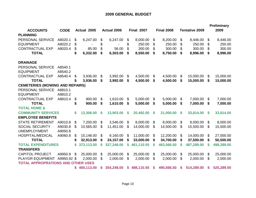|                                           |             |    |             |    |                    |    |                   |    |                   |    |                       |    | <b>Preliminary</b> |
|-------------------------------------------|-------------|----|-------------|----|--------------------|----|-------------------|----|-------------------|----|-----------------------|----|--------------------|
| <b>ACCOUNTS</b><br><b>PLANNING</b>        | <b>CODE</b> |    | Actual 2005 |    | <b>Actual 2006</b> |    | <b>Final 2007</b> |    | <b>Final 2008</b> |    | <b>Tentative 2009</b> |    | 2009               |
| PERSONAL SERVICE                          | A8020.1     | \$ | 6,247.00    | \$ | 6,247.00           | \$ | 8,000.00          | \$ | 8,200.00          | \$ | 8,446.00              | \$ | 8,446.00           |
| <b>EQUIPMENT</b>                          | A8020.2     | \$ |             | \$ |                    | \$ | 250.00            | \$ | 250.00            | \$ | 250.00                | \$ | 250.00             |
| <b>CONTRACTUAL EXP</b>                    | A8020.4     | \$ | 85.00       | \$ | 56.00              | \$ | 300.00            | \$ | 300.00            | \$ | 300.00                | \$ | 300.00             |
| <b>TOTAL</b>                              |             | \$ | 6,332.00    | \$ | 6,303.00           | \$ | 8,550.00          | \$ | 8,750.00          | \$ | 8,996.00              | \$ | 8,996.00           |
| <b>DRAINAGE</b>                           |             |    |             |    |                    |    |                   |    |                   |    |                       |    |                    |
| PERSONAL SERVICE                          | A8540.1     |    |             |    |                    |    |                   |    |                   |    |                       |    |                    |
| <b>EQUIPMENT</b>                          | A8540.2     |    |             |    |                    |    |                   |    |                   |    |                       |    |                    |
| <b>CONTRACTUAL EXP</b>                    | A8540.4     | \$ | 3,936.00    | S  | 3,992.00           | \$ | 4,500.00          | \$ | 4,500.00          | \$ | 15,000.00             | \$ | 15,000.00          |
| <b>TOTAL</b>                              |             | \$ | 3,936.00    | \$ | 3,992.00           | S  | 4,500.00          | S  | 4,500.00          | \$ | 15,000.00             | S  | 15,000.00          |
| <b>CEMETERIES (MOWING AND REPAIRS)</b>    |             |    |             |    |                    |    |                   |    |                   |    |                       |    |                    |
| PERSONAL SERVICE                          | A8810.1     |    |             |    |                    |    |                   |    |                   |    |                       |    |                    |
| <b>EQUIPMENT</b>                          | A8810.2     |    |             |    |                    |    |                   |    |                   |    |                       |    |                    |
| <b>CONTRACTUAL EXP</b>                    | A8810.4     | \$ | 900.00      | \$ | 1,610.00           | \$ | 5,000.00          | \$ | 5,000.00          | \$ | 7,000.00              | \$ | 7,000.00           |
| <b>TOTAL</b>                              |             | \$ | 900.00      | \$ | 1,610.00           | \$ | 5,000.00          | S  | 5,000.00          | \$ | 7,000.00              | \$ | 7,000.00           |
| <b>TOTAL HOME &amp;</b>                   |             |    |             |    |                    |    |                   |    |                   |    |                       |    |                    |
| <b>COMMUNITY SERVICES</b>                 |             | \$ | 13,306.00   | \$ | 13,903.00          | \$ | 20,492.00         | \$ | 21,000.00         | \$ | 33,814.00             | \$ | 33,814.00          |
| <b>EMPLOYEE BENEFITS</b>                  |             |    |             |    |                    |    |                   |    |                   |    |                       |    |                    |
| <b>STATE RETIREMENT</b>                   | A9010.8     | \$ | 7,200.00    | \$ | 3,546.00           | \$ | 8,000.00          | \$ | 8,000.00          | \$ | 8,000.00              | \$ | 8,000.00           |
| <b>SOCIAL SECURITY</b>                    | A9030.8     | \$ | 10,565.00   | \$ | 11,451.00          | \$ | 14,000.00         | \$ | 14,500.00         | \$ | 15,500.00             | \$ | 15,500.00          |
| <b>UNEMPLOYMENT</b>                       | A9050.8     |    |             |    |                    |    |                   |    |                   |    |                       |    |                    |
| <b>HOSPITAL/MEDICAL</b>                   | A9060.8     | \$ | 15,148.00   | S  | 9,160.00           | \$ | 11,000.00         | \$ | 12,200.00         | \$ | 14,000.00             | \$ | 27,000.00          |
| <b>TOTAL</b>                              |             | \$ | 32,913.00   | \$ | 24,157.00          | \$ | 33,000.00         | \$ | 34,700.00         | \$ | 37,500.00             | \$ | 50,500.00          |
| <b>TOTAL EXPENDITURES</b>                 |             | S  | 373,113.00  | \$ | 327,248.00         | S  | 461,110.55        | S  | 463,566.50        | S  | 487,289.00            | S  | 498,289.00         |
| <b>TRANSFERS</b>                          |             |    |             |    |                    |    |                   |    |                   |    |                       |    |                    |
| <b>CAPITOL PROJECT</b>                    | A9950.9     | \$ | 25,000.00   | \$ | 25,000.00          | \$ | 25,000.00         | \$ | 25,000.00         | \$ | 25,000.00             | \$ | 25,000.00          |
| <b>PLAYGR EQUIPMENT</b>                   | A9950.92 \$ |    | 2,000.00    | \$ | 2,000.00           | \$ | 2,000.00          | \$ | 2,000.00          | \$ | 2,000.00              | \$ | 2,000.00           |
| <b>TOTAL APPROPRATIONS AND OTHER USES</b> |             |    |             |    |                    |    |                   |    |                   |    |                       |    |                    |
|                                           |             | S. | 400,113.00  | S  | 354,248.00         | S. | 488,110.55        | S  | 490,566.50        | S  | 514,289.00            | S  | 525,289.00         |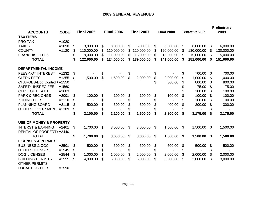# **2009 GENERAL REVENUES**

| <b>ACCOUNTS</b>                                 | <b>CODE</b> | <b>Final 2005</b> |    | <b>Final 2006</b> | <b>Final 2007</b> |    | <b>Final 2008</b> | <b>Tentative 2009</b> |     | <b>Preliminary</b><br>2009 |
|-------------------------------------------------|-------------|-------------------|----|-------------------|-------------------|----|-------------------|-----------------------|-----|----------------------------|
| <b>TAX ITEMS</b>                                |             |                   |    |                   |                   |    |                   |                       |     |                            |
| <b>PRO TAX</b>                                  | A1020       |                   |    |                   |                   |    |                   |                       |     |                            |
| <b>TAXES</b>                                    | A1090       | \$<br>3,000.00    | \$ | 3,000.00          | \$<br>6,000.00    | \$ | 6,000.00          | \$<br>6,000.00        | \$  | 6,000.00                   |
| <b>COUNTY</b>                                   | A1120       | \$<br>110,000.00  | \$ | 110,000.00        | \$<br>120,000.00  | \$ | 120,000.00        | \$<br>130,000.00      | S   | 130,000.00                 |
| <b>FRANCHISE FEES</b>                           |             | \$<br>9,000.00    | \$ | 11,000.00         | \$<br>13,000.00   | \$ | 15,000.00         | \$<br>15,000.00       | \$  | 15,000.00                  |
| <b>TOTAL</b>                                    |             | \$<br>122,000.00  | S  | 124,000.00        | \$<br>139,000.00  | S  | 141,000.00        | \$<br>151,000.00      | S   | 151,000.00                 |
| <b>DEPARTMENTAL INCOME</b>                      |             |                   |    |                   |                   |    |                   |                       |     |                            |
| <b>FEES-NOT INTEREST</b>                        | A1232       | \$                |    |                   | \$                | \$ |                   | \$<br>700.00          | \$  | 700.00                     |
| <b>CLERK FEES</b>                               | A1255       | \$<br>1,500.00    | \$ | 1,500.00          | \$<br>2,000.00    | \$ | 2,000.00          | \$<br>1,000.00        | S   | 1,000.00                   |
| CHARGES-Dog Control (A1550                      |             |                   |    |                   |                   | \$ | 300.00            | \$<br>800.00          | \$  | 800.00                     |
| <b>SAFETY INSPEC FEE</b>                        | A1560       |                   |    |                   |                   |    |                   | \$<br>75.00           | \$  | 75.00                      |
| <b>CERT. OF DEATH</b>                           | A1603       |                   |    |                   |                   |    |                   | \$<br>100.00          | \$  | 100.00                     |
| <b>PARK &amp; REC CHGS</b>                      | A2001       | \$<br>100.00      | \$ | 100.00            | \$<br>100.00      | \$ | 100.00            | \$<br>100.00          | \$  | 100.00                     |
| <b>ZONING FEES</b>                              | A2110       | \$                | \$ |                   | \$                | \$ |                   | \$<br>100.00          | \$. | 100.00                     |
| <b>PLANNING BOARD</b>                           | A2115       | \$<br>500.00      | \$ | 500.00            | \$<br>500.00      | \$ | 400.00            | \$<br>300.00          | \$  | 300.00                     |
| OTHER GOVERNMENT A2389                          |             | \$                | \$ |                   | \$                | \$ |                   | \$                    | \$  |                            |
| <b>TOTAL</b>                                    |             | \$<br>2,100.00    | \$ | 2,100.00          | \$<br>2,600.00    | \$ | 2,800.00          | \$<br>3,175.00        | \$  | 3,175.00                   |
| <b>USE OF MONEY &amp; PROPERTY</b>              |             |                   |    |                   |                   |    |                   |                       |     |                            |
| <b>INTERST &amp; EARNING</b>                    | A2401       | \$<br>1,700.00    | \$ | 3,000.00          | \$<br>3,000.00    | \$ | 1,500.00          | \$<br>1,500.00        | \$  | 1,500.00                   |
| RENTAL OF PROPERTY A2440                        |             |                   |    |                   |                   |    |                   |                       |     |                            |
| <b>TOTAL</b>                                    |             | \$<br>1,700.00    | \$ | 3,000.00          | \$<br>3,000.00    | \$ | 1,500.00          | \$<br>1,500.00        | \$  | 1,500.00                   |
| <b>LICENSES &amp; PERMITS</b>                   |             |                   |    |                   |                   |    |                   |                       |     |                            |
| <b>BUSINESS &amp; OCC.</b>                      | A2501       | \$<br>500.00      | \$ | 500.00            | \$<br>500.00      | \$ | 500.00            | \$<br>500.00          | \$  | 500.00                     |
| <b>OTHER LICENSES</b>                           | A2545       | \$                | \$ |                   | \$                | \$ |                   | \$                    | \$  |                            |
| <b>DOG LICENSES</b>                             | A2544       | \$<br>1,000.00    | \$ | 1,000.00          | \$<br>2,000.00    | \$ | 2,000.00          | \$<br>2,000.00        | \$  | 2,000.00                   |
| <b>BUILDING PERMITS</b><br><b>OTHER PERMITS</b> | A2555       | \$<br>4,000.00    | \$ | 6,000.00          | \$<br>6,000.00    | \$ | 3,000.00          | \$<br>3,000.00        | \$  | 3,000.00                   |
| <b>LOCAL DOG FEES</b>                           | A2590       |                   |    |                   |                   |    |                   |                       |     |                            |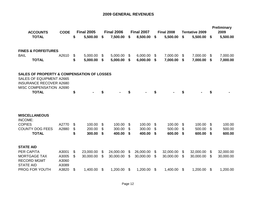#### **2009 GENERAL REVENUES**

|                                                               | <b>ACCOUNTS</b>                                                                                                            | <b>CODE</b>             |            | <b>Final 2005</b> | <b>Final 2006</b> | <b>Final 2007</b> |     | <b>Final 2008</b> | <b>Tentative 2009</b> |     | <b>Preliminary</b><br>2009 |
|---------------------------------------------------------------|----------------------------------------------------------------------------------------------------------------------------|-------------------------|------------|-------------------|-------------------|-------------------|-----|-------------------|-----------------------|-----|----------------------------|
|                                                               | <b>TOTAL</b>                                                                                                               |                         | \$         | 5,500.00          | \$<br>7,500.00    | \$<br>8,500.00    | \$  | 5,500.00          | \$<br>5,500.00        | \$  | 5,500.00                   |
|                                                               | <b>FINES &amp; FORFEITURES</b>                                                                                             |                         |            |                   |                   |                   |     |                   |                       |     |                            |
| <b>BAIL</b>                                                   |                                                                                                                            | A2610                   | \$         | 5,000.00          | \$<br>5,000.00    | \$<br>6,000.00    | \$  | 7,000.00          | \$<br>7,000.00        | \$  | 7,000.00                   |
|                                                               | <b>TOTAL</b>                                                                                                               |                         | \$         | 5,000.00          | \$<br>5,000.00    | \$<br>6,000.00    | \$  | 7,000.00          | \$<br>7,000.00        | S   | 7,000.00                   |
|                                                               | <b>SALES OF PROPERTY &amp; COMPENSATION OF LOSSES</b><br><b>SALES OF EQUIPMENT A2665</b><br><b>INSURANCE RECOVER A2680</b> |                         |            |                   |                   |                   |     |                   |                       |     |                            |
|                                                               | MISC COMPENSATION A2690<br><b>TOTAL</b>                                                                                    |                         | \$         |                   | \$                | \$                | \$  |                   | \$                    | \$  |                            |
| <b>MISCELLANEOUS</b><br>INCOME:                               |                                                                                                                            |                         |            |                   |                   |                   |     |                   |                       |     |                            |
| <b>COPIES</b>                                                 |                                                                                                                            | A2770                   | \$         | 100.00            | \$<br>100.00      | \$<br>100.00      | \$  | 100.00            | \$<br>100.00          | \$  | 100.00                     |
|                                                               | <b>COUNTY DOG FEES</b>                                                                                                     | A2880                   | $\, \, \$$ | 200.00            | \$<br>300.00      | \$<br>300.00      | \$  | 500.00            | \$<br>500.00          | \$  | 500.00                     |
|                                                               | <b>TOTAL</b>                                                                                                               |                         | \$         | 300.00            | \$<br>400.00      | \$<br>400.00      | \$  | 600.00            | \$<br>600.00          | \$  | 600.00                     |
| <b>STATE AID</b>                                              |                                                                                                                            |                         |            |                   |                   |                   |     |                   |                       |     |                            |
| <b>PER CAPITA</b>                                             |                                                                                                                            | A3001                   | \$         | 23,000.00         | \$<br>24,000.00   | \$<br>26,000.00   | \$  | 32,000.00         | \$<br>32,000.00       | \$  | 32,000.00                  |
| <b>MORTGAGE TAX</b><br><b>RECORD MGMT</b><br><b>STATE AID</b> |                                                                                                                            | A3005<br>A3060<br>A3089 | \$         | 30,000.00         | \$<br>30,000.00   | \$<br>30,000.00   | \$. | 30,000.00         | \$<br>30,000.00       | \$. | 30,000.00                  |
|                                                               | PROG FOR YOUTH                                                                                                             | A3820                   | \$         | 1,400.00 \$       | 1,200.00          | \$<br>1,200.00    | \$  | 1,400.00          | \$<br>1,200.00        | \$  | 1,200.00                   |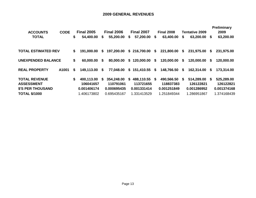## **2009 GENERAL REVENUES**

| <b>ACCOUNTS</b>                           | <b>CODE</b> |    | <b>Final 2005</b>       |    | <b>Final 2006</b>       |    | <b>Final 2007</b>          | <b>Final 2008</b>       |    | <b>Tentative 2009</b>   |     | Preliminary<br>2009     |
|-------------------------------------------|-------------|----|-------------------------|----|-------------------------|----|----------------------------|-------------------------|----|-------------------------|-----|-------------------------|
| <b>TOTAL</b>                              |             | \$ | 54,400.00               | S. | 55,200.00               | S. | 57,200.00                  | \$<br>63,400.00         | S. | 63,200.00               | -\$ | 63,200.00               |
|                                           |             |    |                         |    |                         |    |                            |                         |    |                         |     |                         |
| TOTAL ESTIMATED REV                       |             | \$ | 191.000.00              | S. | 197,200.00              |    | \$216,700.00               | \$<br>221,800.00 \$     |    | 231,975.00              | S   | 231,975.00              |
| <b>UNEXPENDED BALANCE</b>                 |             | \$ | 60,000.00               | S. | 80,000.00               |    | \$120,000.00               | \$<br>120,000.00 \$     |    | 120,000.00              | S.  | 120,000.00              |
| <b>REAL PROPERTY</b>                      | A1001       | S  | 149,113.00              | S. | 77,048.00               |    | \$151,410.55               | \$<br>148,766.50 \$     |    | 162,314.00              | S   | 173,314.00              |
| <b>TOTAL REVENUE</b><br><b>ASSESSMENT</b> |             | \$ | 400,113.00<br>106041657 | S. | 354,248.00<br>110791061 | S. | 488,110.55 \$<br>113721655 | 490,566.50<br>118837383 | -S | 514,289.00<br>126122821 | S   | 525,289.00<br>126122821 |
| <b>\$'S PER THOUSAND</b>                  |             |    | 0.001406174             |    | 0.000695435             |    | 0.001331414                | 0.001251849             |    | 0.001286952             |     | 0.001374168             |
| <b>TOTAL \$/1000</b>                      |             |    | 1.406173802             |    | 0.695435167             |    | 1.331413529                | 1.251849344             |    | 1.286951867             |     | 1.374168439             |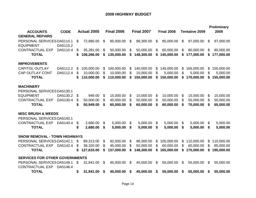#### **2009 HIGHWAY BUDGET**

| <b>ACCOUNTS</b><br><b>CODE</b>                             |    | <b>Actual 2005</b> |    | <b>Final 2006</b> |    | <b>Final 2007</b> | <b>Final 2008</b> | <b>Tentative 2009</b> |    | <b>Preliminary</b><br>2009 |
|------------------------------------------------------------|----|--------------------|----|-------------------|----|-------------------|-------------------|-----------------------|----|----------------------------|
| <b>GENERAL REPAIRS</b>                                     |    |                    |    |                   |    |                   |                   |                       |    |                            |
| PERSONAL SERVICES DA5110.1<br><b>EQUIPMENT</b><br>DA5110.2 | \$ | 72,985.00          | \$ | 85,000.00         | \$ | 98,300.00         | \$<br>85,000.00   | \$<br>97,000.00       | \$ | 97,000.00                  |
| <b>CONTRACTUAL EXP</b><br>DA5110.4                         | \$ | 35,281.00          | \$ | 50,000.00         | \$ | 50,000.00         | \$<br>60,000.00   | \$<br>80,000.00       | \$ | 80,000.00                  |
| <b>TOTAL</b>                                               | \$ | 108,266.00         | \$ | 135,000.00        | \$ | 148,300.00        | \$<br>145,000.00  | \$<br>177,000.00      | \$ | 177,000.00                 |
| <b>IMPROVEMENTS</b>                                        |    |                    |    |                   |    |                   |                   |                       |    |                            |
| <b>CAPITOL OUTLAY</b><br>DA5112.2                          | \$ | 100,000.00         | \$ | 100,000.00        | \$ | 140,000.00        | \$<br>145,000.00  | \$<br>165,000.00      | \$ | 150,000.00                 |
| <b>CAP OUTLAY CONT</b><br>DA5112.4                         | \$ | 10,000.00          | \$ | 10,000.00         | \$ | 10,000.00         | \$<br>5,000.00    | \$<br>5,000.00        | \$ | 5,000.00                   |
| <b>TOTAL</b>                                               | S  | 110,000.00         | \$ | 110,000.00        | \$ | 150,000.00        | \$<br>150,000.00  | \$<br>170,000.00      | \$ | 155,000.00                 |
| <b>MACHINERY</b>                                           |    |                    |    |                   |    |                   |                   |                       |    |                            |
| PERSONAL SERVICES DA5130.1                                 |    |                    |    |                   |    |                   |                   |                       |    |                            |
| <b>EQUIPMENT</b><br>DA5130.2                               | \$ | 949.00             | \$ | 15,000.00         | \$ | 10,000.00         | \$<br>10,000.00   | \$<br>15,000.00       | \$ | 15,000.00                  |
| <b>CONTRACTUAL EXP</b><br>DA5130.4                         | \$ | 50,000.00          | \$ | 45,000.00         | \$ | 50,000.00         | \$<br>50,000.00   | \$<br>55,000.00       | \$ | 50,000.00                  |
| <b>TOTAL</b>                                               | \$ | 50,949.00          | \$ | 60,000.00         | \$ | 60,000.00         | \$<br>60,000.00   | \$<br>70,000.00       | \$ | 65,000.00                  |
| <b>MISC BRUSH &amp; WEEDS</b>                              |    |                    |    |                   |    |                   |                   |                       |    |                            |
| PERSONAL SERVICES DA5140.1                                 |    |                    |    |                   |    |                   |                   |                       |    |                            |
| <b>CONTRACTUAL EXP</b><br>DA5140.4                         | \$ | 2,680.00           | \$ | 5,000.00          | \$ | 5,000.00          | \$<br>5,000.00    | \$<br>5,000.00        | \$ | 5,000.00                   |
| <b>TOTAL</b>                                               | \$ | 2,680.00           | \$ | 5,000.00          | S  | 5,000.00          | \$<br>5,000.00    | \$<br>5,000.00        | \$ | 5,000.00                   |
| <b>SNOW REMOVAL - TOWN HIGHWAYS</b>                        |    |                    |    |                   |    |                   |                   |                       |    |                            |
| PERSONAL SERVICES DA5142.1                                 | \$ | 89,313.00          | \$ | 92,000.00         | \$ | 98,300.00         | \$<br>105,000.00  | \$<br>110,000.00      | \$ | 110,000.00                 |
| <b>CONTRACTUAL EXP</b><br>DA5142.4                         | \$ | 38,320.00          | \$ | 45,000.00         | \$ | 50,000.00         | \$<br>60,000.00   | \$<br>60,000.00       | \$ | 85,000.00                  |
| <b>TOTAL</b>                                               | S  | 127,633.00         | S  | 137,000.00        | S  | 148,300.00        | \$<br>165,000.00  | \$<br>170,000.00      | \$ | 195,000.00                 |
| <b>SERVICES FOR OTHER GOVERNMENTS</b>                      |    |                    |    |                   |    |                   |                   |                       |    |                            |
| PERSONAL SERVICES DA5148.1                                 | \$ | 31,941.00          | \$ | 45,000.00         | \$ | 45,000.00         | \$<br>55,000.00   | \$<br>55,000.00       | \$ | 55,000.00                  |
| <b>CONTRACTUAL EXP</b><br>DA5148.4                         |    |                    |    |                   |    |                   |                   |                       |    |                            |
| <b>TOTAL</b>                                               | \$ | 31,941.00          | S  | 45,000.00         | S  | 45,000.00         | \$<br>55,000.00   | \$<br>55,000.00       | S  | 55,000.00                  |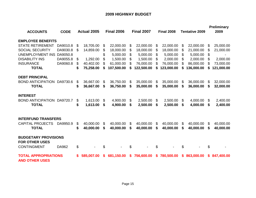# **2009 HIGHWAY BUDGET**

|                                                      |             |    |             |    |                   |    |                          |     |                   |    |                       |     | <b>Preliminary</b> |
|------------------------------------------------------|-------------|----|-------------|----|-------------------|----|--------------------------|-----|-------------------|----|-----------------------|-----|--------------------|
| <b>ACCOUNTS</b>                                      | <b>CODE</b> |    | Actual 2005 |    | <b>Final 2006</b> |    | <b>Final 2007</b>        |     | <b>Final 2008</b> |    | <b>Tentative 2009</b> |     | 2009               |
| <b>EMPLOYEE BENEFITS</b>                             |             |    |             |    |                   |    |                          |     |                   |    |                       |     |                    |
| <b>STATE RETIREMENT</b>                              | DA9010.8    | \$ | 18,705.00   | \$ | 22,000.00         | \$ | 22,000.00                | \$  | 22,000.00         | \$ | 22,000.00             | \$  | 25,000.00          |
| <b>SOCIAL SECURITY</b>                               | DA9030.8    | \$ | 14,859.00   | \$ | 18,000.00         | \$ | 18,000.00                | \$  | 18,000.00         | \$ | 21,000.00             | \$  | 21,000.00          |
| <b>UNEMPLOYMENT INS</b>                              | DA9050.8    |    |             | \$ | 5,000.00          | \$ | 5,000.00                 | \$  | 5,000.00          | \$ | 5,000.00              | \$  |                    |
| <b>DISABILITY INS</b>                                | DA9055.8    | \$ | 1,292.00    | \$ | 1,500.00          | \$ | 1,500.00                 | S   | 2,000.00          | \$ | 2,000.00              | \$. | 2,000.00           |
| <b>INSURANCE</b>                                     | DA9060.8    | \$ | 40,402.00   | \$ | 61,000.00         | \$ | 76,000.00                |     | 76,000.00         | S  | 86,000.00             | \$  | 73,000.00          |
| <b>TOTAL</b>                                         |             | S  | 75,258.00   | S  | 107,500.00        | S  | 122,500.00               |     | 123,000.00        |    | 136,000.00            | S   | 121,000.00         |
| <b>DEBT PRINCIPAL</b>                                |             |    |             |    |                   |    |                          |     |                   |    |                       |     |                    |
| <b>BOND ANTICIPATION</b>                             | DA9730.6    | \$ | 36,667.00   | \$ | 36,750.00         | S  | 35,000.00                | \$  | 35,000.00         | \$ | 36,000.00             | \$  | 32,000.00          |
| <b>TOTAL</b>                                         |             | \$ | 36,667.00   | \$ | 36,750.00         | S  | 35,000.00                | S   | 35,000.00         | S  | 36,000.00             | S   | 32,000.00          |
| <b>INTEREST</b>                                      |             |    |             |    |                   |    |                          |     |                   |    |                       |     |                    |
| <b>BOND ANTICIPATION</b>                             | DA9720.7    | \$ | 1,613.00    | \$ | 4,900.00          | \$ | 2,500.00                 | \$  | 2,500.00          | \$ | 4,000.00              | \$  | 2,400.00           |
| <b>TOTAL</b>                                         |             | \$ | 1,613.00    | \$ | 4,900.00          | \$ | 2,500.00                 | \$  | 2,500.00          | \$ | 4,000.00              | \$  | 2,400.00           |
|                                                      |             |    |             |    |                   |    |                          |     |                   |    |                       |     |                    |
| <b>INTERFUND TRANSFERS</b>                           |             |    |             |    |                   |    |                          |     |                   |    |                       |     |                    |
| <b>CAPITAL PROJECTS</b>                              | DA9950.9    | \$ | 40,000.00   | \$ | 40,000.00         | \$ | 40,000.00                | \$. | 40,000.00         | \$ | 40,000.00             | \$  | 40,000.00          |
| <b>TOTAL</b>                                         |             | \$ | 40,000.00   | \$ | 40,000.00         | \$ | 40,000.00                | \$  | 40,000.00         | \$ | 40,000.00             | \$  | 40,000.00          |
| <b>BUDGETARY PROVISIONS</b>                          |             |    |             |    |                   |    |                          |     |                   |    |                       |     |                    |
| <b>FOR OTHER USES</b>                                |             |    |             |    |                   |    |                          |     |                   |    |                       |     |                    |
| <b>CONTINGMENT</b>                                   | DA962       | \$ |             | \$ |                   | \$ | $\overline{\phantom{a}}$ | \$  | $\blacksquare$    | \$ |                       | \$  |                    |
|                                                      |             |    |             |    |                   |    |                          |     |                   |    |                       |     |                    |
| <b>TOTAL APPROPRIATIONS</b><br><b>AND OTHER USES</b> |             |    | 585,007.00  | S. | 681,150.00        | S. | 756,600.00               | S.  | 780,500.00        |    | \$863,000.00          | S.  | 847,400.00         |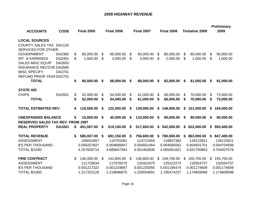## **2009 HIGHWAY REVENUE**

| <b>ACCOUNTS</b>                                                                                                                                                                                                            | <b>CODE</b>                          |          | <b>Final 2005</b>     |          | <b>Final 2006</b>     |          | <b>Final 2007</b>     |          | <b>Final 2008</b>     |                           | <b>Tentative 2009</b> |          | <b>Preliminary</b><br>2009 |
|----------------------------------------------------------------------------------------------------------------------------------------------------------------------------------------------------------------------------|--------------------------------------|----------|-----------------------|----------|-----------------------|----------|-----------------------|----------|-----------------------|---------------------------|-----------------------|----------|----------------------------|
| <b>LOCAL SOURCES</b><br><b>COUNTY SALES TAX DA1120</b><br><b>SERVICES FOR OTHER</b><br><b>GOVERNMENT</b><br><b>INT. &amp; EARNINGS</b><br><b>SALES MISC EQUIP</b><br><b>INSURANCE RECOVE DA2680</b><br><b>MISC SPECIFY</b> | DA2300<br>DA2401<br>DA2650<br>DA2701 | \$<br>\$ | 65,000.00<br>1,500.00 | \$<br>\$ | 65,000.00<br>3,000.00 | \$<br>\$ | 65,000.00<br>3,000.00 | \$<br>\$ | 80,000.00<br>2,000.00 | \$<br>\$                  | 80,000.00<br>1,000.00 | \$<br>\$ | 90,000.00<br>1,000.00      |
| REFUND PRIOR YEARDA2701<br><b>TOTAL</b>                                                                                                                                                                                    |                                      | \$       | 66,500.00             | \$       | 68,000.00             | S        | 68,000.00             | \$       | 82,000.00             | \$                        | 81,000.00             | \$       | 91,000.00                  |
| <b>STATE AID</b>                                                                                                                                                                                                           |                                      |          |                       |          |                       |          |                       |          |                       |                           |                       |          |                            |
| <b>CHIPS</b>                                                                                                                                                                                                               | DA3501                               | \$       | 52,000.00             | \$       | 54,000.00             | \$       | 61,000.00             | \$       | 66,000.00             | $\boldsymbol{\mathsf{S}}$ | 70,000.00             | \$       | 73,000.00                  |
| <b>TOTAL</b>                                                                                                                                                                                                               |                                      | \$       | 52,000.00             | \$       | 54,000.00             | \$       | 61,000.00             | \$       | 66,000.00             | \$                        | 70,000.00             | \$       | 73,000.00                  |
| <b>TOTAL ESTIMATED REV</b>                                                                                                                                                                                                 |                                      | \$       | 118,500.00            | S        | 122,000.00            | \$       | 129,000.00            | \$       | 148,000.00            | \$                        | 151,000.00            | \$       | 164,000.00                 |
| <b>UNEXPANDED BALANCE</b>                                                                                                                                                                                                  |                                      | \$       | 15,000.00             | \$       | 40,000.00             | \$       | 110,000.00            | \$       | 90,000.00             | \$                        | 90,000.00             | \$       | 90,000.00                  |
| <b>RESERVED SALES TAX REV. FROM 1997</b>                                                                                                                                                                                   |                                      |          |                       |          |                       |          |                       |          |                       |                           |                       |          |                            |
| <b>REAL PROPERTY</b>                                                                                                                                                                                                       | <b>DA1001</b>                        | \$       | 451,507.00            | \$       | 519,150.00            | \$       | 517,600.00            | \$       | 542,500.00            | \$                        | 622,000.00            | \$       | 593,400.00                 |
| <b>TOTAL REVENUE</b>                                                                                                                                                                                                       |                                      | \$       | 585,007.00            | \$       | 681,150.00            | \$       | 756,600.00            | \$       | 780,500.00            | \$                        | 863,000.00            | \$       | 847,400.00                 |
| <b>ASSESSMENT</b>                                                                                                                                                                                                          |                                      |          | 106041657             |          | 110791061             |          | 113721655             |          | 118837383             |                           | 126122821             |          | 126122821                  |
| <b>\$'S PER THOUSAND</b>                                                                                                                                                                                                   |                                      |          | 0.004257827           |          | 0.004685847           |          | 0.004551464           |          | 0.004565062           |                           | 0.004931701           |          | 0.004704938                |
| <b>TOTAL \$/1000</b>                                                                                                                                                                                                       |                                      |          | 4.257826714           |          | 4.685847354           |          | 4.551463835           |          | 4.565061821           |                           | 4.931700663           |          | 4.704937578                |
| <b>FIRE CONTRACT</b>                                                                                                                                                                                                       |                                      | \$       | 136,000.00            | \$       | 142,800.00            | \$       | 146,800.00            | S.       | 149,700.00            | S.                        | 155,700.00            | \$       | 155,700.00                 |
| <b>ASSESSMENT</b>                                                                                                                                                                                                          |                                      |          | 111720634             |          | 117078270             |          | 120322475             |          | 125222273             |                           | 132554737             |          | 132554737                  |
| <b>\$'S PER THOUSAND</b>                                                                                                                                                                                                   |                                      |          | 0.001217322           |          | 0.001219697           |          | 0.001220055           |          | 0.001195474           |                           | 0.001174609           |          | 0.001174609                |
| <b>TOTAL \$/1000</b>                                                                                                                                                                                                       |                                      |          | 1.217322129           |          | 1.219696875           |          | 1.220054691           |          | 1.195474227           |                           | 1.174609098           |          | 1.174609098                |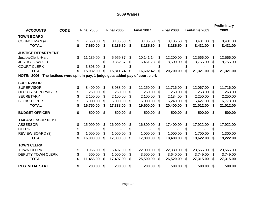# **2009 Wages**

| <b>ACCOUNTS</b>                                                                    | <b>CODE</b> | <b>Final 2005</b> | <b>Final 2006</b> |    | <b>Final 2007</b> |    | <b>Final 2008</b> |              | <b>Tentative 2009</b> |                           | <b>Preliminary</b><br>2009 |
|------------------------------------------------------------------------------------|-------------|-------------------|-------------------|----|-------------------|----|-------------------|--------------|-----------------------|---------------------------|----------------------------|
| <b>TOWN BOARD</b>                                                                  |             |                   |                   |    |                   |    |                   |              |                       |                           |                            |
| <b>COUNCILMAN (4)</b>                                                              |             | \$<br>7,650.00    | \$<br>8,185.50    | \$ | 8,185.50          | \$ | 8,185.50          | \$           | 8,431.00              | \$                        | 8,431.00                   |
| <b>TOTAL</b>                                                                       |             | \$<br>7,650.00    | \$<br>8,185.50    | S. | 8,185.50          | \$ | 8,185.50          | \$           | 8,431.00              | \$                        | 8,431.00                   |
| <b>JUSTICE DEPARTMENT</b>                                                          |             |                   |                   |    |                   |    |                   |              |                       |                           |                            |
| Justice/Clerk - Hart                                                               |             | \$<br>11,139.00   | \$<br>5,959.37    | \$ | 10,141.14         | \$ | 12,200.00         | \$           | 12,566.00             | \$                        | 12,566.00                  |
| <b>JUSTICE - WOOD</b>                                                              |             |                   | \$<br>9,852.37    | \$ | 6,461.28          | S  | 8,500.00          | \$           | 8,755.00              | \$                        | 8,755.00                   |
| <b>COURT CLERK</b>                                                                 |             | \$<br>3,893.00    | \$                | \$ |                   | \$ |                   | \$           |                       | \$                        |                            |
| <b>TOTAL</b>                                                                       |             | 15,032.00         | \$<br>15,811.74   | \$ | 16,602.42         | \$ | 20,700.00         | \$           | 21,321.00             | \$                        | 21,321.00                  |
| NOTE: 2006 - The justices were split in pay, 1 judge gets added pay of court clerk |             |                   |                   |    |                   |    |                   |              |                       |                           |                            |
| <b>SUPERVISOR</b>                                                                  |             |                   |                   |    |                   |    |                   |              |                       |                           |                            |
| <b>SUPERVISOR</b>                                                                  |             | \$<br>8,400.00    | \$<br>8,988.00    | \$ | 11,250.00         | \$ | 11,716.00         | \$           | 12,067.00             | \$                        | 11,716.00                  |
| <b>DEPUTY SUPERVISOR</b>                                                           |             | \$<br>250.00      | \$<br>250.00      | \$ | 250.00            | \$ | 260.00            | \$           | 268.00                | \$                        | 268.00                     |
| <b>SECRETARY</b>                                                                   |             | \$<br>2,100.00    | \$<br>2,100.00    | S  | 2,100.00          | \$ | 2,184.00          | \$           | 2,250.00              | \$                        | 2,250.00                   |
| <b>BOOKKEEPER</b>                                                                  |             | \$<br>6,000.00    | \$<br>6,000.00    | \$ | 6,000.00          | \$ | 6,240.00          | \$           | 6,427.00              | \$                        | 6,778.00                   |
| <b>TOTAL</b>                                                                       |             | \$<br>16,750.00   | \$<br>17,338.00   | \$ | 19,600.00         | \$ | 20,400.00         | \$           | 21,012.00             | \$                        | 21,012.00                  |
| <b>BUDGET OFFICER</b>                                                              |             | \$<br>500.00      | \$<br>500.00      | \$ | 500.00            | \$ | 500.00            | $\mathbf{s}$ | 500.00 \$             |                           | 500.00                     |
| <b>TAX ASSESSOR DEPT</b>                                                           |             |                   |                   |    |                   |    |                   |              |                       |                           |                            |
| <b>ASSESSOR</b>                                                                    |             | \$<br>15,000.00   | \$<br>16,000.00   | \$ | 16,800.00         | \$ | 17,400.00         | \$           | 17,922.00             | \$                        | 17,922.00                  |
| <b>CLERK</b>                                                                       |             | \$                | \$                | \$ |                   | \$ |                   | \$           |                       | \$                        |                            |
| <b>REVIEW BOARD (3)</b>                                                            |             | \$<br>1,000.00    | \$<br>1,000.00    | \$ | 1,000.00          | \$ | 1,000.00          | \$           | 1,700.00              | \$                        | 1,300.00                   |
| <b>TOTAL</b>                                                                       |             | \$<br>16,000.00   | \$<br>17,000.00   | S  | 17,800.00         | \$ | 18,400.00         | \$           | 19,622.00             | S                         | 19,222.00                  |
| <b>TOWN CLERK</b>                                                                  |             |                   |                   |    |                   |    |                   |              |                       |                           |                            |
| <b>TOWN CLERK</b>                                                                  |             | \$<br>10,956.00   | \$<br>16,497.00   | \$ | 22,000.00         | \$ | 22,880.00         | \$           | 23,566.00             | $\boldsymbol{\mathsf{S}}$ | 23,566.00                  |
| <b>DEPUTY TOWN CLERK</b>                                                           |             | \$<br>500.00      | \$<br>1,000.00    | \$ | 3,500.00          | \$ | 3,640.00          | \$           | 3,749.00              | \$                        | 3,749.00                   |
| <b>TOTAL</b>                                                                       |             | \$<br>11,456.00   | \$<br>17,497.00   | \$ | 25,500.00         | \$ | 26,520.00         | \$           | 27,315.00             | \$                        | 27,315.00                  |
| <b>REG. VITAL STAT.</b>                                                            |             | \$<br>200.00      | \$<br>200.00      | \$ | 200.00            | \$ | 500.00            | \$           | 500.00                | \$                        | 500.00                     |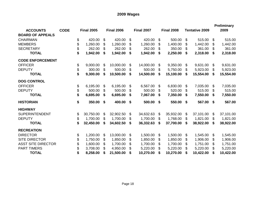# **2009 Wages**

| <b>ACCOUNTS</b>           | <b>CODE</b> | <b>Final 2005</b> |     | <b>Final 2006</b> |    | <b>Final 2007</b> |    | <b>Final 2008</b> |                | <b>Tentative 2009</b> | <b>Preliminary</b><br>2009 |
|---------------------------|-------------|-------------------|-----|-------------------|----|-------------------|----|-------------------|----------------|-----------------------|----------------------------|
| <b>BOARD OF APPEALS</b>   |             |                   |     |                   |    |                   |    |                   |                |                       |                            |
| <b>CHAIRMAN</b>           |             | \$<br>420.00      | \$  | 420.00            | \$ | 420.00            | \$ | 500.00            | \$             | 515.00                | \$<br>515.00               |
| <b>MEMBERS</b>            |             | \$<br>1,260.00    | \$  | 1,260.00          | S  | 1,260.00          | \$ | 1,400.00          | \$             | 1,442.00              | \$<br>1,442.00             |
| <b>SECRETARY</b>          |             | \$<br>262.00      | \$  | 262.00            | \$ | 262.00            | \$ | 350.00            | \$             | 361.00                | \$<br>361.00               |
| <b>TOTAL</b>              |             | \$<br>1,942.00    | \$  | 1,942.00          | \$ | 1,942.00          | S  | 2,250.00          | \$             | 2,318.00              | \$<br>2,318.00             |
| <b>CODE ENFORCEMENT</b>   |             |                   |     |                   |    |                   |    |                   |                |                       |                            |
| <b>OFFICER</b>            |             | \$<br>9,000.00    | \$  | 10,000.00         | \$ | 14,000.00         | \$ | 9,350.00          | \$             | 9,631.00              | \$<br>9,631.00             |
| <b>DEPUTY</b>             |             | \$<br>300.00      | \$  | 500.00            | \$ | 500.00            | S  | 5,750.00          | \$             | 5,923.00              | \$<br>5,923.00             |
| <b>TOTAL</b>              |             | \$<br>9,300.00    | \$  | 10,500.00         | S  | 14,500.00         | \$ | 15,100.00         | \$             | 15,554.00             | \$<br>15,554.00            |
| <b>DOG CONTROL</b>        |             |                   |     |                   |    |                   |    |                   |                |                       |                            |
| <b>OFFICER</b>            |             | \$<br>6,195.00    | \$  | 6,195.00          | \$ | 6,567.00          | \$ | 6,830.00          | \$             | 7,035.00              | \$<br>7,035.00             |
| <b>DEPUTY</b>             |             | \$<br>500.00      | \$  | 500.00            | \$ | 500.00            | \$ | 520.00            | $\mathfrak{F}$ | 515.00                | \$<br>515.00               |
| <b>TOTAL</b>              |             | \$<br>6,695.00    | \$  | 6,695.00          | \$ | 7,067.00          | \$ | 7,350.00          | \$             | 7,550.00              | \$<br>7,550.00             |
| <b>HISTORIAN</b>          |             | \$<br>350.00      | \$  | 400.00            | \$ | 500.00            | \$ | 550.00            | \$             | 567.00                | \$<br>567.00               |
| <b>HIGHWAY</b>            |             |                   |     |                   |    |                   |    |                   |                |                       |                            |
| <b>SUPERINTENDENT</b>     |             | \$<br>30,750.00   | \$  | 32,902.50         | \$ | 34,632.63         | \$ | 35,932.00         | \$             | 37,101.00             | \$<br>37,101.00            |
| <b>DEPUTY</b>             |             | \$<br>1,700.00    | \$  | 1,700.00          | \$ | 1,700.00          | \$ | 1,768.00          | \$             | 1,821.00              | \$<br>1,821.00             |
| <b>TOTAL</b>              |             | \$<br>32,450.00   | S   | 34,602.50         | S  | 36,332.63         | S  | 37,700.00         | \$             | 38,922.00             | \$<br>38,922.00            |
| <b>RECREATION</b>         |             |                   |     |                   |    |                   |    |                   |                |                       |                            |
| <b>DIRECTOR</b>           |             | \$<br>1,200.00    | \$  | 13,000.00         | \$ | 1,500.00          | \$ | 1,500.00          | \$             | 1,545.00              | \$<br>1,545.00             |
| <b>SITE DIRECTOR</b>      |             | \$<br>1,750.00    | \$  | 1,850.00          | \$ | 1,850.00          | \$ | 1,850.00          | \$             | 1,906.00              | \$<br>1,906.00             |
| <b>ASST SITE DIRECTOR</b> |             | 1,600.00          | \$  | 1,700.00          | S  | 1,700.00          | \$ | 1,700.00          | \$             | 1,751.00              | \$<br>1,751.00             |
| <b>PART TIMERS</b>        |             | \$<br>3,708.00    | \$. | 4,950.00          |    | 5,220.00          |    | 5,220.00          | \$             | 5,220.00              | 5,220.00                   |
| <b>TOTAL</b>              |             | \$<br>8,258.00    | \$  | 21,500.00         | \$ | 10,270.00         | \$ | 10,270.00         | \$             | 10,422.00             | \$<br>10,422.00            |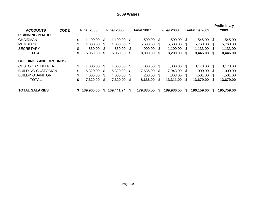# **2009 Wages**

| <b>ACCOUNTS</b>              | <b>CODE</b> |    | <b>Final 2005</b> |     | <b>Final 2006</b> |      | <b>Final 2007</b> |              | <b>Final 2008</b> |      | <b>Tentative 2009</b> |      | <b>Preliminary</b><br>2009 |
|------------------------------|-------------|----|-------------------|-----|-------------------|------|-------------------|--------------|-------------------|------|-----------------------|------|----------------------------|
| <b>PLANNING BOARD</b>        |             |    |                   |     |                   |      |                   |              |                   |      |                       |      |                            |
| <b>CHAIRMAN</b>              |             | \$ | 1,100.00          | -SS | 1,100.00          | - \$ | 1,500.00          | <sup>8</sup> | 1,500.00          | -SS  | 1,545.00              | -SS  | 1,545.00                   |
| <b>MEMBERS</b>               |             | \$ | 4,000.00          | \$. | 4,000.00          | -SS  | 5,600.00          | <sup>8</sup> | 5,600.00          | - \$ | 5,768.00 \$           |      | 5,768.00                   |
| <b>SECRETARY</b>             |             | \$ | 850.00            | -S  | 850.00            | -S   | 900.00            | \$           | 1,100.00          | - \$ | 1,133.00              | \$   | 1,133.00                   |
| <b>TOTAL</b>                 |             | \$ | 5,950.00          | S.  | 5,950.00          | \$   | 8,000.00          | \$           | 8,200.00          | -S   | 8,446.00 \$           |      | 8,446.00                   |
| <b>BUILDINGS AND GROUNDS</b> |             |    |                   |     |                   |      |                   |              |                   |      |                       |      |                            |
| <b>CUSTODIAN HELPER</b>      |             | \$ | 1,000.00          | -S  | 1,000.00          | - \$ | 1,000.00          | - SS         | 1,000.00          | - \$ | 8,178.00 \$           |      | 8,178.00                   |
| <b>BUILDING CUSTODIAN</b>    |             | \$ | 6,320.00          | -S  | 6,320.00          | \$.  | 7,636.00          | \$.          | 7,943.00          | - \$ | 1,000.00              | - \$ | 1,000.00                   |
| <b>BUILDING JANITOR</b>      |             | \$ | 4,000.00          | -S  | 4,000.00          | \$.  | 4,200.00          | \$.          | 4,368.00          | - \$ | 4,501.00              | - \$ | 4,501.00                   |
| <b>TOTAL</b>                 |             | \$ | 7,320.00          | S   | 7,320.00          | S    | 8,636.00          | S            | 13,311.00         | S    | 13,679.00             | - SS | 13,679.00                  |
| <b>TOTAL SALARIES</b>        |             | S. | 139,960.00        | S.  | 169,441.74        | S    | 179,835.55        | S            | 189.936.50        | S    | 196,159.00            | S    | 195,759.00                 |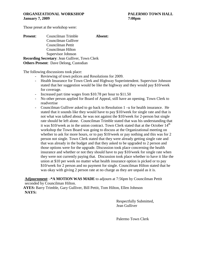Those preset at the workshop were:

| <b>Present:</b> | Councilman Trimble                                    | Absent: |
|-----------------|-------------------------------------------------------|---------|
|                 | Councilman Gulliver                                   |         |
|                 | Councilman Pettit                                     |         |
|                 | Councilman Hilton                                     |         |
|                 | Supervisor Johnson                                    |         |
|                 | <b>Recording Secretary: Jean Gulliver, Town Clerk</b> |         |
|                 | <b>Others Present:</b> Dave Delong, Custodian         |         |

The following discussions took place:

- Reviewing of town polices and Resolutions for 2009.
- Health Insurance for Town Clerk and Highway Superintendent. Supervisor Johnson stated that her suggestion would be like the highway and they would pay \$10/week for coverage.
- Increased part time wages from \$10.78 per hour to \$11.50
- No other person applied for Board of Appeal, still have an opening. Town Clerk to readvertise
- Councilman Gulliver asked to go back to Resolution 1 –u for health insurance. He stated that it sounds like they would have to pay \$10/week for single rate and that is not what was talked about, he was not against the \$10/week for 2-person but single rate should be left alone. Councilman Trimble stated that was his understanding that it was \$10/week as in the union contract. Town Clerk stated that at the October  $14<sup>th</sup>$ workshop the Town Board was going to discuss at the Organizational meeting on whether to ask for more hours, or to pay \$10/week or pay nothing and this was for 2 person not single. Town Clerk stated that they were already getting single rate and that was already in the budget and that they asked to be upgraded to 2 person and those options were for the upgrade. Discussion took place concerning the health insurance and whether or not they should have to pay \$10/week for single rate when they were not currently paying that. Discussion took place whether to have it like the union at \$10 per week no matter what health insurance option is picked or to pay \$10/week for 2 person and no payment for single. Councilman Hilton stated that he was okay with giving 2 person rate at no charge as they are unpaid as it is.

**Adjournment**: **-\*A MOTION WAS MADE** to adjourn at 7:56pm by Councilman Pettit seconded by Councilman Hilton.

**AYES:** Barry Trimble, Gary Gulliver, Bill Pettit, Tom Hilton, Ellen Johnson **NAYS:**

> Respectfully Submitted, Jean Gulliver

Palermo Town Clerk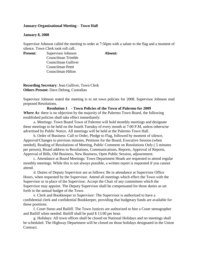## **January Organizational Meeting - Town Hall**

#### **January 8, 2008**

Supervisor Johnson called the meeting to order at 7:56pm with a salute to the flag and a moment of silence. Town Clerk took roll call:.

**Present**: Supervisor Johnson **Absent:**

Councilman Trimble Councilman Gulliver Councilman Pettit Councilman Hilton

**Recording Secretary**: Jean Gulliver, Town Clerk **Others Present**: Dave Delong, Custodian

Supervisor Johnson stated the meeting is to set town policies for 2008. Supervisor Johnson read proposed Resolutions.

**Resolution 1 - Town Policies of the Town of Palermo for 2009** *Where As*: there is no objection by the majority of the Palermo Town Board, the following established policies shall take effect immediately:

a. Meetings: Town Board Town of Palermo will hold monthly meetings and designate these meetings to be held on the fourth Tuesday of every month at 7:00 P.M, unless otherwise advertised by Public Notice. All meetings will be held at the Palermo Town Hall.

b. Order of Business: Call to Order, Pledge to Flag, followed by moment of silence, Approval/Changes to previous minutes, Petitions for the Board, Executive Session (when needed), Reading of Resolutions of Meeting, Public Comment on Resolutions Only ( 5 minutes per person), Board address to Resolutions, Communications, Reports, Approval of Reports, Approval of Bills, Old Business, New Business, Open Public Session, adjournment.

c. Attendance at Board Meetings: Town Department Heads are requested to attend regular monthly meetings. While this is not always possible, a written report is requested if you cannot attend.

d. Duties of Deputy Supervisor are as follows: Be in attendance at Supervisor Office Hours, when requested by the Supervisor. Attend all meetings which effect the Town with the Supervisor or in place of the Supervisor. Accept the Chair of any committees which the Supervisor may appoint. The Deputy Supervisor shall be compensated for those duties as set forth in the annual budget of the Town.

e. Clerk and Bookkeeper to Supervisor: The Supervisor is authorized to have a confidential clerk and confidential Bookkeeper, providing that budgetary funds are available for those positions.

f. Court Steno and Bailiff. The Town Justices are authorized to hire a Court stenographer and Bailiff when needed. Bailiff shall be paid \$ 13.00 per hour.

g. Holidays: All town offices shall be closed on National Holidays and no meetings shall be scheduled. The Highway Department will be closed on those holidays designated in the Union Contract.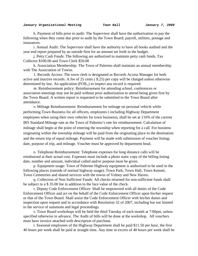h. Payment of bills prior to audit: The Supervisor shall have the authorization to pay the following when they come due prior to audit by the Town Board; payroll, utilities, postage and insurances.

i. Annual Audit: The Supervisor shall have the authority to have all books audited and the year end report prepared by an outside firm for an amount set forth in the budget.

j. Petty Cash Funds: The following are authorized to maintain petty cash funds, Tax Collector \$100.00 and Town Clerk \$50.00

k. Association Membership: The Town of Palermo shall maintain an annual membership with The Association of Towns.

1. Records Access: The town clerk is designated as Records Access Manager for both active and inactive records. A fee of 25 cents ( \$.25) per copy will be charged unless otherwise determined by law. An application (FOIL,) to inspect any record is required.

m. Reimbursement policy: Reimbursement for attending school, conferences or association meetings may not be paid without prior authorization to attend being given first by the Town Board. A written report is requested to be submitted to the Town Board after attendance.

n. Mileage Reimbursement: Reimbursement for mileage on personal vehicle while performing Town Business for all officers, employees ( including Highway Department employees when using their own vehicles for town business), shall be set at 110% of the current IRS Standard Mileage rate as the Town of Palermo's rate for reimbursement. Calculation of mileage shall begin at the point of entering the township when reporting for a call. For business originating within the township mileage will be paid from the originating place to the destination and the return trip of equal mileage. Payment will be made with submission of voucher listing; date, purpose of trip, and mileage. Voucher must be approved by department head.

o. Telephone Reimbursement: Telephone expenses for long distance calls will be reimbursed at their actual cost. Expenses must include a photo static copy of the billing listing date, number and amount, individual called and/or purpose must be given.

p. Equipment usage: Town of Palermo Highway equipment is authorized to be used in the following places (outside of normal highway usage); Town Park, Town Hall, Town Kennel, Town Cemeteries and shared services with the towns of Volney and New Haven.

q. Collection of Non Sufficient Funds: All checks returned for non-sufficient funds shall be subject to a \$ 35.00 fee in addition to the face value of the check.

r. Deputy Code Enforcement Officer: Shall be empowered with all duties of the Code Enforcement Officer and act on the behalf of the Code Enforcement Officer upon his/her request or that of the Town Board. Shall assist the Code Enforcement Officer with his/her duties and inspection upon request and in accordance with Resolution 32 of 2007, including but not limited to the service of summons and legal proceedings.

s. Town Board workshops will be held the third Tuesday of each month at 7:00pm, unless specified otherwise in advance. The Audit of bills will be done at the workshop. All vouchers must have invoice attached with description of purchase.

t. Seasonal employees of the Highway Department shall be paid \$11.50 per hour, the first 40 hours per week shall be paid at straight time. Any time in excess of 40 hours per week shall be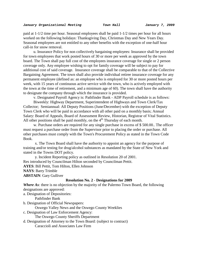paid at 1-1/2 time per hour. Seasonal employees shall be paid 1-1/2 times per hour for all hours worked on the following holidays: Thanksgiving Day, Christmas Day and New Years Day. Seasonal employees are not entitled to any other benefits with the exception of one-half hour call-in for snow removal.

u. Insurance Policy for non collectively bargaining employees: Insurance shall be provided for town employees that work posted hours of 30 or more per week as approved by the town board. The Town shall pay full cost of the employees insurance coverage for single or 2 person coverage only. Any employee wishing to opt for family coverage will be subject to pay for additional cost of said coverage. Insurance coverage shall be comparable to that of the Collective Bargaining Agreement. The town shall also provide individual retiree insurance coverage for any permanent employee (defined as: an employee who is employed for 30 or more posted hours per week, with 15 years of continuous active service with the town, who is actively employed with the town at the time of retirement, and a minimum age of 60). The town shall have the authority to designate the company through which the insurance is provided.

v. Designated Payroll Agency is: Pathfinder Bank - ADP Payroll schedule is as follows:

Biweekly: Highway Department, Superintendent of Highways and Town Clerk/Tax Collector; Semiannual: All Deputy Positions (June/December) with the exception of Deputy Town Clerk who will be paid in accordance with all other paid on a monthly basis; Annual Salary: Board of Appeals, Board of Assessment Review, Historian, Registrar of Vital Statistics. All other positions shall be paid monthly, on the  $4<sup>th</sup>$  Thursday of each month.

w. Purchase orders are required for any single purchase in excess of \$ 500.00.. The officer must request a purchase order from the Supervisor prior to placing the order or purchase. All other purchases must comply with the Town's Procurement Policy as stated in the Town Code Book.

x. The Town Board shall have the authority to appoint an agency for the purpose of training and/or testing for drug/alcohol substances as mandated by the State of New York and stated in the Towns DOT policy.

y. Incident Reporting policy as outlined in Resolution 20 of 2001. Res introduced by Councilman Hilton seconded by Councilman Pettit. **AYES**: Bill Pettit, Tom Hilton, Ellen Johnson **NAYS**: Barry Trimble **ABSTAIN**: Gary Gulliver

#### **Resolution No. 2** - **Designations for 2009**

*Where As*: there is no objection by the majority of the Palermo Town Board, the following designations are approved:

a. Designation of Depositories:

Pathfinder Bank

b. Designation of Official Newspapers:

Oswego Valley News and the Oswego County Weeklies

c. Designation of Law Enforcement Agency:

The Oswego County Sheriffs Department

d. Designation of Attorney to the Town Board: (subject to contract) Caraccioli and Associates Law Firm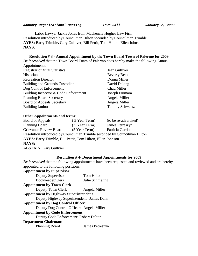Labor Lawyer Jackie Jones from Mackenzie Hughes Law Firm Resolution introduced by Councilman Hilton seconded by Councilman Trimble. **AYES:** Barry Trimble**,** Gary Gulliver, Bill Pettit, Tom Hilton, Ellen Johnson **NAYS:**

**Resolution # 3 - Annual Appointment by the Town Board Town of Palermo for 2009** *Be it resolved* that the Town Board Town of Palermo does hereby make the following Annual Appointments:

| $A$ pponiuments.                      |                       |
|---------------------------------------|-----------------------|
| <b>Registrar of Vital Statistics</b>  | Jean Gulliver         |
| Historian                             | <b>Beverly Beck</b>   |
| <b>Recreation Director</b>            | Donna Miller          |
| <b>Building and Grounds Custodian</b> | David Delong          |
| Dog Control Enforcement               | Chad Miller           |
| Building Inspector & Code Enforcement | Joseph Fiumara        |
| <b>Planning Board Secretary</b>       | Angela Miller         |
| <b>Board of Appeals Secretary</b>     | Angela Miller         |
| <b>Building Janitor</b>               | <b>Tammy Schwartz</b> |

#### **Other Appointments and terms:**

| Board of Appeals                                                   | (5 Year Term) | (to be re-advertised)                                                      |
|--------------------------------------------------------------------|---------------|----------------------------------------------------------------------------|
| <b>Planning Board</b>                                              | (5 Year Term) | James Petreszyn                                                            |
| <b>Grievance Review Board</b>                                      | (5 Year Term) | Patricia Garrison                                                          |
|                                                                    |               | Resolution introduced by Councilman Trimble seconded by Councilman Hilton. |
| <b>AYES:</b> Barry Trimble, Bill Pettit, Tom Hilton, Ellen Johnson |               |                                                                            |
| <b>NAYS:</b>                                                       |               |                                                                            |
| <b>ABSTAIN: Gary Gulliver</b>                                      |               |                                                                            |

### **Resolution # 4- Department Appointments for 2009**

*Be it resolved* that the following appointments have been requested and reviewed and are hereby appointed to the following positions:

| <b>Appointment by Supervisor:</b>            |                 |
|----------------------------------------------|-----------------|
| Deputy Supervisor                            | Tom Hilton      |
| Bookkeeper/Clerk                             | Julie Schmeling |
| <b>Appointment by Town Clerk</b>             |                 |
| Deputy Town Clerk                            | Angela Miller   |
| <b>Appointment by Highway Superintendent</b> |                 |
| Deputy Highway Superintendent: James Dann    |                 |
| <b>Appointment by Dog Control Officer:</b>   |                 |
| Deputy Dog Control Officer: Angela Miller    |                 |
| <b>Appointment by Code Enforcement:</b>      |                 |
| Deputy Code Enforcement: Robert Dalton       |                 |
| <b>Department Chairman:</b>                  |                 |
| <b>Planning Board</b>                        | James Petreszyn |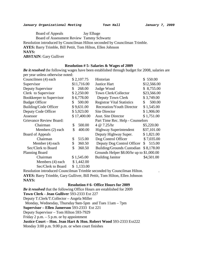Board of Appeals Jay Elhage Board of Assessment Review Tammy Schwartz Resolution introduced by Councilman Hilton seconded by Councilman Trimble. **AYES:** Barry Trimble, Bill Pettit, Tom Hilton, Ellen Johnson **NAYS: ABSTAIN**: Gary Gulliver

#### **Resolution # 5- Salaries & Wages of 2009**

*Be it resolved* the following wages have been established through budget for 2008, salaries are per year unless otherwise noted:

| Councilmen (4) each      | \$2,107.75   | Historian                                 | \$550.00     |
|--------------------------|--------------|-------------------------------------------|--------------|
| Supervisor               | \$11,716.00  | <b>Justice Hart</b>                       | \$12,566.00  |
| Deputy Supervisor        | 268.00<br>\$ | Judge Wood                                | \$8,755.00   |
| Clerk to Supervisor      | \$2,250.00   | Town Clerk/Collector                      | \$23,566.00  |
| Bookkeeper to Supervisor | \$6,778.00   | Deputy Town Clerk                         | \$3,749.00   |
| <b>Budget Officer</b>    | 500.00<br>S. | <b>Registrar Vital Statistics</b>         | 500.00<br>\$ |
| Building/Code Officer    | \$9,631.00   | <b>Recreation/Youth Director</b>          | \$1,545.00   |
| Deputy Code Officer      | \$5,923.00   | <b>Site Director</b>                      | \$1,906.00   |
| Assessor                 | \$17,400.00  | <b>Asst. Site Director</b>                | \$1,751.00   |
| Grievance Review Board:  |              | Part Time Rec. Help - Counselors          |              |
| Chairman                 | 500.00<br>\$ | 4 @ 7.25/hr                               | \$5,220.00   |
| Members (2) each         | \$<br>400.00 | <b>Highway Superintendent</b>             | \$37,101.00  |
| Board of Appeals         |              | Deputy Highway Super.                     | \$1,821.00   |
| Chairman                 | \$<br>515.00 | Dog Control Officer                       | \$7,035.00   |
| Member (4) each          | 360.50<br>\$ | Deputy Dog Control Officer                | \$515.00     |
| Sec/Clerk to Board       | \$<br>360.50 | Building/Grounds Custodian                | \$8,178.00   |
| <b>Planning Board</b>    |              | Grounds Helper \$8.00/hr up to \$1,000.00 |              |
| Chairman                 | \$1,545.00   | <b>Building Janitor</b>                   | \$4,501.00   |
| Members (4) each         | \$1,442.00   |                                           |              |
| Sec/Clerk to Board       | \$1,133.00   |                                           |              |

Resolution introduced Councilman Trimble seconded by Councilman Hilton. . **AYES:** Barry Trimble, Gary Gulliver, Bill Pettit, Tom Hilton, Ellen Johnson **NAYS:**

#### **Resolution # 6- Office Hours for 2009**

*Be it resolved* that the following Office Hours are established for 2009 **Town Clerk - Jean Gulliver** 593-2333 Ext 227 Deputy T.Clerk/T.Collector – Angela Miller Monday, Wednesday, Thursday 9am-5pm and Tues 11am – 7pm **Supervisor – Ellen Jamerson** 593-2333 Ext 221 Deputy Supervisor – Tom Hilton 593-7929 Friday 2 p.m.  $-5$  p.m. or by appointment **Justice Court – Hon. Jean Hart & Hon. Robert Wood** 593-2333 Ext222 Monday 3:00 p.m. 9:00 p.m. or when court finishes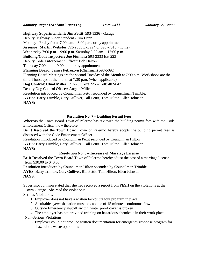# **Highway Superintendent: Jim Pettit** 593-1336 - Garage

Deputy Highway Superintendent - Jim Dann Monday - Friday from 7:00 a.m. - 3:00 p.m. or by appointment **Assessor: Martin Webster** 593-2333 Ext 224 or 598 -7318 (home) Wednesday 7:00 p.m. - 9:00 p.m. Saturday 9:00 am. - 12:00 p.m. **Building/Code Inspector: Joe Fiumara** 593-2333 Ext 223 Deputy Code Enforcement Officer: Bob Dalton Thursday 7:00 p.m. - 9:00 p.m. or by appointment **Planning Board: James Petreszyn** (Chairman) 598-5092 Planning Board Meetings are the second Tuesday of the Month at 7:00 p.m. Workshops are the third Thursdays of the month at 7:30 p.m. (when applicable) **Dog Control: Chad Miller** 593-2333 ext 226 – Cell: 402-0471 Deputy Dog Control Officer: Angela Miller Resolution introduced by Councilman Pettit seconded by Councilman Trimble. **AYES:** Barry Trimble**,** Gary Gulliver, Bill Pettit, Tom Hilton, Ellen Johnson **NAYS:**

# **Resolution No. 7 – Building Permit Fees**

**Whereas** the Town Board Town of Palermo has reviewed the building permit fees with the Code Enforcement Officer, now therefore,

**Be It Resolved** the Town Board Town of Palermo hereby adopts the building permit fees as discussed with the Code Enforcement Officer.

Resolution introduced by Councilman Pettit seconded by Councilman Hilton.

**AYES:** Barry Trimble, Gary Gulliver, Bill Pettit, Tom Hilton, Ellen Johnson **NAYS:** 

# **Resolution No. 8 – Increase of Marriage License**

**Be It Resolved** the Town Board Town of Palermo hereby adjust the cost of a marriage license from \$30.00 to \$40.00.

Resolution introduced by Councilman Hilton seconded by Councilman Trimble.

**AYES**: Barry Trimble, Gary Gulliver, Bill Pettit, Tom Hilton, Ellen Johnson **NAYS**:

Supervisor Johnson stated that she had received a report from PESH on the violations at the

Town Garage. She read the violations:

Serious Violations:

- 1. Employer does not have a written lockout/tagout program in place.
- 2. A suitable eyewash station must be capable of 15 minutes continuous flow
- 3. Outside Emergency shutoff switch, water proof cover is broken

# 4. The employer has not provided training on hazardous chemicals in their work place Non-Serious Violations:

5. Employer could not produce written documentation for emergency response program for hazardous waste operations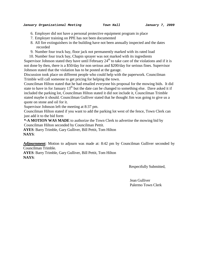- 6. Employer did not have a personal protective equipment program in place
- 7. Employer training on PPE has not been documented
- 8. All fire extinguishers in the building have not been annually inspected and the dates recorded
- 9. Number four truck bay, floor jack not permanently marked with its rated load
- 10. Number four truck bay, Chapin sprayer was not marked with its ingredients

Supervisor Johnson stated they have until February  $24<sup>th</sup>$  to take care of the violations and if it is not done by then, there is a \$50/day for non serious and \$200/day for serious fines. Supervisor Johnson stated that the violation has to be posted at the garage.

Discussion took place on different people who could help with the paperwork. Councilman Trimble will call someone to get pricing for helping the town.

Councilman Hilton stated that he had emailed everyone his proposal for the mowing bids. It did state to have in for January  $13<sup>th</sup>$  but the date can be changed to something else. Dave asked it if included the parking lot, Councilman Hilton stated it did not include it, Councilman Trimble stated maybe it should. Councilman Gulliver stated that he thought Jim was going to give us a quote on stone and oil for it.

Supervisor Johnson left the meeting at 8:37 pm.

Councilman Hilton stated if you want to add the parking lot west of the fence, Town Clerk can just add it to the bid form

**\*-A MOTION WAS MADE** to authorize the Town Clerk to advertise the mowing bid by Councilman Hilton seconded by Councilman Pettit.

**AYES**: Barry Trimble, Gary Gulliver, Bill Pettit, Tom Hilton **NAYS**:

**Adjournment**: Motion to adjourn was made at: 8:42 pm by Councilman Gulliver seconded by Councilman Trimble.

**AYES**: Barry Trimble, Gary Gulliver, Bill Pettit, Tom Hilton **NAYS**:

Respectfully Submitted,

 Jean Gulliver Palermo Town Clerk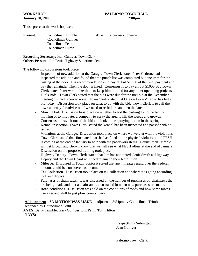Those preset at the workshop were:

**Present**: Councilman Trimble **Absent:** Supervisor Johnson Councilman Gulliver Councilman Pettit Councilman Hilton

**Recording Secretary**: Jean Gulliver, Town Clerk **Others Present**: Jim Pettit, Highway Superintendent

The following discussions took place:

- Inspection of new addition at the Garage. Town Clerk stated Peter Cedrone had inspected the addition and found that the punch list was completed but one item for the rusting of the door. His recommendation is to pay all but \$1,000 of the final payment and pay the remainder when the door is fixed. Consensus is to pay all but \$1000.00 . Town Clerk stated Peter would like them to keep him in mind for any other upcoming projects.
- Fuels Bids. Town Clerk stated that the bids were due for the fuel bid at the December meeting but had received none. Town Clerk stated that Oneida Lake/Mirabito has left a bid today. Discussion took place on what to do with the bid. Town Clerk is to call the town attorney for advise on if we need to re-bid or can open the late bid.
- Mowing bid. Discussion took place on whether to add the parking lot to the bid for mowing or to hire later a company to spray the area to kill the weeds and growth. Consensus to leave it out of the bid and look at the spraying option in the spring
- Kennel inspection. Town Clerk stated the kennel has been inspected and passed with no issues.
- Violations at the Garage. Discussion took place on where we were at with the violations. Town Clerk stated that Jim stated that he has fixed all the physical violations and PESH is coming at the end of January to help with the paperwork items. Councilman Trimble will let Brown and Brown know that we will see what PESH offers at the end of January. Discussion on the proposed training took place.
- Highway Deputy. Town Clerk stated that Jim has appointed Geoff Smith as Highway Deputy and the Town Board will need to amend their Resolution.
- Mileage. Discussed in Town Topics it stated that any mileage repaid over the Federal amount could be considered as income
- Tax Collection. Discussion took place on tax collection and where it is going according to Town Topics.
- Purchases of chain saws. It was discussed on the number of purchases of chainsaws that are being made and that a chainsaw is also traded in when new purchases are made.
- Road conditions. Discussion was held on the conditions of roads and how some towns use a second shift to just plow county roads.

**Adjournment**: **-\*A MOTION WAS MADE** to adjourn at 8:54pm by Councilman Trimble seconded by Councilman Pettit.

**AYES:** Barry Trimble, Gary Gulliver, Bill Pettit, Tom Hilton **NAYS:**

> Respectfully Submitted, Jean Gulliver

Palermo Town Clerk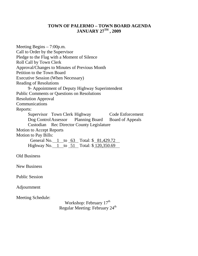# **TOWN OF PALERMO – TOWN BOARD AGENDA JANUARY 27TH , 2009**

Meeting Begins – 7:00p.m. Call to Order by the Supervisor Pledge to the Flag with a Moment of Silence Roll Call by Town Clerk Approval/Changes to Minutes of Previous Month Petition to the Town Board Executive Session (When Necessary) Reading of Resolutions 9- Appointment of Deputy Highway Superintendent Public Comments or Questions on Resolutions Resolution Approval Communications Reports: Supervisor Town Clerk Highway Code Enforcement Dog Control Assessor Planning Board Board of Appeals Custodian Rec Director County Legislature Motion to Accept Reports Motion to Pay Bills: General No. 1 to 63 Total: \$ 81,429.72 Highway No.  $1$  to  $51$  Total:  $\sqrt[3]{120,350.69}$ Old Business New Business Public Session Adjournment Meeting Schedule: Workshop: February 17<sup>th</sup> Regular Meeting: February 24<sup>th</sup>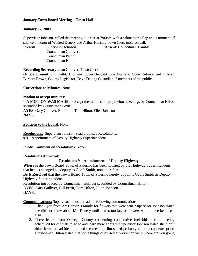# **January Town Board Meeting - Town Hall**

# **January 27, 2009**

Supervisor Johnson called the meeting to order at 7:00pm with a salute to the flag and a moment of silence in honor of Wilfred Denery and Arthur Hansen. Town Clerk took roll call:

Councilman Gulliver Councilman Pettit Councilman Hilton

**Present**: Supervisor Johnson **Absent:** Councilman Trimble

**Recording Secretary**: Jean Gulliver, Town Clerk

**Others Present**: Jim Pettit, Highway Superintendent; Joe Fiumara, Code Enforcement Officer; Barbara Brown, County Legislator; Dave Delong Custodian; 2 members of the public.

# **Corrections to Minutes**: None

## **Motion to accept minutes**:

**\*-A MOTION WAS MADE** to accept the minutes of the previous meetings by Councilman Hilton seconded by Councilman Pettit. **AYES**: Gary Gulliver, Bill Pettit, Tom Hilton, Ellen Johnson **NAYS**:

**Petitions to the Board**: None

**Resolutions:** Supervisor Johnson read proposed Resolutions: # 9 – Appointment of Deputy Highway Superintendent

## **Public Comment on Resolutions**: None

## **Resolutions Approval**:

# **Resolution 9 – Appointment of Deputy Highway**

**Whereas** the Town Board Town of Palermo has been notified by the Highway Superintendent that he has changed his deputy to Geoff Smith, now therefore,

**Be It Resolved** that the Town Board Town of Palermo hereby appoints Geoff Smith as Deputy Highway Superintendent.

Resolution introduced by Councilman Gulliver seconded by Councilman Hilton.

AYES: Gary Gulliver, Bill Pettit, Tom Hilton, Ellen Johnson NAYS:

**Communications:** Supervisor Johnson read the following communications:

- 1. Thank you from Art Hansen's family for flowers that were sent. Supervisor Johnson stated she did not know about Mr. Denery until it was too late or flowers would have been sent also.
- 2. Three letters from Oswego County concerning cooperative fuel bids and a meeting scheduled for officials to go to and learn more about it. Supervisor Johnson stated she didn't think it was a bad idea to attend the meeting. Jim stated probably could get a better price. Councilman Hilton stated that some things discussed at workshop were where are you going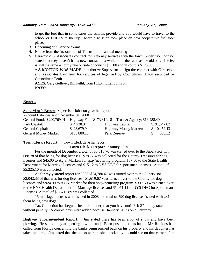to get the fuel that in some cases the schools provide and you would have to travel to the school or BOCES to fuel up. More discussion took place on how cooperative fuel took place.

- 3. Upcoming civil service exams.
- 4. Notice from the Association of Towns for the annual meeting
- 5. Caracciolo & Associates contract for Attorney services with the town. Supervisor Johnson stated that they haven't had a new contract in a while. It is the same as the old one. The fee is still the same – hourly rate outside of court is \$95.00 and in court is \$125.00.

**\*-A MOTION WAS MADE** to authorize Supervisor to sign the contract with Caracciolo and Associates Law firm for services of legal aid by Councilman Hilton seconded by Councilman Pettit.

**AYES**: Gary Gulliver, Bill Pettit, Tom Hilton, Ellen Johnson **NAYS**:

#### **Reports**

#### **Supervisor's Report**: Supervisor Johnson gave her report:

Account Balances as of December 31, 2008

| General Fund: \$290,769.91   |              | Highway Fund \$173,819.18 Trust & Agency: \$16,488.40 |              |
|------------------------------|--------------|-------------------------------------------------------|--------------|
| Park Capital:                | \$4,238.94   | Highway Capital:                                      | \$191,647.82 |
| General Capital:             | \$28,679.94  | <b>Highway Money Market:</b>                          | \$10,452.43  |
| <b>General Money Market:</b> | \$108,880.15 | Park Reserve:                                         | 565.12       |

**Town Clerk's Report**: Town Clerk gave her report:

#### **Town Clerk's Report January 2009**

For the month of December a total of \$5,018.76 was turned over to the Supervisor with \$88.78 of that being for dog licenses. \$78.72 was collected for the County Treasurer for dog licenses and \$45.00 to Ag & Markets for spay/neutering program, \$67.50 to the State Health Department for Marriage licenses and \$15.12 to NYS DEC for sportsman licenses. A total of \$5,225.10 was collected.

 As for my yearend report for 2008: \$24,280.61 was turned over to the Supervisor. \$2,042.33 of that was for dog licenses. \$1,619.67 Was turned over to the County for dog licenses and \$924.00 to Ag & Market for their spay/neutering program. \$337.50 was turned over to the NYS Health Department for Marriage licenses and \$5,051.11 to NYS DEC for Sportsman Licenses. A total of \$32,412.89 was collected.

 15 marriage licenses were issued in 2008 and total of 790 dog licenses issued with 231 of them being new dogs.

Tax Collection has begun. Just a reminder, that you have until Feb  $2<sup>nd</sup>$  to pay taxes without penalty. A couple days were added because January  $31<sup>st</sup>$  is on a Saturday.

**Highway Superintendent Report:** Jim stated there has been a lot of snow and have been plowing. He stated they are getting low on sand. Been pushing banks back. Mr. Runions had called from Florida concerning the banks being pushed back on his property and his daughter has taken pictures. Jim stated that the banks were pushed back so you could see on that corner. Jim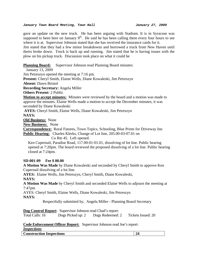#### *January Town Board Meeting, Town Hall January 27, 2009*

gave an update on the new truck. He has been arguing with Stadium. It is in Syracuse was supposed to been here on January  $9<sup>th</sup>$ . He said he has been calling them every four hours to see where it is at. Supervisor Johnson stated that she has received the insurance cards for it.

Jim stated that they had a few minor breakdowns and borrowed a truck from New Haven until theirs broke down. Truck is back up and running. Jim stated that he is having issues with the plow on his pickup truck. Discussion took place on what it could be

**Planning Board:** Supervisor Johnson read Planning Board minutes:

January 13, 2009

Jim Petreszyn opened the meeting at 7:16 pm.

**Present:** Cheryl Smith, Elaine Wells, Diane Kowaleski, Jim Petreszyn

**Absent:** Dawn Bristol

**Recording Secretary:** Angela Miller

**Others Present:** 2 Public

**Motion to accept minutes:** Minutes were reviewed by the board and a motion was made to approve the minutes. Elaine Wells made a motion to accept the December minutes; it was seconded by Diane Kowaleski

**AYES:** Cheryl Smith, Elaine Wells, Diane Kowaleski, Jim Petreszyn

#### **NAYS:**

**Old Business:** None

**New Business:** None

**Correspondence:** Rural Futures, Town Topics, Schooling, Blue Prints for Driveway Inn **Public Hearing:** Charles Klerks, Change of Lot line, 205.00-03-07.01 on

Co Rte 45. Left opened.

 Ken Cupernail, Paradise Road, 117.00-01-01.01, dissolving of lot line. Public hearing opened at 7:20pm. The board reviewed the proposed dissolving of a lot line. Public hearing closed at 7:24pm.

## **SD-001-09 Fee \$ 00.00**

**A Motion Was Made** by Diane Kowaleski and seconded by Cheryl Smith to approve Ken Cupernail dissolving of a lot line.

**AYES:** Elaine Wells, Jim Petreszyn, Cheryl Smith, Diane Kowaleski,

**NAYS:** 

**A Motion Was Made** by Cheryl Smith and seconded Elaine Wells to adjourn the meeting at 7:47pm

AYES: Cheryl Smith, Elaine Wells, Diane Kowaleski, Jim Petreszyn **NAYS:** 

Respectfully submitted by, Angela Miller - Planning Board Secretary

**Dog Control Report**: Supervisor Johnson read Chad's report:

Total Calls: 16 Dogs Picked up: 2 Dogs Redeemed: 2 Tickets Issued: 20

# **Code Enforcement Officer Report:** Supervisor Johnson read Joe's report:

*Inspections*

| <b>Construction Inspections</b> |
|---------------------------------|
|---------------------------------|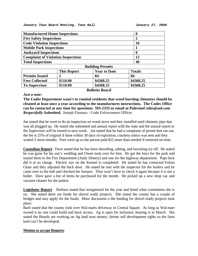*January Town Board Meeting, Town Hall January 27, 2009* 

| <b>Manufactured Home Inspections</b>      |    |  |  |
|-------------------------------------------|----|--|--|
| <b>Fire Safety Inspections</b>            |    |  |  |
| <b>Code Violation Inspections</b>         | 10 |  |  |
| <b>Mobile Park Inspections</b>            |    |  |  |
| <b>Junkyard Inspections</b>               |    |  |  |
| <b>Complaint of Violation Inspections</b> | 12 |  |  |
| <b>Total Inspections</b>                  | 49 |  |  |
| <b>Ruilding Pormits</b>                   |    |  |  |

| DUNUME I CLIMIS       |                    |                       |               |  |
|-----------------------|--------------------|-----------------------|---------------|--|
|                       | <b>This Report</b> | <b>Year to Date</b>   | <b>Totals</b> |  |
| <b>Permits Issued</b> |                    | 84                    | 84            |  |
| <b>Fees Collected</b> | \$110.00           | \$4368.25             | \$4368.25     |  |
| <b>To Supervisor</b>  | \$110.00           | \$4368.25             | \$4368.25     |  |
|                       |                    | <b>Bulletin Board</b> |               |  |

#### *Just a note***:**

**The Codes Department wasn't to remind residents that wood burning chimneys should be cleaned at least once a year according to the manufactures instructions. The Codes Office can be contacted at any time for questions 593-2333 or email at PalermoCodes@aol.com**  *Respectfully Submitted,* Joseph Fiumara - Code Enforcement Officer

Joe stated that he went to do an inspection on wood stove and they installed used chimney pipe that was all plugged up. He stated she submitted and annual report with the state and the annual report to the Supervisor will be turned in next week.. Joe stated that he had a complaint of permit that ran out, the fee is 25% of original if done within 30 days of expiration, courtesy notice was sent and they waited 2 more months. Fees went up so the person paid \$25 more than needed if renewed on time.

**Custodian Report**: Dave stated that he has been shoveling, salting, and knocking ice off. He stated he was gone for his son's wedding and Owen took over for him. He got the keys for the park and issued them to the Fire Department (Andy Denery) and one for the highway department. Pups lock did it at no charge. Electric eye on the Kennel is completed. He stated he has contacted Fulton Glass and they adjusted the back door. He stated he met with the inspector for the boilers and he came over to the hall and checked the furnace. They won't have to check it again because it is not a boiler. Dave gave a list of items he purchased for the month. He picked up a new shop vac and vacuum cleaner for the janitor.

**Legislator Report**: Barbara stated that reorganized for the year and listed what committees she is on. She stated there are funds for shovel ready projects. She stated the county has a couple of bridges and may apply for the funds. More discussion o the funding for shovel ready projects took place.

Barb stated that the county took over Wal-marts driveway in Central Square. As long as Wal-mart owned it no one could build and have access. Ag is open for inclusion, hearing is in March. She stated the Boards are working on Ag land trust money, farmer sell development rights so the farm land can't be developed.

## **Motion to accept Reports**: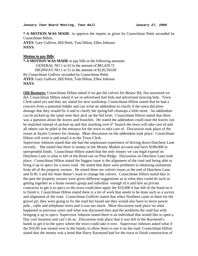**\*-A MOTION WAS MADE** to approve the reports as given by Councilman Pettit seconded by Councilman Hilton.

**AYES**: Gary Gulliver, Bill Pettit, Tom Hilton, Ellen Johnson **NAYS**:

#### **Motion to pay Bills**:

**\*-A MOTION WAS MADE** to pay bills in the following amounts: GENERAL NO 1 to 63 in the amount of \$81,429.72 HIGHWAY NO 1 to 51 in the amount of \$120,350.69 By Councilman Gulliver seconded by Councilman Pettit. **AYES**: Gary Gulliver, Bill Pettit, Tom Hilton, Ellen Johnson **NAYS**:

**Old Business:** Councilman Hilton asked if we got the culvert for Besaw Rd, Jim answered we did. Councilman Hilton asked if we re-advertised fuel bids and advertised mowing bids. Town Clerk sated yes and they are slated for next workshop. Councilman Hilton stated that he had a concern from a potential bidder and can write an addendum to clarify if the town did plow damage that they would fix it and to clarify the spring/fall cleanups a little more. An addendum can be picked up the same time they pick up the bid form. Councilman Hilton stated that there was a question about the leaves and branches. He stated the addendum could state the leaves can be mulched instead of picked up and that anything over 6" branch the town will take care of and all others can be piled at the entrance for the town to take care of. Discussion took place of the issues at Sayles Corners for cleanup. More discussion on the addendum took place. Councilman Hilton will write it and email it to the Town Clerk.

Supervisor Johnson stated that she had the unpleasant experience of driving down Dutchess Lane recently. She stated that there is money in the Money Market account and have \$108,000 in unexpended funds. Councilman Hilton stated that the only money we can legal expend on Dutchess Lane is what is left of the Bond use on Pine Ridge. Discussion on Dutchess Lane took place. Councilman Hilton stated the biggest issue is the alignment of the road and being able to bring it up to specs for a town road. He stated that there were problems in obtaining easements from all of the property owners. He stated there are culvert issues at the end of Dutchess Lane and St Rt 3 and the State doesn't want to change the culvert. Councilman Hilton stated that in the past the property owners were given different suggestions as to what they could do such as getting together as a home owners group and subsidize enough of it and hire an private contractor to get it to specs so the town could then apply the \$10,000 it has left of the bond on it to finish it. Councilman Hilton stated there is a lot of work that needs to be done such as a survey and alignment of the road. Councilman Gulliver stated that when Northern came in there for the gravel pit, they were going to fix the road but found out they would also have to move power pole , cable and telephone wires and it was too much. More discussion took place on what happened in previous years and what was discussed then and the problems the road has with bringing it up to specs. Supervisor Johnson stated there is an individual that would like to open a Day care business and can't do so. Discussion took place that it was left in the Raymond's hands to get it to the specs where the town could take it over. Supervisor Johnson asked what if the \$10,00 was turned over to the family to allow them to use it on the road. Councilman Hilton stated that the money was a bond that Harry Raymond had for the town to finish construction of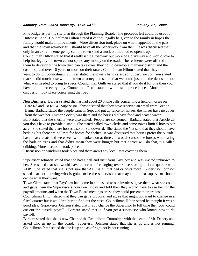#### *January Town Board Meeting, Town Hall January 27, 2009*

Pine Ridge as per his site plan through the Planning Board. The proceeds left could be used for Dutchess Lane. Councilman Hilton stated it cannot legally be given to the family in hopes the family would make improvements. More discussion took place on what happened in the past and that the town attorney still should have all the paperwork from then. It was discussed that only in an extreme emergency can the town send a truck on the road to open it up. Councilman Hilton stated that it really isn't a roadway but more of a driveway and would love to help but legally the town cannot spend any money on the road. The residents were offered for them to develop it the town then can take over, they could develop a highway district and the cost is spread over 10 years or more on their taxes. Councilman Hilton stated that they didn't want to do it. Councilman Gulliver stated the town's hands are tied. Supervisor Johnson stated that she did touch base with the town attorney and stated that we could just take the deeds and do what was needed to bring to specs. Councilman Gulliver stated that if you do it for one then you have to do it for everybody. Councilman Pettit stated it would set a precedence. More discussion took place concerning the road.

**New Business:** Barbara stated she has had about 20 phone calls concerning a field of horses on Hare Rd and Co Rt 54. Supervisor Johnson stated that they have received an email from Brenda Dann. Barbara stated the people came in Sept and put up fence for horses, the horses have no cover from the weather. Human Society was there and the horses did have food and heated water. Barb stated that the sheriffs were also called. People are concerned. Barbara stated that Article 26 you don't have to provide a stable. She stated called town clerks and some towns limit 5 horses per acre. She stated there are horses also on Sundown rd. She stated the Vet said that they should have bedding but there are no laws for horses for shelter. It was discussed that horses prefer the outside, have heavy coats and were seen with blankets on at times. It was discussed the horses were eating the bark on trees and that didn't mean they were hungry but that horses will do that, it's called cribbing. More discussion took place.

Discussion on windmills took place and there aren't any local laws covering them.

Supervisor Johnson stated that she had a call and visit from PayChex and was invited unknown to her. She stated that she would have concerns of changing over since starting a fiscal quarter with ADP. She stated that she is not sure that ADP is all that bad or costs more. Supervisor Johnson stated that not knowing who is going to be the supervisor that maybe the next supervisor should decide what they want.

Town Clerk stated that PayChex had come in and asked to see invoices, gave them what she could and gave them the Supervisor's hours on Friday and told then they would have to see her for the payroll amounts and when the Town Board meetings are so they could present their proposal.

Councilman Hilton stated that they can get a proposal and agree that might not want to change in a fiscal quarter but it wouldn't hurt to find out the costs. Councilman Hilton stated he thought it was a good idea. Supervisor Johnson stated that if you change the Supervisor to full time then you could cut out the outside payroll. Barbara stated that is if you get a supervisor who knows how to do payroll.

Barbara stated that she is now Chair of the Republican Committee with the death of Mr. Denery and asked who us up on the board. Supervisor Johnson stated that she is up and is not running. Councilman Pettit stated that he is up and as of right not is not running.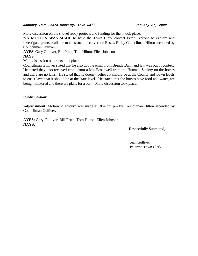#### *January Town Board Meeting, Town Hall January 27, 2009*

More discussion on the shovel ready projects and funding for them took place.

**\*-A MOTION WAS MADE** to have the Town Clerk contact Peter Cedrone to explore and investigate grants available to construct the culvert on Besaw Rd by Councilman Hilton seconded by Councilman Gulliver.

**AYES**: Gary Gulliver, Bill Pettit, Tom Hilton, Ellen Johnson

## **NAYS**:

More discussion on grants took place

Councilman Gulliver stated that he also got the email from Brenda Dann and law was out of context. He stated they also received email from a Ms. Broadwell from the Humane Society on the horses and there are no laws. He stated that he doesn't believe it should be at the County and Town levels to enact laws that it should be at the state level. He stated that the horses have food and water, are being monitored and there are plans for a barn. More discussion took place.

## **Public Session**:

**Adjournment**: Motion to adjourn was made at: 8:47pm pm by Councilman Hilton seconded by Councilman Gulliver.

**AYES:** Gary Gulliver, Bill Pettit, Tom Hilton, Ellen Johnson **NAYS:** 

Respectfully Submitted,

 Jean Gulliver Palermo Town Clerk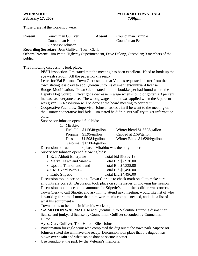Those preset at the workshop were:

**Present**: Councilman Gulliver **Absent:** Councilman Trimble Councilman Hilton Councilman Pettit

Supervisor Johnson

**Recording Secretary**: Jean Gulliver, Town Clerk

**Others Present**: Jim Pettit, Highway Superintendent, Dave Delong, Custodian; 3 members of the public.

The following discussions took place:

- PESH inspection. Jim stated that the meeting has been excellent. Need to hook up the eye wash station. All the paperwork is ready.
- Letter for Val Burton. Town Clerk stated that Val has requested a letter from the town stating it is okay to add Quentin Jr to his dismantlers/junkyard license.
- Budget Modification. Town Clerk stated that the bookkeeper had found where the Deputy Dog Control Officer got a decrease in wage when should of gotten a 3 percent increase as everyone else. The wrong wage amount was applied when the 3 percent was given. A Resolution will be done at the board meeting to correct it.
- Cooperative Fuel bids. Supervisor Johnson asked Jim if he went to the meeting on the County cooperative fuel bids. Jim stated he didn't. But will try to get information on it.
- Supervisor Johnson opened fuel bids:

| 1. Mirabito |                           |                              |
|-------------|---------------------------|------------------------------|
|             | Fuel Oil $$1.5648/gallon$ | Winter blend \$1.6623/gallon |
|             | Propane \$1.95/gallon     | Capped at 2.69/gallon        |
|             | Diesel $$1.5984/gallon$   | Winter Blend \$1.6284/gallon |
|             | Gasoline \$1.5064/gallon  |                              |

- Discussion on fuel bid took place. Mirabito was the only bidder.
- Supervisor Johnson opened Mowing bids:

| 1. R.T. Abbott Enterprise –  | Total bid \$5,802.18 |
|------------------------------|----------------------|
| 2. Markel Lawn and Snow -    | Total Bid \$7,930.00 |
| 3. Upstate Timber and Land – | Total Bid \$4,338.00 |
| 4. CMB Yard Works –          | Total Bid \$6,490.00 |
| 5. Karlo Stipetic –          | Total Bid \$4,496.00 |
|                              |                      |

- Discussion took place on bids. Town Clerk is to check math on all to make sure amounts are correct. Discussion took place on some issues on mowing last season.. Discussion took place on the amounts for Stipetic's bid if the addition was correct. Town Clerk to call Stipetic and ask him to attend next meeting, would like list of who is working for him, if more than him workman's comp is needed, and like a list of what his equipment is.
- Town audits to be done in March's workshop
- **\*-A MOTION WAS MADE** to add Quentin Jr. to Valentine Burton's dismantler license and junkyard license by Councilman Gulliver seconded by Councilman Hilton.

Ayes: Gary Gulliver, Tom Hilton, Ellen Johnson.

- Proclamation for eagle scout who completed the dug out at the town park. Supervisor Johnson stated she will have one ready. Discussion took place that the dugout was blown over again and what can be done to secure it better.
- Use roundup at the park by the Veteran's memorial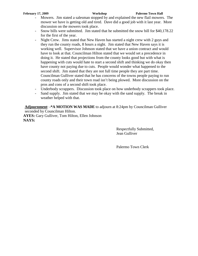- Mowers. Jim stated a salesman stopped by and explained the new flail mowers. The mower we have is getting old and tired. Dave did a good job with it last year. More discussion on the mowers took place.
- Snow bills were submitted. Jim stated that he submitted the snow bill for \$40,178.22 for the first of the year.
- Night Crew. Jims stated that New Haven has started a night crew with 2 guys and they run the county roads, 8 hours a night. Jim stated that New Haven says it is working well. Supervisor Johnson stated that we have a union contract and would have to look at that. Councilman Hilton stated that we would set a precedence in doing it. He stated that projections from the county looks good but with what is happening with cuts would hate to start a second shift and thinking we do okay then have county not paying due to cuts. People would wonder what happened to the second shift. Jim stated that they are not full time people they are part time. Councilman Gulliver stated that he has concerns of the towns people paying to run county roads only and their town road isn't being plowed. More discussion on the pros and cons of a second shift took place.
- Underbody scrappers. Discussion took place on how underbody scrappers took place.
- Sand supply. Jim stated that we may be okay with the sand supply. The break in weather helped with that.

**Adjournment**: **-\*A MOTION WAS MADE** to adjourn at 8:24pm by Councilman Gulliver seconded by Councilman Hilton.

**AYES:** Gary Gulliver, Tom Hilton, Ellen Johnson **NAYS:**

> Respectfully Submitted, Jean Gulliver

Palermo Town Clerk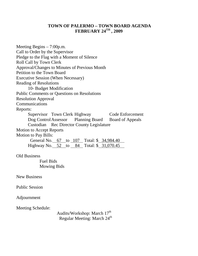# **TOWN OF PALERMO – TOWN BOARD AGENDA FEBRUARY 24TH , 2009**

Meeting Begins – 7:00p.m. Call to Order by the Supervisor Pledge to the Flag with a Moment of Silence Roll Call by Town Clerk Approval/Changes to Minutes of Previous Month Petition to the Town Board Executive Session (When Necessary) Reading of Resolutions 10- Budget Modification Public Comments or Questions on Resolutions Resolution Approval Communications Reports: Supervisor Town Clerk Highway<br>
Dog Control Assessor Planning Board Board of Appeals Dog ControlAssessor Planning Board Board of Appeals Custodian Rec Director County Legislature Motion to Accept Reports Motion to Pay Bills: General No. 67 to 107 Total: \$ 34,984.40 Highway No. 52 to 84 Total: \$ 31,070.45 Old Business Fuel Bids Mowing Bids New Business Public Session Adjournment Meeting Schedule: Audits/Workshop: March 17<sup>th</sup> Regular Meeting: March 24<sup>th</sup>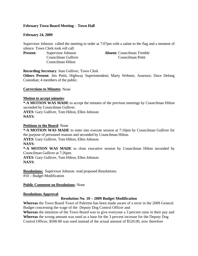# **February Town Board Meeting - Town Hall**

# **February 24, 2009**

Supervisor Johnson called the meeting to order at 7:07pm with a salute to the flag and a moment of silence. Town Clerk took roll call:

Councilman Hilton

**Present:** Supervisor Johnson **Absent:** Councilman Trimble Councilman Gulliver Councilman Pettit

**Recording Secretary**: Jean Gulliver, Town Clerk

**Others Present**: Jim Pettit, Highway Superintendent; Marty Webster, Assessor; Dave Delong Custodian; 4 members of the public.

**Corrections to Minutes**: None

# **Motion to accept minutes**:

**\*-A MOTION WAS MADE** to accept the minutes of the previous meetings by Councilman Hilton seconded by Councilman Gulliver.

**AYES**: Gary Gulliver, Tom Hilton, Ellen Johnson **NAYS**:

# **Petitions to the Board**: None

**\*-A MOTION WAS MADE** to enter into execute session at 7:10pm by Councilman Gulliver for the purpose of personnel reasons and seconded by Councilman Hilton.

**AYES**: Gary Gulliver, Tom Hilton, Ellen Johnson

**NAYS**:

**\*-A MOTION WAS MADE** to close executive session by Councilman Hilton seconded by Councilman Gulliver at 7:26pm.

**AYES**: Gary Gulliver, Tom Hilton, Ellen Johnson **NAYS**:

**Resolutions:** Supervisor Johnson read proposed Resolutions: #10 – Budget Modification

# **Public Comment on Resolutions**: None

# **Resolutions Approval**:

# **Resolution No. 10 – 2009 Budget Modification**

**Whereas** the Town Board Town of Palermo has been made aware of a error in the 2009 General Budget concerning the wage of the Deputy Dog Control Officer and

**Whereas** the intention of the Town Board was to give everyone a 3 percent raise in their pay and **Whereas** the wrong amount was used as a base for the 3 percent increase for the Deputy Dog Control Officer, \$500.00 was used instead of the actual amount of \$520.00, now therefore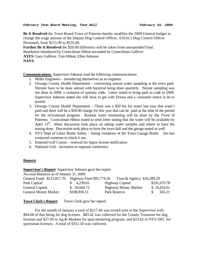**Be It Resolved** the Town Board Town of Palermo hereby modifies the 2009 General budget to change the wage amount of the Deputy Dog Control Officer, A3510.1 Dog Control Officer Personnel, from \$515.00 to \$535.60.

**Further Be It Resolved** the \$20.60 difference will be taken from unexpended fund. Resolution introduced by Councilman Hilton seconded by Councilman Gulliver. **AYES**: Gary Gulliver, Tom Hilton, Ellen Johnson **NAYS**:

**Communications:** Supervisor Johnson read the following communications:

- 1. Miller Engineers introducing themselves as an engineer
- 2. Oswego County Health Department concerning annual water sampling at the town park. Nitrates have to be done annual with bacterial being done quarterly. Nitrate sampling was not done in 2008, a violation of sanitary code. Letter stated to bring park to code in 2009. Supervisor Johnson stated she will have to get with Donna and a consumer notice is be to posted.
- 3. Oswego County Health Department There was a \$50 fee for water last year that wasn't paid and there will be a \$50.00 charge for this year that can be paid at the time of the permit for the recreational program. Routine water monitoring will be done by the Town of Palermo. Councilman Hilton stated to send letter stating that the water will be available by April  $15<sup>th</sup>$ . More discussion took place on taking water samples and where to have the testing done. Discussion took place to have the town hall and the garage tested as well.
- 4. NYS Dept of Labor Boiler Safety listing violations of the Town Garage Boiler. Jim has contacted someone to check it out.
- 5. Emerald Golf Course renewal for liquor license notification
- 6. National Grid Invitation to regional conference

# **Reports**

**Supervisor's Report**: Supervisor Johnson gave her report:

| Account Balances as of January 31, 2009                                            |                        |                              |              |  |  |  |  |  |
|------------------------------------------------------------------------------------|------------------------|------------------------------|--------------|--|--|--|--|--|
| General Fund: \$215,857.70 Highway Fund \$91,774.26<br>Trust & Agency: \$16,289.29 |                        |                              |              |  |  |  |  |  |
| Park Capital:                                                                      | $\frac{1}{2}$ 4,239.65 | Highway Capital:             | \$191,679.78 |  |  |  |  |  |
| General Capital:                                                                   | \$26,684.72            | <b>Highway Money Market:</b> | \$10,454.61  |  |  |  |  |  |
| <b>General Money Market:</b>                                                       | \$108,936.11           | Park Reserve:                | 565.21       |  |  |  |  |  |

**Town Clerk's Report**: Town Clerk gave her report:

For the month of January a total of \$217.46 was turned over to the Supervisor with \$94.08 of that being for dog licenses. \$83.42 was collected for the County Treasurer for dog licenses and \$27.00 to Ag & Markets for spay/neutering program, and \$23.62 to NYS DEC for sportsman licenses. A total of \$351.50 was collected.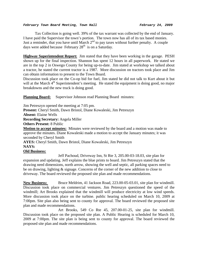## *February Town Board Meeting, Town Hall February 24, 2009*

 Tax Collection is going well. 39% of the tax warrant was collected by the end of January. I have paid the Supervisor the town's portion. The town now has all of its tax based monies. Just a reminder, that you have until March  $2<sup>nd</sup>$  to pay taxes without further penalty. A couple days were added because February  $28<sup>th</sup>$  is on a Saturday.

**Highway Superintendent Report:** Jim stated that they have been working in the garage. PESH shown up for the final inspection. Shannon has spent 12 hours in all paperwork. He stated we are in the top 2 in Oswego County for being up-to-date. Jim stated at workshop we talked about a tractor, he stated the current tractor is a 1987. More discussion on tractors took place and Jim can obtain information to present to the Town Board.

Discussion took place on the Co-op bid for fuel, Jim stated he did not talk to Kurt about it but will at the March  $4<sup>th</sup>$  Superintendent's meeting. He stated the equipment is doing good, no major breakdowns and the new truck is doing good.

**Planning Board:** Supervisor Johnson read Planning Board minutes:

Jim Petreszyn opened the meeting at 7:05 pm.

**Present:** Cheryl Smith, Dawn Bristol, Diane Kowaleski, Jim Petreszyn

**Absent:** Elaine Wells

**Recording Secretary:** Angela Miller

**Others Present:** 8 Public

**Motion to accept minutes:** Minutes were reviewed by the board and a motion was made to approve the minutes. Diane Kowaleski made a motion to accept the January minutes; it was seconded by Cheryl Smith

**AYES:** Cheryl Smith, Dawn Bristol, Diane Kowaleski, Jim Petreszyn **NAYS:** 

# **Old Business:**

 Jeff Pachoud, Driveway Inn, St Rte 3, 205.00-03-18.03, site plan for expansion and updating. Jeff explains the blue prints to board. Jim Petreszyn stated that the drawing need dimensions, north arrow, showing the well and septic, all parking spaces need to be on drawing, lighting & signage. Concerns of the corner of the new addition to close to driveway. The board reviewed the proposed site plan and made recommendations.

**New Business:** Bruce Meldrim, 41 Jackson Road, 223.00-05-03.01, site plan for windmill. Discussion took place on commercial ventures. Jim Petreszyn questioned the speed of the windmill; Art Brooks explained that the windmill will produce electricity at low wind speeds. More discussion took place on the turbine. public hearing scheduled on March 10, 2009 at 7:00pm. Site plan also being sent to county for approval. The board reviewed the proposed site plan and made recommendations.

 Art Brooks, 549 Co Rte 45, 207.00-01-25, site plan for windmill. Discussion took place on the proposed site plan. A Public Hearing is scheduled for March 10, 2009 at 7:00pm. The site plan is being sent to county for approval. The board reviewed the proposed site plan and made recommendations.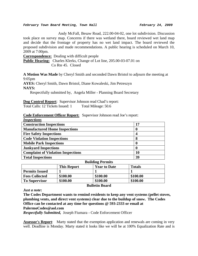### *February Town Board Meeting, Town Hall February 24, 2009*

 Andy McFall, Besaw Road, 222.00-04-02, one lot subdivision. Discussion took place on survey map. Concerns if there was wetland there, board reviewed wet land map and decide that the frontage of property has no wet land impact. The board reviewed the proposed subdivision and made recommendations. A public hearing is scheduled on March 10, 2009 at 7:00pm.

**Correspondence:** Dealing with difficult people

**Public Hearing:** Charles Klerks, Change of Lot line, 205.00-03-07.01 on Co Rte 45. Closed

**A Motion Was Made** by Cheryl Smith and seconded Dawn Bristol to adjourn the meeting at 9:05pm

**AYES:** Cheryl Smith, Dawn Bristol, Diane Kowaleski, Jim Petreszyn **NAYS:** 

Respectfully submitted by, Angela Miller - Planning Board Secretary

**Dog Control Report**: Supervisor Johnson read Chad's report:

Total Calls: 12 Tickets Issued: 1 Total Mileage: 50.6

**Code Enforcement Officer Report:** Supervisor Johnson read Joe's report: *Inspections*

| <i><u><b>INSPECIIONS</b></u></i>          |    |
|-------------------------------------------|----|
| <b>Construction Inspections</b>           | 17 |
| <b>Manufactured Home Inspections</b>      | 0  |
| <b>Fire Safety Inspections</b>            |    |
| <b>Code Violation Inspections</b>         | 8  |
| <b>Mobile Park Inspections</b>            | 0  |
| <b>Junkyard Inspections</b>               | 0  |
| <b>Complaint of Violation Inspections</b> | 10 |
| <b>Total Inspections</b>                  | 39 |

| <b>Bunding Permits</b>                                     |          |          |          |  |  |  |  |  |
|------------------------------------------------------------|----------|----------|----------|--|--|--|--|--|
| <b>Totals</b><br><b>This Report</b><br><b>Year to Date</b> |          |          |          |  |  |  |  |  |
| <b>Permits Issued</b>                                      |          |          |          |  |  |  |  |  |
| <b>Fees Collected</b>                                      | \$100.00 | \$100.00 | \$100.00 |  |  |  |  |  |
| <b>To Supervisor</b>                                       | \$100.00 | \$100.00 | \$100.00 |  |  |  |  |  |

*Just a note***:** 

**Bulletin Board** 

**Building Permits** 

**The Codes Department wants to remind residents to keep any vent systems (pellet stoves, plumbing vents, and direct vent systems) clear due to the buildup of snow. The Codes Office can be contacted at any time for questions @ 593-2333 or email at** 

**PalermoCodes@aol.com** 

*Respectfully Submitted,* Joseph Fiumara - Code Enforcement Officer

**Assessor's Report**: Marty stated that the exemption application and renewals are coming in very well. Deadline is Monday. Marty stated it looks like we will be at 100% Equalization Rate and is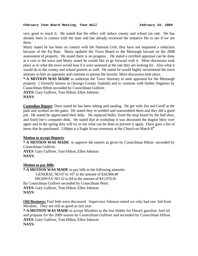very good to reach it. He stated that the effect will reduce county and school tax rate. He has already been in contact with the state and has already reviewed the tentative file to see if we are there.

Marty stated he has been on contact with the National Grid, they have not requested a reduction because of the Eq Rate. Marty updated the Town Board to the Murtaugh lawsuit on the 2008 assessment of property. He stated there is no progress . He stated a certified appraisal can be done at a cost to the town and Marty stated he would like to go forward with it. More discussion took place as to what the town would lose if it were assessed at the rate they are looking for. Also what it would do to the county and school portion as well. He stated he would highly recommend the town attorney to hire an appraiser and continue to pursue the lawsuit. More discussion took place.

**\*-A MOTION WAS MADE** to authorize the Town Attorney to seek appraisal for the Murtaugh property ( formerly known as Oswego County Asphalt) and to continue with further litigation by Councilman Hilton seconded by Councilman Gulliver.

**AYES**: Gary Gulliver, Tom Hilton, Ellen Johnson **NAYS**:

**Custodian Report**: Dave stated he has been salting and sanding. He got with Jim and Geoff at the park and worked on the gates. He stated they re-welded and reassembled them and they did a good job. He stated he appreciated their help. He replaced bulbs, fixed the mop board by the hall door, and fixed Joe's computer desk. He stated that at workshop it was discussed the dugout blew over again and in the spring they will try to see what can be done to prevent it again. Dave gave a list of items that he purchased. 2:00pm is a Eagle Scout ceremony at the Church on March  $8<sup>th</sup>$ .

# **Motion to accept Reports**:

**\*-A MOTION WAS MADE** to approve the reports as given by Councilman Hilton seconded by Councilman Gulliver.

**AYES**: Gary Gulliver, Tom Hilton, Ellen Johnson **NAYS**:

**Motion to pay Bills**:

**\*-A MOTION WAS MADE** to pay bills in the following amounts: GENERAL NO 67 to 107 in the amount of \$34,984.40 HIGHWAY NO 52 to 84 in the amount of \$31,070.45 By Councilman Gulliver seconded by Councilman Pettit. **AYES**: Gary Gulliver, Tom Hilton, Ellen Johnson **NAYS**:

**Old Business:** Fuel bids were discussed. Supervisor Johnson stated we only had one bid from Mirabito. They are still as good as last year.

**\*-A MOTION WAS MADE** to accept Mirabito as the low bidder for Diesel, gasoline, fuel oil and propane for the 2009 season by Councilman Gulliver and seconded by Councilman Hilton. **AYES**: Gary Gulliver, Tom Hilton, Ellen Johnson **NAYS**: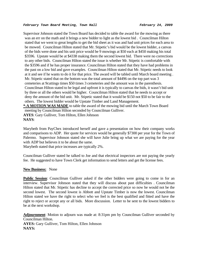## *February Town Board Meeting, Town Hall February 24, 2009*

Supervisor Johnson stated the Town Board has decided to table the award for the mowing as there was an err on the math and it brings a new bidder to light as the lowest bid . Councilman Hilton stated that we went to great lengths to get the bid sheet as it was and had unit prices for each area to be mowed. Councilman Hilton stated that Mr. Stipetic's bid would be the lowest bidder, a canvas of the bids were done and his unit price would be 9 mowings at \$50 each at \$450 making his total \$3596. Upstate would be at \$4338 making them the second lowest bid. There were no corrections to any other bids. Councilman Hilton stated the issue is whether Mr. Stipetic is comfortable with the \$3596 and if he has proper insurance. Councilman Hilton stated that they have had problems in the past on a low bid and gave examples. Councilman Hilton stated that Mr. Stipetic needs to look at it and see if he wants to do it for that price. The award will be tabled until March board meeting . Mr. Stipetic stated that on the bottom was the total amount of \$4496 on the top part was 3 cemeteries at 9cuttings times \$50 times 3 cemeteries and the amount was in the parenthesis. Councilman Hilton stated to be legal and upfront it is typically to canvas the bids, it wasn't bid unit by three or all the others would be higher. Councilman Hilton stated that he needs to accept or deny the amount of the bid unit. Mr. Stipetic stated that it would be \$150 not \$50 to be fair to the others. The lowest bidder would be Upstate Timber and Land Management. **\*-A MOTION WAS MADE** to table the award of the mowing bid until the March Town Board meeting by Councilman Hilton seconded by Councilman Gulliver.

**AYES**: Gary Gulliver, Tom Hilton, Ellen Johnson **NAYS**:

Marybeth from PayChex introduced herself and gave a presentation on how their company works and comparisons to ADP. Her quote for services would be generally \$7300 per year for the Town of Palermo. Supervisor Johnson stated she will have Julie bring up what we are paying for the year with ADP but believes it to be about the same.

Marybeth stated that price increases are typically 2%.

Councilman Gulliver stated he talked to Joe and that electrical inspectors are not paying the yearly fee. He suggested to have Town Clerk get information to send letters and get the license fees.

## **New Business:** None

**Public Session**: Councilman Gulliver asked if the other bidders were going to come in for an interview. Supervisor Johnson stated that they will discuss about past difficulties . Councilman Hilton stated that Mr. Stipetic has decline to accept the corrected price so now he would not be the second lowest. The second lowest is Abbott and Upstate Timber is now the lowest. Councilman Hilton stated we have the right to select who we feel is the best qualified and fitted and have the right to reject or accept any or all bids. More discussion. Letter to be sent to the lowest bidders to be at the next workshop.

**Adjournment**: Motion to adjourn was made at: 8:31pm pm by Councilman Gulliver seconded by Councilman Hilton.

**AYES:** Gary Gulliver, Tom Hilton, Ellen Johnson **NAYS:**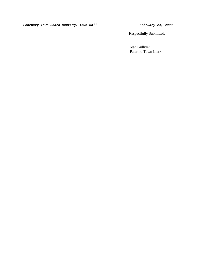*February Town Board Meeting, Town Hall* **February 24, 2009** 

Respectfully Submitted,

 Jean Gulliver Palermo Town Clerk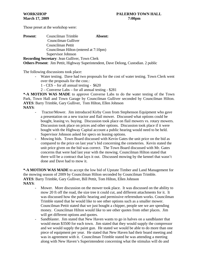Those preset at the workshop were:

| <b>Present:</b> | Councilman Trimble                    | Absent: |
|-----------------|---------------------------------------|---------|
|                 | Councilman Gulliver                   |         |
|                 | Councilman Pettit                     |         |
|                 | Councilman Hilton (entered at 7:10pm) |         |
|                 | Supervisor Johnson                    |         |

**Recording Secretary**: Jean Gulliver, Town Clerk **Others Present**: Jim Pettit, Highway Superintendent, Dave Delong, Custodian. 2 public

The following discussions took place:

- Water testing. Dave had two proposals for the cost of water testing. Town Clerk went over the proposals for the cost.:
	- 1 CES for all annual testing \$620
	- 2 Converse Labs for all annual testing \$281

**\*-A MOTION WAS MADE** to approve Converse Labs to do the water testing of the Town Park, Town Hall and Town Garage by Councilman Gulliver seconded by Councilman Hilton. **AYES**: Barry Trimble, Gary Gulliver, Tom Hilton, Ellen Johnson **NAYS**:

- Tractor/Mower. Jim introduced Kirby Coon from Stephenson Equipment who gave a presentation on a new tractor and flail mower. Discussed what options could be bought, leasing vs. buying. Discussion took place on flail mowers vs. rotary mowers. Discussion took place on prices and other options. Discussion took place if it were bought with the Highway Capital account a public hearing would need to be held. Supervisor Johnson asked for specs on leasing options.
- Mowing bids. Town Board discussed with Kevin Gates the unit price on the bid as compared to the price on last year's bid concerning the cemeteries. Kevin stated the unit price given on the bid was correct. The Town Board discussed with Mr. Gates concerns that were had last year with the mowing. Councilman Hilton stated that there will be a contract that lays it out. Discussed mowing by the kennel that wasn't done and Dave had to mow it.

**\*-A MOTION WAS MADE** to accept the low bid of Upstate Timber and Land Management for the mowing season of 2009 by Councilman Hilton seconded by Councilman Trimble. **AYES**: Barry Trimble, Gary Gulliver, Bill Pettit, Tom Hilton, Ellen Johnson **NAYS**:

- Mower. More discussion on the mower took place. It was discussed on the ability to mow 20 ft off the road, the size tree it could cut, and different attachments for it. It was discussed how the public hearing and permissive referendum works. Councilman Trimble stated that he would like to see other options such as a smaller mower. Councilman Pettit stated that we just bought a chipper, people see we are spending money. Councilman Hilton would like to see other quotes from other places. Jim will get different options and quotes.
- Sandblaster. Jim stated that New Haven wants to go in halves on a sandblaster that would mean \$3500 for each town. Jim stated that they would supply the compressor and we would supply the paint gun. He stated we would be able to do more than one piece of equipment per year. He stated that New Haven had their board meeting and was in agreement with it. Councilman Trimble stated he was attending a meeting along with New Haven's Superintendent concerning what the stimulus will do and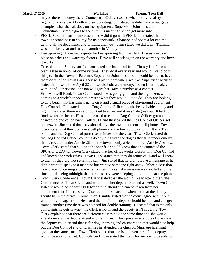maybe there is money there. Councilman Gulliver asked what involves safety regulations on a paint booth and sandblasting. Jim stated he didn't know but gave examples what the salt does on the equipment. Supervisor Johnson stated if Councilman Trimble goes to the stimulus meeting we can get more info.

- PESH. Councilman Trimble asked how did it go with PESH. Jim stated that the town is second best in county for its paperwork. Shannon had spent a lot of time getting all the documents and printing them out. Jims stated we did well. Training was done last year and may do another in Volney.
- Bee Spraying. Dave had a quote for bee spraying from last fall. Discussion took place on prices and warranty factors. Dave will check again on the warranty and how it works.
- Tree planting. Supervisor Johnson stated she had a call from Christy Kaufman to plant a tree in honor of crime victims. They do it every year and would like to do it this year in the Town of Palermo. Supervisor Johnson stated it would be nice to have them do it in the Town Park, they will plant it anywhere we like. Supervisor Johnson stated that it would be April 22 and would hold a ceremony. Town Board is okay with it and Supervisor Johnson will give her Dave's number as a contact.
- Erin Maxwell Fund. Town Clerk stated it was going good and the organizers will be coming to a workshop soon to present what they would like to do. They are looking to do a bench that has Erin's name on it and a small piece of playground equipment.
- Dog Control. Jim stated that the Dog Control Officer should be available all day and night. He stated there was a puppy tied to a tree and it was 7 degrees out. It had no food, water or shelter. He stated he tried to call the Dog Control Officer got no answer, no one called back, Called 911 and they called the Dog Control Officer got no answer. Jim stated that they should have the town get them a cell phone. Town Clerk stated that they do have a cell phone and the town did pay for it. It is a Trac phone and the Dog Control purchases minutes for the year. Town Clerk stated that the Dog Control Officer couldn't do anything with the dog as that falls under cruelty that is covered under Article 26 and the town is only able to enforce Article 7 by law. Town Clerk stated that 911 and the sheriff's should know that and contacted the SPCA or OCAWL. Town Clerk stated that her office works closely with Dog Control and knows the work ethics. Town Clerk stated that they do return calls and will speak to them if they did not return his call. Jim stated that he didn't leave a message as he didn't want to speak to a machine but wanted someone right away. More discussion took place concerning a person cannot return a call if a message was not left and the time of call being midnight that perhaps they were sleeping and didn't hear the phone.
- Town Clerk Conference. Town Clerk stated that she would like to attend the State Conference for Town Clerks and would like her deputy to attend as well. Town Clerk stated it would cost about \$800 for both to attend and can be taken from her equipment fund if necessary. Discussion took place on when and that the deputy should be in the office. Councilman Trimble stated that he didn't agree with it but wouldn't vote against it. He stated that he felt the deputy should be here and can get trained another time there was no need for double training. He stated that is the only complaints he gets is when the Clerk is not in and the deputy isn't covering. Town Clerk explained that there are different classes held the same time and she would attend one and the deputy attend another. Town Clerk gave an example of one class the deputy could attend that is for dog licensing and enumeration that would also help out the Dog Control end of it, while she attended the class on Marriage licensing given at the same time. Town Clerk stated that she is not even sure if the deputy would be able to go yet. Councilman Hilton stated that he is for anyone to be able to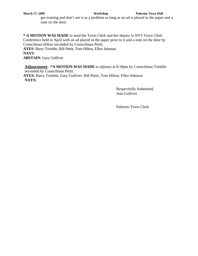get training and don't see it as a problem as long as an ad is placed in the paper and a note on the door.

**\*-A MOTION WAS MADE** to send the Town Clerk and her deputy to NYS Town Clerk Conference held in April with an ad placed in the paper prior to it and a note on the door by Councilman Hilton seconded by Councilman Pettit. **AYES**: Barry Trimble, Bill Pettit, Tom Hilton, Ellen Johnson **NAYS**: **ABSTAIN**: Gary Gulliver

**Adjournment**: **-\*A MOTION WAS MADE** to adjourn at 8:18pm by Councilman Trimble seconded by Councilman Pettit. **AYES:** Barry Trimble, Gary Gulliver, Bill Pettit, Tom Hilton, Ellen Johnson **NAYS:**

> Respectfully Submitted, Jean Gulliver

Palermo Town Clerk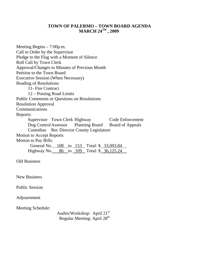# **TOWN OF PALERMO – TOWN BOARD AGENDA MARCH 24TH , 2009**

| Meeting Begins $-7:00$ p.m.                                    |
|----------------------------------------------------------------|
| Call to Order by the Supervisor                                |
| Pledge to the Flag with a Moment of Silence                    |
| <b>Roll Call by Town Clerk</b>                                 |
| Approval/Changes to Minutes of Previous Month                  |
| Petition to the Town Board                                     |
| <b>Executive Session (When Necessary)</b>                      |
| <b>Reading of Resolutions</b>                                  |
| 11- Fire Contract                                              |
| 12 – Posting Road Limits                                       |
| <b>Public Comments or Questions on Resolutions</b>             |
| <b>Resolution Approval</b>                                     |
| Communications                                                 |
| Reports:                                                       |
| Supervisor Town Clerk Highway<br>Code Enforcement              |
| Dog Control Assessor Planning Board<br><b>Board of Appeals</b> |
| <b>Custodian</b> Rec Director County Legislature               |
| <b>Motion to Accept Reports</b>                                |
| <b>Motion to Pay Bills:</b>                                    |
| General No. 108 to 153 Total: \$ 33,093.84                     |
| Highway No. 86 to 109 Total: \$ 36,125.24                      |
|                                                                |
| <b>Old Business</b>                                            |
|                                                                |
|                                                                |
| <b>New Business</b>                                            |
|                                                                |
| <b>Public Session</b>                                          |
|                                                                |
| Adjournment                                                    |
|                                                                |
| Meeting Schedule:                                              |
| Audits/Workshop: April 21 <sup>st</sup>                        |
| Regular Meeting: April 28 <sup>th</sup>                        |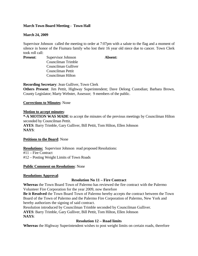# **March Town Board Meeting - Town Hall**

# **March 24, 2009**

Supervisor Johnson called the meeting to order at 7:07pm with a salute to the flag and a moment of silence in honor of the Fiumara family who lost their 16 year old niece due to cancer. Town Clerk took roll call:

**Present:** Supervisor Johnson **Absent:** Councilman Trimble Councilman Gulliver Councilman Pettit Councilman Hilton

**Recording Secretary**: Jean Gulliver, Town Clerk

**Others Present**: Jim Pettit, Highway Superintendent; Dave Delong Custodian; Barbara Brown, County Legislator; Marty Webster, Assessor; 9 members of the public.

**Corrections to Minutes**: None

# **Motion to accept minutes**:

**\*-A MOTION WAS MADE** to accept the minutes of the previous meetings by Councilman Hilton seconded by Councilman Pettit. **AYES**: Barry Trimble, Gary Gulliver, Bill Pettit, Tom Hilton, Ellen Johnson **NAYS**:

# **Petitions to the Board**: None

**Resolutions:** Supervisor Johnson read proposed Resolutions: #11 – Fire Contract #12 – Posting Weight Limits of Town Roads

# **Public Comment on Resolutions**: None

# **Resolutions Approval**:

# **Resolution No 11 – Fire Contract**

**Whereas** the Town Board Town of Palermo has reviewed the fire contract with the Palermo Volunteer Fire Corporation for the year 2009, now therefore

**Be it Resolved** the Town Board Town of Palermo hereby accepts the contract between the Town Board of the Town of Palermo and the Palermo Fire Corporation of Palermo, New York and hereby authorizes the signing of said contract.

Resolution introduced by Councilman Trimble seconded by Councilman Gulliver. **AYES**: Barry Trimble, Gary Gulliver, Bill Pettit, Tom Hilton, Ellen Johnson

**NAYS**:

# **Resolution 12 – Road limits**

**Whereas** the Highway Superintendent wishes to post weight limits on certain roads, therefore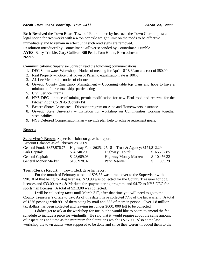**Be It Resolved** the Town Board Town of Palermo hereby instructs the Town Clerk to post an legal notice for two weeks with a 4 ton per axle weight limit on the roads to be effective

immediately and to remain in effect until such road signs are removed.

Resolution introduced by Councilman Gulliver seconded by Councilman Trimble.

**AYES**: Barry Trimble, Gary Gulliver, Bill Pettit, Tom Hilton, Ellen Johnson **NAYS**:

**Communications:** Supervisor Johnson read the following communications:

- 1. DEC Storm water Workshop Notice of meeting for April  $18<sup>th</sup> 8:30$ am at a cost of \$80.00
- 2. Real Property notice that Town of Palermo equalization rate is 100%
- 3. AL Lee Memorial notice of closure
- 4. Oswego County Emergency Management Upcoming table top plans and hope to have a minimum of three townships participating
- 5. Civil Service Exams
- 6. NYS DEC notice of mining permit modification for new Haul road and renewal for the Pitcher Pit on Co Rt 45 (County Pit)
- 7. Eastern Shores Associates Discount program on Auto and Homeowners insurance
- 8. Oswego State University Invitation for workshop on Communities working together sustainability.
- 9. NYS Deferred Compensation Plan savings plan help to achieve retirement goals.

# **Reports**

# **Supervisor's Report**: Supervisor Johnson gave her report:

Account Balances as of February 28, 2009

| General Fund: \$357,976.75   |              | Highway Fund \$625,427.18 Trust & Agency: \$171,812.29 |             |
|------------------------------|--------------|--------------------------------------------------------|-------------|
| Park Capital:                | \$4,240.29   | Highway Capital:                                       | \$66,707.85 |
| General Capital:             | \$28,689.03  | <b>Highway Money Market:</b>                           | \$10,456.32 |
| <b>General Money Market:</b> | \$108,978.02 | Park Reserve:                                          | 565.29      |

**Town Clerk's Report:** Town Clerk gave her report:

For the month of February a total of \$95.38 was turned over to the Supervisor with \$90.10 of that being for dog licenses. \$79.90 was collected for the County Treasurer for dog licenses and \$33.00 to Ag & Markets for spay/neutering program, and \$4.72 to NYS DEC for sportsman licenses. A total of \$213.00 was collected.

I will be collecting taxes until March  $31<sup>st</sup>$ , after that time you will need to go to the County Treasurer's office to pay. As of this date I have collected 77% of the tax warrant. A total of 1576 postings with 991 of them being by mail and 585 of them in person. Over 1.8 million tax dollars has been collected and leaving just under \$600, 000 left to be collected.

 I didn't get to ask at the workshop for Joe, but he would like to board to amend the fee schedule to include a price for windmills. He said that it would require about the same amount of inspections and time as the minimum for alterations which is \$75.00. Also at the last workshop the town audits were supposed to be done and since they weren't I added them to the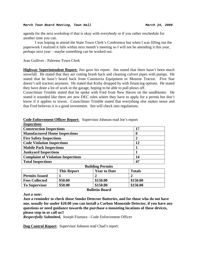agenda for the next workshop if that is okay with everybody or if you rather reschedule for another time you can.

 I was hoping to attend the State Town Clerk's Conference but when I was filling out the paperwork I realized it falls within next month's meeting so I will not be attending it this year, perhaps next year – maybe something can be worked out.

Jean Gulliver - Palermo Town Clerk

**Highway Superintendent Report:** Jim gave his report. Jim stated that there hasn't been much snowfall. He stated that they are cutting brush back and cleaning culvert pipes with pumps. He stated that he hasn't heard back from Cazenovia Equipment or Monroe Tractor. Five Star doesn't sell tractors anymore. He stated that Kirby dropped by with financing options. He stated they have done a lot of work in the garage, hoping to be able to pull plows off.

Councilman Trimble stated that he spoke with Fred from New Haven on the sandblaster. He stated it sounded like there are new DEC rules where they have to apply for a permit but don't know if it applies to towns. Councilman Trimble stated that everything else makes sense and that Fred believes it is a good investment. Jim will check into regulations.

| <i><b>Inspections</b></i>                 |    |
|-------------------------------------------|----|
| <b>Construction Inspections</b>           | 17 |
| <b>Manufactured Home Inspections</b>      | 0  |
| <b>Fire Safety Inspections</b>            |    |
| <b>Code Violation Inspections</b>         | 12 |
| <b>Mobile Park Inspections</b>            |    |
| <b>Junkyard Inspections</b>               |    |
| <b>Complaint of Violation Inspections</b> | 14 |
| <b>Total Inspections</b>                  | 47 |

## **Code Enforcement Officer Report:** Supervisor Johnson read Joe's report:

| <b>Building Permits</b>                                    |         |          |          |  |  |  |  |
|------------------------------------------------------------|---------|----------|----------|--|--|--|--|
| <b>Totals</b><br><b>This Report</b><br><b>Year to Date</b> |         |          |          |  |  |  |  |
| <b>Permits Issued</b>                                      |         |          |          |  |  |  |  |
| <b>Fees Collected</b>                                      | \$50.00 | \$150.00 | \$150.00 |  |  |  |  |
| <b>To Supervisor</b>                                       | \$50.00 | \$150.00 | \$150.00 |  |  |  |  |
|                                                            |         |          |          |  |  |  |  |

**Bulletin Board** 

*Just a note***:** 

**Just a reminder to check those Smoke Detector Batteries, and for those who do not have one, usually for under \$20.00 you can install a Carbon Monoxide Detector, if you have any questions or need guidance towards the purchase o mounting locations of these devices, please stop in or call us!!** 

*Respectfully Submitted,* Joseph Fiumara - Code Enforcement Officer

**Dog Control Report**: Supervisor Johnson read Chad's report: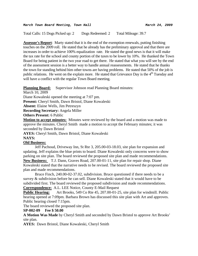Total Calls: 15 Dogs Picked up: 2 Dogs Redeemed: 2 Total Mileage: 39.7

**Assessor's Report**: Marty stated that it is the end of the exemption renewals, putting finishing touches on the 2009 roll. He stated that he already has the preliminary approval and that there are increases in order to achieve 100% equalization rate. He stated the good news is that it will make the tax rate for the school and county portion of the taxes to be lower by 10%. He thanked the Town Board for being patient in the two year road to get there. He stated that what you will see by the end of the assessment session is a better way to handle annual reassessments. He stated that he thanks the town for standing behind him other towns are having problems. He stated that 50% of the job is public relations. He went on the explain more. He stated that Grievance Day is the  $4<sup>th</sup>$  Tuesday and will have a conflict with the regular Town Board meeting.

**Planning Board:** Supervisor Johnson read Planning Board minutes:

March 10, 2009

Diane Kowaleski opened the meeting at 7:07 pm.

**Present:** Cheryl Smith, Dawn Bristol, Diane Kowaleski

**Absent:** Elaine Wells, Jim Petreszyn

**Recording Secretary:** Angela Miller

**Others Present:** 6 Public

**Motion to accept minutes:** Minutes were reviewed by the board and a motion was made to approve the minutes. Cheryl Smith made a motion to accept the February minutes; it was seconded by Dawn Bristol

**AYES:** Cheryl Smith, Dawn Bristol, Diane Kowaleski **NAYS:** 

# **Old Business:**

 Jeff Pachoud, Driveway Inn, St Rte 3, 205.00-03-18.03, site plan for expansion and updating. Jeff explains the blue prints to board. Diane Kowaleski only concerns were to show parking on site plan. The board reviewed the proposed site plan and made recommendations. **New Business:** T.J. Dann, Graves Road, 207.00-01-11, site plan for repair shop. Diane Kowaleski stated that the narrative needs to be revised. The board reviewed the proposed site plan and made recommendations.

 Bruce Finch, 240.00-02-37.02, subdivision. Bruce questioned if there needs to be a survey & subdivision before he can sell. Diane Kowaleski stated that it would have to be subdivided first. The board reviewed the proposed subdivision and made recommendations. **Correspondence:** A.L. LEE Notice, County E-Mail Request

**Public Hearing:** Art Brooks, 549 Co Rte 45, 207.00-01-25, site plan for windmill. Public hearing opened at 7:09pm. Barbara Brown has discussed this site plan with Art and approves. Public hearing closed 7:15pm.

The board reviewed the proposed site plan.

**SP-002-09 Fee \$ 50.00** 

**A Motion Was Made** by Cheryl Smith and seconded by Dawn Bristol to approve Art Brooks' site plan.

**AYES:** Dawn Bristol, Diane Kowaleski, Cheryl Smith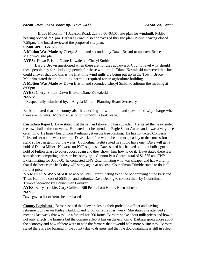Bruce Meldrim, 41 Jackson Road, 223.00-05-03.01, site plan for windmill. Public hearing opened 7:21pm. Barbara Brown also approves of this site plan. Public hearing closed 7:28pm. The board reviewed the proposed site plan.

## **SP-001-09 Fee \$ 50.00**

**A Motion Was Made** by Cheryl Smith and seconded by Dawn Bristol to approve Bruce Meldrim's site plan.

**AYES:** Dawn Bristol, Diane Kowaleski, Cheryl Smith

 Barbra Brown questioned when there are no rules at Town or County level why should these people pay for a building permit for these wind mills. Diane Kowaleski answered that Joe could answer that and this is the first time wind mills are being put up in the Town. Bruce Meldrim stated that no building permit is required for an agriculture building.

**A Motion Was Made** by Dawn Bristol and seconded Cheryl Smith to adjourn the meeting at 8:06pm

**AYES:** Cheryl Smith, Dawn Bristol, Diane Kowaleski **NAYS:** 

Respectfully submitted by, Angela Miller - Planning Board Secretary

Barbara stated that the county also has nothing on windmills and questioned why charge when there are no rules. More discussion on windmills took place.

**Custodian Report**: Dave stated that the salt and shoveling has subsided. He stated the he extended the town hall bathroom vents. He stated that he attend the Eagle Scout Award and it was a very nice ceremony. He hasn't heard from Kaufman yet on the tree planting. He has contacted Converse Labs and set up the water testing. Dave asked if he would be able to get a key to the concession stand so he can get in for the water. Councilman Pettit stated he should have one. Dave will get a hold of Donna Miller. No word on PYO signups. Dave stated he changed out light bulbs, got a hold of Fulton Glass to adjust doors again and they shown him how to do it. Dave stated there is a spreadsheet comparing prices on bee spraying – Gannon Pest Control total of \$1,355 and CNY Exterminating for \$535.00, he contacted CNY Exterminating who was cheaper and has warranty that if the bees come back they will spray again at no cost. Councilman Trimble stated to do it all for that price.

**\*-A MOTION WAS MADE** to accept CNY Exterminating to do the bee spraying at the Park and Town Hall for a cost of \$535.00 and authorize Dave Delong to contact them by Councilman Trimble seconded by Councilman Gulliver.

**AYES**: Barry Trimble, Gary Gulliver, Bill Pettit, Tom Hilton, Ellen Johnson **NAYS**:

Dave gave a list of items he purchased.

**County Legislator:** Barbara stated that they are losing their probation officer and having a retirement dinner on Friday, Building and Grounds retired last week. She stated she attended a meeting last week that was like a funeral for 200 farms. Barbara spoke about milk prices and how it not only affects the farmers but the domino affect it has on the economy. Barbara spoke more about the economy and how if there were to help the farmers that it would help more businesses. Barbara stated there is a no burning in the county due to dryness and that the dog quarantine is still in effect.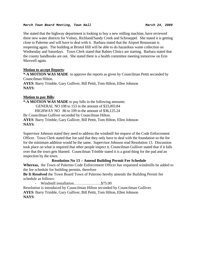She stated that the highway department is looking to buy a new milling machine, have reviewed three new water districts for Volney, Richland/Sandy Creek and Schroeppel. She stated it is getting close to Palermo and will have to deal with it. Barbara stated that the Airport Restaurant is reopening again. The building at Bristol Hill will be able to do hazardous waste collection on Wednesday and Saturdays. Town Clerk stated that Rabies Clinics are starting. Barbara stated that the county handbooks are out. She stated there is a health committee meeting tomorrow on Erin Maxwell again.

# **Motion to accept Reports**:

**\*-A MOTION WAS MADE** to approve the reports as given by Councilman Pettit seconded by Councilman Hilton.

**AYES**: Barry Trimble, Gary Gulliver, Bill Pettit, Tom Hilton, Ellen Johnson **NAYS**:

# **Motion to pay Bills**:

**\*-A MOTION WAS MADE** to pay bills in the following amounts: GENERAL NO 108 to 153 in the amount of \$33,093.84 HIGHWAY NO 86 to 109 in the amount of \$36,125.24 By Councilman Gulliver seconded by Councilman Hilton. **AYES**: Barry Trimble, Gary Gulliver, Bill Pettit, Tom Hilton, Ellen Johnson **NAYS**:

Supervisor Johnson stated they need to address the windmill fee request of the Code Enforcement Officer. Town Clerk stated that Joe said that they only have to deal with the foundation so the fee for the minimum addition would be the same. Supervisor Johnson read Resolution 13. Discussion took place on what is required that other people inspect it. Councilman Gulliver stated that if it falls over that the town gets blamed. Councilman Trimble stated it is a good thing for the pad and an inspection by the town.

# **Resolution No 13 – Amend Building Permit Fee Schedule**

**Whereas,** the Town of Palermo Code Enforcement Officer has requested windmills be added to the fee schedule for building permits, therefore

**Be It Resolved** the Town Board Town of Palermo hereby amends the Building Permit fee schedule as follows:

- Windmill installation…………………\$75.00 Resolution is introduced by Councilman Hilton seconded by Councilman Gulliver. **AYES**: Barry Trimble, Gary Gulliver, Bill Pettit, Tom Hilton, Ellen Johnson **NAYS**: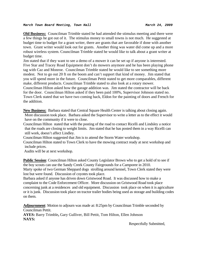**Old Business:** Councilman Trimble stated he had attended the stimulus meeting and there were a few things he got out of it. The stimulus money to small towns is not much. He suggested at budget time to budget for a grant writer, there are grants that are favorable if done with another town. Grant writer would look out for grants. Another thing was water did come up and a more robust wireless system. Councilman Trimble stated he would like to talk about a grant writer at budget time.

Jim stated that if they want to see a demo of a mower it can be set up if anyone is interested. Five Star and Tracey Road Equipment don't do mowers anymore and he has been playing phone tag with Caz and Monroe. Councilman Trimble stated he would like to see something more modest. Not to go out 20 ft on the boom and can't support that kind of money. Jim stated that you will spend more in the future. Councilman Pettit stated to get more comparables, different make, different products. Councilman Trimble stated to also look at a rotary mower.

Councilman Hilton asked how the garage addition was. Jim stated the contractor will be back for the door. Councilman Hilton asked if they been paid 100%, Supervisor Johnson stated no. Town Clerk stated that we have two coming back, Eldon for the painting of doors and French for the addition.

**New Business:** Barbara stated that Central Square Health Center is talking about closing again. More discussion took place. Barbara asked the Supervisor to write a letter as to the effect it would have on the community if it were to close.

Councilman Hilton stated that with the posting of the road to contact Ricelli and Lindsley a notice that the roads are closing to weight limits. Jim stated that he has posted them in a way Ricelli can still work, doesn't affect Lindley.

Councilman Hilton suggested that Jim is to attend the Storm Water workshop.

Councilman Hilton stated to Town Clerk to have the mowing contract ready at next workshop and include prices.

Audits will be at next workshop.

**Public Session**: Councilman Hilton asked County Legislator Brown who to get a hold of to see if the boy scouts can use the Sandy Creek County Fairgrounds for a Camporee in 2010.

Marty spoke of two German Sheppard dogs strolling around kennel, Town Clerk stated they were lost but were found. Discussion of coyotes took place.

Barbara asked if anyone has driven down Gristwood Road. It was discussed how to make a complaint to the Code Enforcement Officer. More discussion on Gristwood Road took place concerning junk at a residences and old equipment. Discussion took place on when it is agriculture or it is junk. Discussion took place on tractor trailer bodies being used as storage and building codes on them.

**Adjournment**: Motion to adjourn was made at: 8:25pm by Councilman Trimble seconded by Councilman Pettit.

**AYES:** Barry Trimble**,** Gary Gulliver, Bill Pettit, Tom Hilton, Ellen Johnson **NAYS:** 

Respectfully Submitted,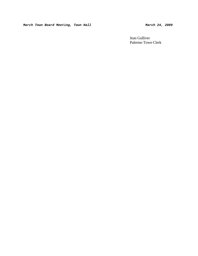Jean Gulliver Palermo Town Clerk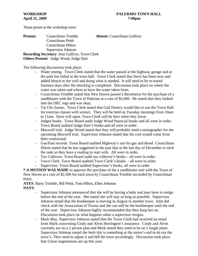Those preset at the workshop were:

**Present**: Councilman Trimble **Absent:** Councilman Gulliver Councilman Pettit Councilman Hilton Supervisor Johnson **Recording Secretary**: Jean Gulliver, Town Clerk **Others Present**: Judge Wood, Judge Hart

The following discussions took place:

- Water testing. Town Clerk stated that the water passed at the highway garage and at the park but failed at the town hall. Town Clerk stated that Dave has been over and added bleach to the well and doing what is needed. It will need to be re-tested fourteen days after the shocking is completed. Discussion took place on where the water was taken and where to have the water taken from.
- Councilman Trimble stated that New Haven passed a Resolution for the purchase of a sandblaster with the Town of Palermo at a cost of \$5,000. He stated that they looked into the DEC regs and was okay.
- Tai Chi classes. Town Clerk stated that Gail Denery would like to use the Town Hall for exercise classes with seniors. They will be held on Tuesday mornings from 10am to 11am. Dave will open, Town Clerk will be here when they leave.
- Judges books. Town Board audit Judge Wood financial books and all were in order. Town Board audited Judge Hart's books and all were in order.
- Maxwell trial. Judge Wood stated that they will probably need a stenographer for the upcoming Maxwell trial. Supervisor Johnson stated that the cost would come from their contractual.
- Gas/Fuel records. Town Board audited Highway's use for gas and diesel. Councilman Hilton stated that he has suggested in the past that at the last day of December to stick the tank so they have a reading to start with. All were in order.
- Tax Collector. Town Board audit tax collector's books all were in order.
- Town Clerk. Town Board audited Town Clerk's books all were in order. Supervisor. Town Board audited Supervisor's books, all were in order

**\*-A MOTION WAS MADE** to approve the purchase of the a sandblaster unit with the Town of New Haven at a cost of \$2,500 for each town by Councilman Trimble seconded by Councilman Pettit.

**AYES**: Barry Trimble, Bill Pettit, Tom Hilton, Ellen Johnson **NAYS**:

- Supervisor Johnson announced that she will be having a baby and may have to resign before the end of the year. She stated she will stay as long as possible. Supervisor Johnson stated that the bookkeeper is moving in August to another town. Julie did check with the Association of Towns and she can still be the bookkeeper until the end of the year. Supervisor Johnson highly recommended that they keep her on. Discussion took place on what happens when a supervisor resigns.
- Mark May. Supervisor Johnson stated that the Town Clerk had received an email from Mark concerning Cindy and Alvin Herrington's insurance. Cindy and Alvin currently are on a 2 person plan and Mark stated they need to be on 2 single plans. Supervisor Johnson stated she feels this is something at the union's end to do not the town's. They need to adjust it and bill the town accordingly. Discussion took place that Union negotiations are up this year.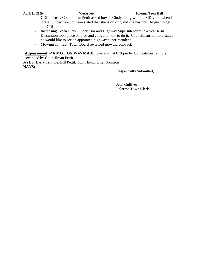- CDL license. Councilman Pettit asked how is Cindy doing with the CDL and when is it due. Supervisor Johnson stated that she is driving and she has until August to get her CDL.
- Increasing Town Clerk, Supervisor and Highway Superintendent to 4 year term. Discussion took place on pros and cons and how to do it. Councilman Trimble stated he would like to see an appointed highway superintendent.
- Mowing contract. Town Board reviewed mowing contract.

**Adjournment**: **-\*A MOTION WAS MADE** to adjourn at 8:36pm by Councilman Trimble seconded by Councilman Pettit.

**AYES:** Barry Trimble, Bill Pettit, Tom Hilton, Ellen Johnson **NAYS:**

Respectfully Submitted,

Jean Gulliver Palermo Town Clerk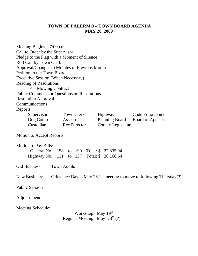# **TOWN OF PALERMO – TOWN BOARD AGENDA MAY 28, 2009**

Meeting Begins – 7:00p.m. Call to Order by the Supervisor Pledge to the Flag with a Moment of Silence Roll Call by Town Clerk Approval/Changes to Minutes of Previous Month Petition to the Town Board Executive Session (When Necessary) Reading of Resolutions 14 – Mowing Contract Public Comments or Questions on Resolutions Resolution Approval **Communications** Reports: Supervisor Town Clerk Highway Code Enforcement Dog Control Assessor Planning Board Board of Appeals Custodian Rec Director County Legislature

Motion to Accept Reports

| <b>Motion to Pay Bills:</b>                |  |  |  |
|--------------------------------------------|--|--|--|
| General No. 158 to 190 Total: \$22,835.94  |  |  |  |
| Highway No. 111 to 137 Total: \$ 26,168.64 |  |  |  |

Old Business: Town Audits

New Business: Grievance Day is May  $26<sup>th</sup>$  – meeting to move to following Thursday(?)

Public Session

Adjournment

Meeting Schedule:

Workshop: May  $19<sup>th</sup>$ Regular Meeting: May  $28^{th}$  (?)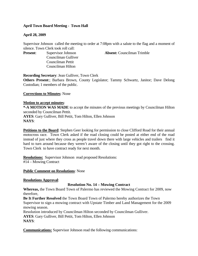# **April Town Board Meeting - Town Hall**

# **April 28, 2009**

Supervisor Johnson called the meeting to order at 7:08pm with a salute to the flag and a moment of silence. Town Clerk took roll call:

Councilman Gulliver Councilman Pettit Councilman Hilton

**Present:** Supervisor Johnson **Absent:** Councilman Trimble

**Recording Secretary**: Jean Gulliver, Town Clerk

**Others Present**:; Barbara Brown, County Legislator; Tammy Schwartz, Janitor; Dave Delong Custodian; 1 members of the public.

# **Corrections to Minutes**: None

# **Motion to accept minutes**:

**\*-A MOTION WAS MADE** to accept the minutes of the previous meetings by Councilman Hilton seconded by Councilman Pettit. **AYES**: Gary Gulliver, Bill Pettit, Tom Hilton, Ellen Johnson **NAYS**:

**Petitions to the Board**: Stephen Geer looking for permission to close Clifford Road for their annual motocross race. Town Clerk asked if the road closing could be posted at either end of the road instead of just where they cross as people travel down there with large vehicles and trailers find it hard to turn around because they weren't aware of the closing until they got right to the crossing. Town Clerk to have contract ready for next month.

**Resolutions:** Supervisor Johnson read proposed Resolutions: #14 – Mowing Contract

# **Public Comment on Resolutions**: None

# **Resolutions Approval**:

# **Resolution No. 14 – Mowing Contract**

**Whereas,** the Town Board Town of Palermo has reviewed the Mowing Contract for 2009, now therefore,

**Be It Further Resolved** the Town Board Town of Palermo hereby authorizes the Town Supervisor to sign a mowing contract with Upstate Timber and Land Management for the 2009 mowing season.

Resolution introduced by Councilman Hilton seconded by Councilman Gulliver.

**AYES**: Gary Gulliver, Bill Pettit, Tom Hilton, Ellen Johnson

**NAYS**:

**Communications:** Supervisor Johnson read the following communications: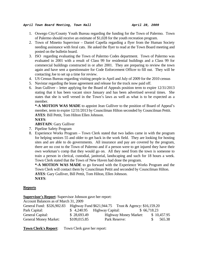- 1. Oswego City/County Youth Bureau regarding the funding for the Town of Palermo. Town of Palermo should receive an estimate of \$1,028 for the youth recreation program.
- 2. Town of Minetto Supervisor Daniel Capella regarding a flyer from the Human Society needing assistance with feral cats. He asked the flyer to read at the Town Board meeting and posted on the bulletin board.
- 3. ISO regarding evaluating the Town of Palermo Codes department. Town of Palermo was evaluated in 2001 with a result of Class 99 for residential buildings and a Class 99 for commercial buildings constructed in or after 2001. They are preparing to review the town again and have sent a questionnaire for Code Enforcement Officer to fill out. They will be contacting Joe to set up a time for review.
- 4. US Census Bureau regarding visiting people in April and July of 2009 for the 2010 census
- 5. Navistar regarding the lease agreement and release for the truck now paid off.
- 6. Jean Gulliver letter applying for the Board of Appeals position term to expire 12/31/2013 stating that it has been vacant since January and has been advertised several times. She states that she is well versed in the Town's laws as well as what is to be expected as a member.

**\*-A MOTION WAS MADE** to appoint Jean Gulliver to the position of Board of Appeal's member, term to expire 12/31/2013 by Councilman Hilton seconded by Councilman Pettit. **AYES**: Bill Pettit, Tom Hilton Ellen Johnson.

**NAYS**:

**ABSTAIN**: Gary Gulliver

- 7. Pipeline Safety Program
- 8. Experience Works Program Town Clerk stated that two ladies came in with the program for helping seniors 55 and older to get back in the work field. They are looking for hosting sites and are able to do governments. All insurance and pay are covered by the program, there are no cost to the Town of Palermo and if a person were to get injured they have their own workman's comp that they would go on. All they need from the town is someone to train a person in clerical, custodial, janitorial, landscaping and such for 18 hours a week. Town Clerk stated that the Town of New Haven had done the program.

**\*-A MOTION WAS MADE** to go forward with the Experience Works Program and the Town Clerk will contact them by Councilman Pettit and seconded by Councilman Hilton.

**AYES**: Gary Gulliver, Bill Pettit, Tom Hilton, Ellen Johnson.

**NAYS**:

# **Reports**

**Supervisor's Report**: Supervisor Johnson gave her report:

| Account Balances as of March 31, 2009                                            |              |                              |  |             |             |  |  |  |
|----------------------------------------------------------------------------------|--------------|------------------------------|--|-------------|-------------|--|--|--|
| General Fund: \$326,902.83 Highway Fund \$621,944.75 Trust & Agency: \$16,159.20 |              |                              |  |             |             |  |  |  |
| Park Capital:                                                                    |              | $$4,240.95$ Highway Capital: |  | \$66,718.23 |             |  |  |  |
| General Capital:                                                                 | \$28,693.49  | <b>Highway Money Market:</b> |  |             | \$10,457.95 |  |  |  |
| <b>General Money Market:</b>                                                     | \$109,015.85 | Park Reserve:                |  |             | 565.38      |  |  |  |

**Town Clerk's Report**: Town Clerk gave her report: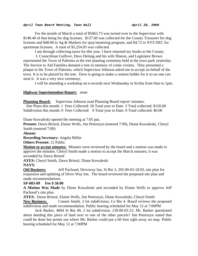For the month of March a total of \$5063.73 was turned over to the Supervisor with \$148.40 of that being for dog licenses. \$137.60 was collected for the County Treasurer for dog licenses and \$48.00 to Ag & Markets for spay/neutering program, and \$4.72 to NYS DEC for sportsman licenses. A total of \$5,254.05 was collected.

I am through collecting taxes for this year. I have returned my books to the County.

 I, Councilman Gulliver, Dave Delong and his wife Sharon, and Legislator Brown represented the Town of Palermo at the tree planting ceremony held at the town park yesterday. The Service to Aid Families donated a tree in memory of crime victims. They presented a plaque to the Town of Palermo, which Supervisor Johnson asked me to accept on behalf of the town. It is to be placed by the tree. Dave is going to make a cement holder for it so no one can steal it. It was a very nice ceremony.

I will be attending a workshop on e-records next Wednesday in Scriba from 9am to 1pm.

## **Highway Superintendent Report:** none

**Planning Board:** Supervisor Johnson read Planning Board report/minutes: Site Plans this month: 1 Fees Collected: 50 Total year to Date: 3 Total collected: \$150.00 Subdivision this month: 0 Fees Collected: 0 Total year to Date: 0 Total collected: \$0.00

Diane Kowaleski opened the meeting at 7:05 pm.

**Present:** Dawn Bristol, Elaine Wells, Jim Petreszyn (entered 7:09), Diane Kowaleski, Cheryl Smith (entered 7:09)

**Absent:**

**Recording Secretary:** Angela Miller

**Others Present:** 12 Public

**Motion to accept minutes:** Minutes were reviewed by the board and a motion was made to approve the minutes. Cheryl Smith made a motion to accept the March minutes; it was seconded by Dawn Bristol

**AYES:** Cheryl Smith, Dawn Bristol, Diane Kowaleski

# **NAYS:**

**Old Business:** Jeff Pachoud, Driveway Inn, St Rte 3, 205.00-03-18.03, site plan for expansion and updating of Drive Way Inn. The board reviewed the proposed site plan and made recommendations.

# **SP-003-09 Fee \$ 50.00**

**A Motion Was Made** by Diane Kowaleski and seconded by Elaine Wells to approve Jeff Pachoud's site plan.

**AYES:** Dawn Bristol, Elaine Wells, Jim Petreszyn, Diane Kowaleski, Cheryl Smith New Business: Connie Smith, 2 lot subdivision, Co Rte 4. Board reviews the proposed subdivision and made recommendation. Public hearing scheduled for May 12 at 7:00PM

Jack Barker, 4604 St Rte 49, 2 lot subdivision, 239.00-03-23. Mr. Barker questioned about deeding this piece of land over to one of the other parcels? Jim Petreszyn stated that could be done but points out where Mr. Barker could put a 60 foot right away on map. Public hearing scheduled for May 12 at 7:00PM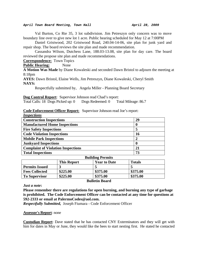Val Burton, Co Rte 35, 3 lot subdivision. Jim Petreszyn only concern was to move boundary line over to give new lot 1 acre. Public hearing scheduled for May 12 at 7:00PM

 Daniel Gristwood, 202 Gristwood Road, 240.04-14-06, site plan for junk yard and repair shop. The board reviews the site plan and made recommendation.

 Cassandra Wilson, Dutchess Lane, 188.03-13.08, site plan for day care. The board reviewed the propose site plan and made recommendations.

**Correspondence:** Town Topics

**Public Hearing:** None

**A Motion Was Made** by Diane Kowaleski and seconded Dawn Bristol to adjourn the meeting at 8:18pm

**AYES:** Dawn Bristol, Elaine Wells, Jim Petreszyn, Diane Kowaleski, Cheryl Smith **NAYS:** 

Respectfully submitted by, Angela Miller - Planning Board Secretary

**Dog Control Report**: Supervisor Johnson read Chad's report:

Total Calls: 18 Dogs Picked up: 0 Dogs Redeemed: 0 Total Mileage: 86.7

# **Code Enforcement Officer Report:** Supervisor Johnson read Joe's report:

| <i>Inspections</i>                                                    |    |  |  |  |
|-----------------------------------------------------------------------|----|--|--|--|
| <b>Construction Inspections</b>                                       | 29 |  |  |  |
| <b>Manufactured Home Inspections</b>                                  |    |  |  |  |
| <b>Fire Safety Inspections</b>                                        | 5  |  |  |  |
| <b>Code Violation Inspections</b>                                     | 16 |  |  |  |
| <b>Mobile Park Inspections</b>                                        | 2  |  |  |  |
| <b>Junkyard Inspections</b>                                           |    |  |  |  |
| <b>Complaint of Violation Inspections</b>                             | 21 |  |  |  |
| <b>Total Inspections</b>                                              | 73 |  |  |  |
| $\mathbf{D}_{\mathbf{u}}$ ilding $\mathbf{D}_{\alpha \mathbf{w}}$ ita |    |  |  |  |

| DUMULLE FUTNINS       |                    |                     |               |  |  |
|-----------------------|--------------------|---------------------|---------------|--|--|
|                       | <b>This Report</b> | <b>Year to Date</b> | <b>Totals</b> |  |  |
| <b>Permits Issued</b> |                    |                     |               |  |  |
| <b>Fees Collected</b> | \$225.00           | \$375.00            | \$375.00      |  |  |
| <b>To Supervisor</b>  | \$225.00           | \$375.00            | \$375.00      |  |  |

## **Bulletin Board**

*Just a note***:** 

**Please remember there are regulations for open burning, and burning any type of garbage is prohibited. The Code Enforcement Officer can be contacted at any time for questions at 592-2333 or email at PalermoCodes@aol.com.** 

*Respectfully Submitted,* Joseph Fiumara - Code Enforcement Officer

## **Assessor's Report**: none

**Custodian Report**: Dave stated that he has contacted CNY Exterminators and they will get with him for dates in May or June, they would like the bees to start nesting first. He stated he contacted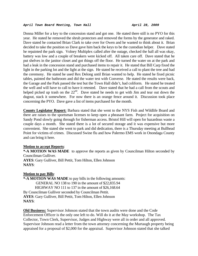Donna Miller for a key to the concession stand and got one. He stated there still is no PYO for this year. He stated he removed the shrub protectors and removed the forms by the generator and raked. Dave stated he contacted Brian Clark to take over for Owen and he wanted to think about it. Brian decided to take the position so Dave gave him back the keys to be the custodian helper. Dave stated he repainted the park sign. Volney Multiplex called after the outage, checked the hall all was okay, battery was low and a couple of breakers were kicked off. All taken care off. Dave stated that he put shelves in the janitor closet and got things off the floor. He turned the water on at the park and had a leak in the concession stand and purchased items to repair it. He stated that Bill Carp fixed the light in the parking lot and the light at the sign. He stated he received a call to plant the tree and had the ceremony. He stated he used Rex Delong until Brian wanted to help. He stated he fixed picnic tables, painted the bathroom and did the water test with Converse. He stated the results were back, the Garage and the Park passed the test but the Town Hall didn't, had coliform. He stated he treated the well and will have to call to have it retested. Dave stated that he had a call from the scouts and helped picked up trash on the  $22<sup>nd</sup>$ . Dave stated he needs to get with Jim and tear out down the dugout, stack it somewhere. For now there is an orange fence around it. Discussion took place concerning the PYO. Dave gave a list of items purchased for the month.

**County Legislator Report:** Barbara stated that she went to the NYS Fish and Wildlife Board and there are raises to the sportsman licenses to keep open a pheasant farm. Project for acquisition on Sandy Pond slowly going through for fisherman access. Bristol Hill will open for hazardous waste a couple days a month. She stated there is a lot of secured storage and it was expensive but more convenient. She stated she went to park and did dedication, there is a Thursday meeting at Bullhead Point for victims of crimes. Discussed Swine flu and how Palermo EMS work in Onondaga County and can bring it here.

## **Motion to accept Reports**:

**\*-A MOTION WAS MADE** to approve the reports as given by Councilman Hilton seconded by Councilman Gulliver. **AYES**: Gary Gulliver, Bill Pettit, Tom Hilton, Ellen Johnson **NAYS**:

## **Motion to pay Bills**:

**\*-A MOTION WAS MADE** to pay bills in the following amounts: GENERAL NO 138 to 190 in the amount of \$22,835.94 HIGHWAY NO 111 to 137 in the amount of \$26,168.64 By Councilman Gulliver seconded by Councilman Pettit. **AYES**: Gary Gulliver, Bill Pettit, Tom Hilton, Ellen Johnson **NAYS**:

**Old Business:** Supervisor Johnson stated that the town audits were done and the Code Enforcement Officer is the only one left to do. Will do it at the May workshop. The Tax Collector, Town Clerk, Supervisor, Judges and Highway were all in order and all approved. Supervisor Johnson read a letter from the town attorney concerning the Murtaugh property being appraised for a proposal of \$2,000 for the appraisal. Supervisor Johnson stated that she talked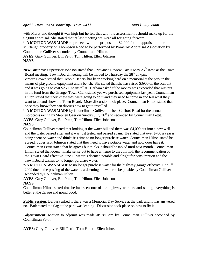with Marty and thought it was high but he felt that with the assessment it should make up for the \$2,000 appraisal. She stated that at last meeting we were all for going forward.

**\*-A MOTION WAS MADE** to proceed with the proposal of \$2,000 for an appraisal on the Murtaugh property on Thompson Road to be performed by Pomeroy Appraisal Association by Councilman Gulliver seconded by Councilman Hilton.

**AYES**: Gary Gulliver, Bill Pettit, Tom Hilton, Ellen Johnson **NAYS**:

New Business: Supervisor Johnson stated that Grievance Review Day is May 26<sup>th</sup> same as the Town Board meeting. Town Board meeting will be moved to Thursday the  $28<sup>th</sup>$  at 7pm.

Barbara Brown stated that Debbie Denery has been working hard on a memorial at the park in the means of playground equipment and a bench. She stated that she has raised \$3900 on the account and it was going to cost \$2500 to install it. Barbara asked if the money was expended that was put in the fund from the Grange. Town Clerk stated yes we purchased equipment last year. Councilman Hilton stated that they knew they were going to do it and they need to come in and tell what they want to do and show the Town Board. More discussion took place. Councilman Hilton stated that once they know they can discuss how to get it installed.

**\*-A MOTION WAS MADE** by Councilman Gulliver to close Clifford Road for the annual motocross racing by Stephen Geer on Sunday July 26<sup>th</sup> and seconded by Councilman Pettit. **AYES**: Gary Gulliver, Bill Pettit, Tom Hilton, Ellen Johnson

# **NAYS**:

Councilman Gulliver stated that looking at the water bill and there was \$4,000 put into a new well and the water passed after and it was just tested and passed again. He stated that over \$700 a year is being spent on water and thinks it's time to no longer purchase water. Councilman Hilton stated he agreed. Supervisor Johnson stated that they need to have potable water and now does have it. Councilman Pettit stated that he agrees but thinks it should be tabled until next month. Councilman Hilton stated that doesn't make sense but to have a memo to the Jim with the recommendation of the Town Board effective June  $1<sup>st</sup>$  water is deemed potable and alright for consumption and the Town Board wishes to no longer purchase water.

\*-A MOTION WAS MADE to no longer purchase water for the highway garage effective June 1<sup>st</sup>, 2009 due to the passing of the water test deeming the water to be potable by Councilman Gulliver seconded by Councilman Hilton.

**AYES**: Gary Gulliver, Bill Pettit, Tom Hilton, Ellen Johnson **NAYS**:

Councilman Hilton stated that he had seen one of the highway workers and stating everything is better at the garage and going good.

**Public Session**: Barbara asked if there was a Memorial Day Service at the park and it was answered no. Barb stated the flag at the park was leaning. Discussion took place on how to fix it

**Adjournment**: Motion to adjourn was made at: 8:16pm by Councilman Gulliver seconded by Councilman Pettit.

**AYES:** Gary Gulliver, Bill Pettit, Tom Hilton, Ellen Johnson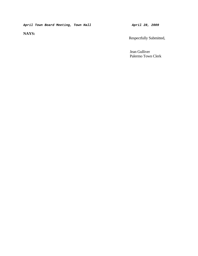**NAYS:** 

Respectfully Submitted,

 Jean Gulliver Palermo Town Clerk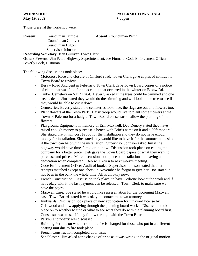Those preset at the workshop were:

| <b>Present:</b> | Councilman Trimble                                    | <b>Absent:</b> Councilman Pettit |
|-----------------|-------------------------------------------------------|----------------------------------|
|                 | Councilman Gulliver                                   |                                  |
|                 | Councilman Hilton                                     |                                  |
|                 | Supervisor Johnson                                    |                                  |
|                 | <b>Recording Secretary: Jean Gulliver, Town Clerk</b> |                                  |

**Others Present**: Jim Pettit, Highway Superintendent, Joe Fiumara, Code Enforcement Officer; Beverly Beck, Historian

The following discussions took place:

- Motocross Race and closure of Clifford road. Town Clerk gave copies of contract to Town Board to review
- Besaw Road Accident in February. Town Clerk gave Town Board copies of a notice of claim that was filed for an accident that occurred in the winter on Besaw Rd.
- Tinker Cemetery on ST RT 264. Beverly asked if the trees could be trimmed and one tree is dead. Jim stated they would do the trimming and will look at the tree to see if they would be able to cut it down.
- Cemeteries. Beverly stated the cemeteries look nice, the flags are out and flowers too.
- Plant flowers at the Town Park. Daisy troop would like to plant some flowers at the Town of Palermo for a badge. Town Board consensus to allow the planting of the flowers.
- Playground Equipment in memory of Erin Maxwell. Deb Denery stated they have raised enough money to purchase a bench with Erin's name on it and a 20ft monorail. She stated that it will cost \$2500 for the installation and they do not have enough money for installation. She stated they would like to have it for the summer and asked if the town can help with the installation. Supervisor Johnson asked Jim if the highway would have time, Jim didn't know. Discussion took place on calling the company for a better price. Deb gave the Town Board papers of what they want to purchase and prices. More discussion took place on installation and having a dedication when completed. Deb will return to next week's meeting.
- Code Enforcement Officer Audit of books. Supervisor Johnson stated that her receipts matched except one check in November he forgot to give her. Joe stated it has been in the bank the whole time. All is all okay now.
- French Construction. Discussion took place to have Cedrone look at the work and if he is okay with it the last payment can be released. Town Clerk to make sure we have the payroll.
- Maxwell Case. Joe stated he would like representation for the upcoming Maxwell case. Town Board stated it was okay to contact the town attorney.
- Junkyards. Discussion took place on new application for junkyard license by Gristwood and how applying through the planning board works. Discussion took place on to whether to fine or what to see what they do with the planning board first. Consensus was to see if they follow through with the Town Board.
- Parkhurst property was discussed
- Building Permits on whether or not a fee is charged for those who put in a different heating unit due to fire took place.
- French Construction completed door issue
- Sandblaster. Jim asked for a change of price as it was wrong in the original motion.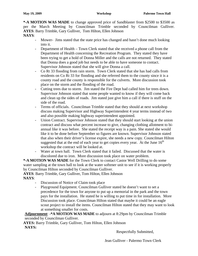**\*-A MOTION WAS MADE** to change approved price of Sandblaster from \$2500 to \$3500 as per the March Meeting by Councilman Trimble seconded by Councilman Gulliver. **AYES**: Barry Trimble, Gary Gulliver, Tom Hilton, Ellen Johnson

# **NAYS**:

- Mower- Jims stated that the state price has changed and hasn't done much looking into it.
- Department of Health Town Clerk stated that she received a phone call from the Department of Health concerning the Recreation Program. They stated they have been trying to get a hold of Donna Miller and the calls are not returned. They stated that Donna does a good job but needs to be able to have someone to contact. Supervisor Johnson stated that she will give Donna a call.
- Co Rt 33 flooding from rain storm. Town Clerk stated that she has had calls from residents on Co Rt 33 for flooding and she referred them to the county since it is a county road and the county is responsible for the culverts. More discussion took place on the storm and the flooding of the road.
- Cutting trees due to storm. Jim stated the Fire Dept had called him for trees down. Supervisor Johnson stated that some people wanted to know if they will come back and clean up the sides of roads. Jim stated just give him a call if there is stuff on the side of the road.
- Terms of officials. Councilman Trimble stated that they should at next workshop discuss making Supervisor and Highway Superintendent 4 year terms instead of two and also possible making highway superintendent appointed.
- Union Contract. Supervisor Johnson stated that they should start looking at the union contract and discuss what percent increase to give, changing clothing allotment to biannual like it was before. She stated the receipt way is a pain. She stated she would like it to be done before September so figures are known. Supervisor Johnson stated that also when their driver's license expire, she needs a new copy. Councilman Hilton suggested that at the end of each year to get copies every year. At the June  $16<sup>th</sup>$ workshop the contract will be looked at.
- Water at town hall. Town Clerk stated that it failed. Discussed that the water is discolored due to iron. More discussion took place on water problem.

**\*-A MOTION WAS MADE** for the Town Clerk to contact Castor Well Drilling to do some water sampling at the town hall to look at the water softener unit to see if it is working properly by Councilman Hilton seconded by Councilman Gulliver.

**AYES**: Barry Trimble, Gary Gulliver, Tom Hilton, Ellen Johnson **NAYS**:

- Discussion of Notice of Claim took place
- Playground Equipment. Councilman Gulliver stated he doesn't want to set a precedence for the town for anyone to put up a memorial in the park and the town pays for the installation. He stated he is willing to put time in for installation. More Discussion took place. Councilman Hilton stated that maybe it could be an eagle scout project to install the items. Councilman Hilton stated that they may want to look at something smaller for costs.

**Adjournment**: **-\*A MOTION WAS MADE** to adjourn at 8:29pm by Councilman Trimble seconded by Councilman Gulliver.

**AYES:** Barry Trimble, Gary Gulliver, Tom Hilton, Ellen Johnson **NAYS:**

Respectfully Submitted,

Jean Gulliver - Palermo Town Clerk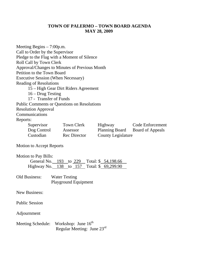# **TOWN OF PALERMO – TOWN BOARD AGENDA MAY 28, 2009**

| Meeting Begins $-7:00$ p.m.<br>Call to Order by the Supervisor<br>Roll Call by Town Clerk<br>Petition to the Town Board | Pledge to the Flag with a Moment of Silence<br>Approval/Changes to Minutes of Previous Month |                           |                                 |  |  |  |
|-------------------------------------------------------------------------------------------------------------------------|----------------------------------------------------------------------------------------------|---------------------------|---------------------------------|--|--|--|
| <b>Executive Session (When Necessary)</b>                                                                               |                                                                                              |                           |                                 |  |  |  |
| <b>Reading of Resolutions</b><br>15 - High Gear Dirt Riders Agreement                                                   |                                                                                              |                           |                                 |  |  |  |
| $16 - Drug Testing$                                                                                                     |                                                                                              |                           |                                 |  |  |  |
| 17 - Transfer of Funds                                                                                                  |                                                                                              |                           |                                 |  |  |  |
|                                                                                                                         | <b>Public Comments or Questions on Resolutions</b>                                           |                           |                                 |  |  |  |
| <b>Resolution Approval</b>                                                                                              |                                                                                              |                           |                                 |  |  |  |
| Communications                                                                                                          |                                                                                              |                           |                                 |  |  |  |
| Reports:                                                                                                                |                                                                                              |                           |                                 |  |  |  |
|                                                                                                                         | Supervisor Town Clerk                                                                        | Highway                   | <b>Code Enforcement</b>         |  |  |  |
|                                                                                                                         | Dog Control Assessor                                                                         |                           | Planning Board Board of Appeals |  |  |  |
| Custodian                                                                                                               | <b>Rec</b> Director                                                                          | <b>County Legislature</b> |                                 |  |  |  |
| Motion to Accept Reports                                                                                                |                                                                                              |                           |                                 |  |  |  |
| <b>Motion to Pay Bills:</b><br>General No. 193 to 229 Total: \$ 54,198.66<br>Highway No. 138 to 157 Total: \$ 69,299.90 |                                                                                              |                           |                                 |  |  |  |
| Old Business: Water Testing                                                                                             | <b>Playground Equipment</b>                                                                  |                           |                                 |  |  |  |
| <b>New Business:</b>                                                                                                    |                                                                                              |                           |                                 |  |  |  |
| <b>Public Session</b>                                                                                                   |                                                                                              |                           |                                 |  |  |  |
| Adjournment                                                                                                             |                                                                                              |                           |                                 |  |  |  |
|                                                                                                                         | Meeting Schedule: Workshop: June 16 <sup>th</sup><br>Regular Meeting: June $23^{\text{rd}}$  |                           |                                 |  |  |  |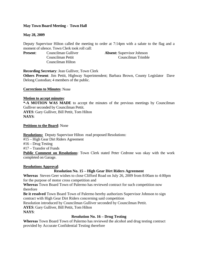# **May Town Board Meeting - Town Hall**

# **May 28, 2009**

Deputy Supervisor Hilton called the meeting to order at 7:14pm with a salute to the flag and a moment of silence. Town Clerk took roll call:

Councilman Hilton

**Present:** Councilman Gulliver **Absent:** Supervisor Johnson Councilman Pettit Councilman Trimble

**Recording Secretary**: Jean Gulliver, Town Clerk

**Others Present**: Jim Pettit, Highway Superintendent; Barbara Brown, County Legislator Dave Delong Custodian; 4 members of the public.

**Corrections to Minutes**: None

## **Motion to accept minutes**:

**\*-A MOTION WAS MADE** to accept the minutes of the previous meetings by Councilman Gulliver seconded by Councilman Pettit. **AYES**: Gary Gulliver, Bill Pettit, Tom Hilton

**NAYS**:

# **Petitions to the Board**: None

**Resolutions:** Deputy Supervisor Hilton read proposed Resolutions:

#15 – High Gear Dirt Riders Agreement

#16 – Drug Testing

#17 – Transfer of Funds

**Public Comment on Resolutions**: Town Clerk stated Peter Cedrone was okay with the work completed on Garage.

# **Resolutions Approval**:

# **Resolution No. 15 – High Gear Dirt Riders Agreement**

**Whereas** Steven Geer wishes to close Clifford Road on July 26, 2009 from 8:00am to 4:00pm for the purpose of motor cross competition and

**Whereas** Town Board Town of Palermo has reviewed contract for such competition now therefore

**Be it resolved** Town Board Town of Palermo hereby authorizes Supervisor Johnson to sign contract with High Gear Dirt Riders concerning said competition

Resolution introduced by Councilman Gulliver seconded by Councilman Pettit.

**AYES**: Gary Gulliver, Bill Pettit, Tom Hilton

**NAYS**:

# **Resolution No. 16 – Drug Testing**

**Whereas** Town Board Town of Palermo has reviewed the alcohol and drug testing contract provided by Accurate Confidential Testing therefore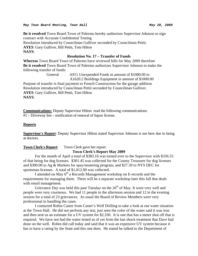#### *May Town Board Meeting, Town Hall May 28, 2009*

**Be it resolved** Town Board Town of Palermo hereby authorizes Supervisor Johnson to sign contract with Accurate Confidential Testing Resolution introduced by Councilman Gulliver seconded by Councilman Pettit. **AYES**: Gary Gulliver, Bill Pettit, Tom Hilton **NAYS**:

# **Resolution No. 17 – Transfer of Funds**

**Whereas** Town Board Town of Palermo have reviewed bills for May 2009 therefore **Be it resolved** Town Board Town of Palermo authorizes Supervisor Johnson to make the following transfer of funds:

> General A911 Unexpended Funds in amount of \$1000.00 to A1620.2 Buildings Equipment in amount of \$1000.00

Purpose of transfer is final payment to French Construction for the garage addition Resolution introduced by Councilman Pettit seconded by Councilman Gulliver. **AYES**: Gary Gulliver, Bill Pettit, Tom Hilton **NAYS**:

**Communications:** Deputy Supervisor Hilton read the following communications: #1 – Driveway Inn – notification of renewal of liquor license.

# **Reports**

**Supervisor's Report**: Deputy Supervisor Hilton stated Supervisor Johnson is not here due to being at doctors.

**Town Clerk's Report**: Town Clerk gave her report:

# **Town Clerk's Report May 2009**

For the month of April a total of \$383.16 was turned over to the Supervisor with \$336.55 of that being for dog licenses. \$301.45 was collected for the County Treasurer for dog licenses and \$300.00 to Ag & Markets for spay/neutering program, and \$27.39 to NYS DEC for sportsman licenses. A total of \$1,012.00 was collected.

I attended on May 6<sup>th</sup> a Records Management workshop on E-records and the requirements for managing them. There will be a separate workshop later this fall that deals with email management.

Grievance Day was held this past Tuesday on the  $26<sup>th</sup>$  of May. It went very well and people were very courteous. We had 11 people in the afternoon session and 12 in the evening session for a total of 23 grievances. As usual the Board of Review Members were very professional in handling the cases.

I contacted Robin Caster from Caster's Well Drilling to take a look at our water situation at the Town Hall. He did not perform any test, just seen the color of the water said it was iron and then sent us an estimate for a UV system for \$2,330. It is one that has a meter shut off that is required. We have not had the water tested as of yet from the last shock treatment that Dave had done on the well. Robin did call today and said that it was an expensive UV system because it has to have a rating by the State and this one does. He stated he talked to the Department of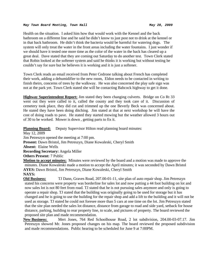Health on the situation. I asked him how that would work with the Kennel and the back bathroom on a different line and he said he didn't know to just post not to drink at the kennel or in that back bathroom. He didn't think the bacteria would be harmful for watering dogs. The system will only treat the water in the front areas including the water fountains. I just wonder if we should have it tested one more time as the color of the water in the back has cleared up a great deal. Dave stated that they are coming out Saturday to do another test. Town Clerk stated that Robin looked at the softener system and said he thinks it is working but without testing he couldn't say for sure but he believes it is working and it is just a softener.

Town Clerk reads an email received from Peter Cedrone talking about French has completed their work, adding a dehumidifier to the new room, Eldon needs to be contacted in writing to finish theirs, concerns of trees by the walkway. He was also concerned the play safe sign was not at the park yet. Town Clerk stated she will be contacting Babcock highway to get it done.

**Highway Superintendent Report:** Jim stated they been changing culverts. Bridge on Co Rt 33 went out they were called to it, called the county and they took care of it. Discussion of cemetery took place, they did cut and trimmed up the one Beverly Beck was concerned about. He stated they have been doing ditching. Jim stated at that at next workshop he will have the cost of doing roads to pave. He stated they started mowing but the weather allowed 3 hours out of 30 to be worked. Mower is down , getting parts to fix it.

**Planning Board:** Deputy Supervisor Hilton read planning board minutes:

May 12, 2009 Jim Petreszyn opened the meeting at 7:00 pm. **Present:** Dawn Bristol, Jim Petreszyn, Diane Kowaleski, Cheryl Smith **Absent:** Elaine Wells **Recording Secretary:** Angela Miller **Others Present:** 7 Public

**Motion to accept minutes:** Minutes were reviewed by the board and a motion was made to approve the minutes. Diane Kowaleski made a motion to accept the April minutes; it was seconded by Dawn Bristol **AYES:** Dawn Bristol, Jim Petreszyn, Diane Kowaleski, Cheryl Smith

# **NAYS:**

**Old Business:** TJ Dann, Graves Road, 207.00-01-11, site plan of auto repair shop. Jim Petreszyn stated his concerns were property was borderline for sales lot and now putting a 44 foot building on lot and now sales lot is not 80 feet from road. TJ stated that he is not pursuing sales anymore and only is going to operate a repair shop. TJ stated that the building was originally going to be used for storage but it has changed and he is going to use the building for the repair shop and add a lift to the building and it will not be used as storage. TJ stated he could not foresee more than 5 cars at one time on the lot. Jim Petreszyn stated that the site plan needed the sales lot distance, distance from garage to road and side yard, setback for house distance, parking, building to rear property line, to scale, and pictures of property. The board reviewed the proposed site plan and made recommendation.

**New Business:** Mert Jones, 764 Red Schoolhouse Road, 2 lot subdivision, 204.00-03-07.17. Jim Petreszyn showed Mr. Jones proposed changes on his map. The board reviewed the proposed subdivision and made recommendations. Public hearing to be scheduled for June 9 at 7:00PM.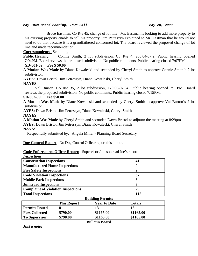#### *May Town Board Meeting, Town Hall May 28, 2009*

 Bruce Eastman, Co Rte 45, change of lot line. Mr. Eastman is looking to add more property to his existing property enable to sell his property. Jim Petreszyn explained to Mr. Eastman that he would not need to do that because it is a grandfathered conformed lot. The board reviewed the proposed change of lot line and made recommendation.

**Correspondence:** Schooling

**Public Hearing:** Connie Smith, 2 lot subdivision, Co Rte 4, 206.04-07.2. Public hearing opened 7:04PM. Board reviews the proposed subdivision. No public comments. Public hearing closed 7:07PM.

# **SD-001-09 Fee \$ 50.00**

**A Motion Was Made** by Diane Kowaleski and seconded by Cheryl Smith to approve Connie Smith's 2 lot subdivision.

**AYES:** Dawn Bristol, Jim Petreszyn, Diane Kowaleski, Cheryl Smith

## **NAYES:**

 Val Burton, Co Rte 35, 2 lot subdivision, 170.00-02.04. Public hearing opened 7:11PM. Board reviews the proposed subdivision. No public comments. Public hearing closed 7:15PM.

## **SD-002-09 Fee \$50.00**

**A Motion Was Made** by Diane Kowaleski and seconded by Cheryl Smith to approve Val Burton's 2 lot subdivision.

**AYES:** Dawn Bristol, Jim Petreszyn, Diane Kowaleski, Cheryl Smith **NAYES:** 

**A Motion Was Made** by Cheryl Smith and seconded Dawn Bristol to adjourn the meeting at 8:29pm **AYES:** Dawn Bristol, Jim Petreszyn, Diane Kowaleski, Cheryl Smith

**NAYS:** 

Respectfully submitted by, Angela Miller - Planning Board Secretary

**Dog Control Report**: No Dog Control Officer report this month.

## **Code Enforcement Officer Report:** Supervisor Johnson read Joe's report:

| <i>Inspections</i>                        |     |
|-------------------------------------------|-----|
| <b>Construction Inspections</b>           | 41  |
| <b>Manufactured Home Inspections</b>      | O   |
| <b>Fire Safety Inspections</b>            | 2   |
| <b>Code Violation Inspections</b>         | 37  |
| <b>Mobile Park Inspections</b>            | 3   |
| <b>Junkyard Inspections</b>               | 3   |
| <b>Complaint of Violation Inspections</b> | 29  |
| <b>Total Inspections</b>                  | 115 |
| <b>Ruilding Dormits</b>                   |     |

| ранаше і сі ніцэ      |                    |                     |               |
|-----------------------|--------------------|---------------------|---------------|
|                       | <b>This Report</b> | <b>Year to Date</b> | <b>Totals</b> |
| <b>Permits Issued</b> |                    |                     | 13            |
| <b>Fees Collected</b> | \$790.00           | \$1165.00           | \$1165.00     |
| <b>To Supervisor</b>  | \$790.00           | \$1165.00           | \$1165.00     |

**Bulletin Board** 

*Just a note***:**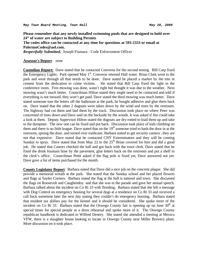**Please remember that any newly installed swimming pools that are designed to hold over 24" of water are subject to Building Permits The codes office can be contacted at any time for questions at 593-2333 or email at PalermoCodes@aol.com.**  *Respectfully Submitted,* Joseph Fiumara - Code Enforcement Officer

## **Assessor's Report**: none

**Custodian Report:** Dave stated that he contacted Converse for the second testing. Bill Carp fixed the Emergency Lights. Park opened May  $1<sup>st</sup>$ . Converse retested Hall water. Brian Clark went to the park and went through all that needs to be done. Dave stated he placed a marker by the tree in cement from the dedication to crime victims. He stated that Bill Carp fixed the light in the conference room. First mowing was done, wasn't right but thought it was due to the weather. Next mowing wasn't much better. Councilman Hilton stated they might need to be contacted and told if everything is not mowed, they won't get paid. Dave stated the third mowing was much better. Dave stated someone tore the letters off the bathroom at the park, he bought adhesive and glue them back on. Dave stated that the other 2 dugouts were taken down by the wind and trees by the restroom. The highway had cut them and laid them by the track. Discussion took place on where Peter was concerned of trees down and Dave said on the backside by the woods. It was asked if Jim could take a look at them. Deputy Supervisor Hilton stated the dugouts are dry-rotted to load them up and take to the dumpster. The new one can be fixed and put back. Discussion took place of kids climbing on them and there is no little league. Dave stated that on the  $19<sup>th</sup>$  someone tried to bash the door in at the restroom, sprung the door, and turned over trashcans. Barbara stated to get security camera , they are not that expensive. Dave stated that he contacted CNY Exterminators and they will be coming Sunday to spray. Dave stated that from May 22 to the  $25<sup>th</sup>$  Brian covered for him and did a good job. He stated that Castors checked the hall and got back with the town clerk. Dave stated that he fixed the drink fountain hose by the pavement, glue letters back on the restroom and put a shelf in the clerk's office. Councilman Pettit asked if the flag pole is fixed yet, Dave answered not yet. Dave gave a list of items purchased for the month.

**County Legislator Report**: Barbara stated that Dave did a nice job on the concrete plaque. She did provide a memorial wreath at the park. She stated that the Sunday school and her placed flowers and flags at Sayles Corners. Barbara stated the flag at the hall is tattered and town. She discussed the flags on Roosevelt and Caughendoy and that she was in the parade and gave her annual speech. Barbara talked about the incident on Co Rt 33 with flooding. Barbara stated that she left a message with Dog Control on emergency housing for several dogs at a residence on Co Rt 33 and received a call back sometime later the next day stating they couldn't do emergency housing. Barbara stated that resident tax dollars pay for the kennel and it should be considered. She spoke more of the incident on Co Rt 33. Barbara stated that the Oswego County fair is opening up on June  $30<sup>th</sup>$  at special times for special people as a dress rehearsal and spoke more of it. The Oswego County republican handbook is dedicated to Wilfred Denery. She stated she attended a meeting at Mexico VFW, there is a slaughter house looking to locate in Oswego County near Miller Brewery plant. More discussion on it took place.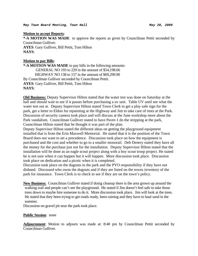*May Town Board Meeting, Town Hall May 28, 2009* 

## **Motion to accept Reports**:

**\*-A MOTION WAS MADE** to approve the reports as given by Councilman Pettit seconded by Councilman Gulliver. **AYES**: Gary Gulliver, Bill Pettit, Tom Hilton **NAYS**:

## **Motion to pay Bills**:

**\*-A MOTION WAS MADE** to pay bills in the following amounts: GENERAL NO 193 to 229 in the amount of \$54,198.66 HIGHWAY NO 138 to 157 in the amount of \$69,299.90 By Councilman Gulliver seconded by Councilman Pettit. **AYES**: Gary Gulliver, Bill Pettit, Tom Hilton **NAYS**:

**Old Business:** Deputy Supervisor Hilton stated that the water test was done on Saturday at the hall and should wait to see if it passes before purchasing a uv unit. Table UV until see what the water test out at. Deputy Supervisor Hilton stated Town Clerk to get a play safe sign for the park, get a letter to Eldon for repainting at the Highway and Jim to take care of trees at the Park. Discussion of security camera took place and will discuss at the June workshop more about the Park vandalism. Councilman Gulliver stated to have Paver-1 do the stripping at the park, Councilman Hilton stated that he thought it was part of the plan.

Deputy Supervisor Hilton stated the different ideas on getting the playground equipment installed that is from the Erin Maxwell Memorial. He stated that it is the position of the Town Board does not want to set a precedence. Discussion took place on how the equipment is purchased and the cost and whether to go to a smaller monorail. Deb Denery stated they have all the money for the purchase just not for the installation. Deputy Supervisor Hilton stated that the installation will be done as an eagle scout project along with a boy scout troop project. He stated he is not sure when it can happen but it will happen. More discussion took place. Discussion took place on dedication and a picnic when it is completed.

Discussion took place on the dugouts in the park and the PYO responsibility if they have not disband. Discussed who owns the dugouts and if they are listed on the towns inventory of the park for insurance. Town Clerk is to check to see if they are on the town's policy.

**New Business:** Councilman Gulliver stated if doing cleanup there is the area grown up around the walking trail and people can't see the playground. He stated if Jim doesn't feel safe to take those trees down to maybe hire someone to do it. More discussion took place. Jim will look at the trees. He stated that they been trying to get roads ready, been raining and they have to haul sand in the summer.

Discussion on gravel pit near the park took place.

# **Public Session**: none

**Adjournment**: Motion to adjourn was made at: 8:40 pm by Councilman Pettit seconded by Councilman Gulliver.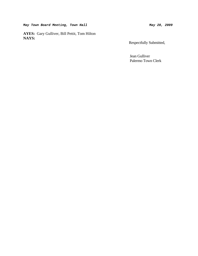May Town Board Meeting, Town Hall May 28, 2009

**AYES:** Gary Gulliver, Bill Pettit, Tom Hilton **NAYS:** 

Respectfully Submitted,

 Jean Gulliver Palermo Town Clerk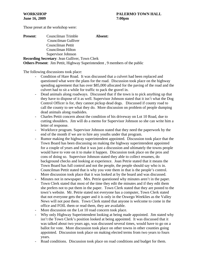| <b>Present:</b> | Councilman Trimble                                    | Absent: |
|-----------------|-------------------------------------------------------|---------|
|                 | Councilman Gulliver                                   |         |
|                 | Councilman Pettit                                     |         |
|                 | Councilman Hilton                                     |         |
|                 | Supervisor Johnson                                    |         |
|                 | <b>Recording Secretary: Jean Gulliver, Town Clerk</b> |         |

**Others Present**: Jim Pettit, Highway Superintendent , 9 members of the public

The following discussions took place:

- Condition of Hare Road. It was discussed that a culvert had been replaced and questioned what were the plans for the road. Discussion took place on the highway spending agreement that has over \$85,000 allocated for the paving of the road and the culvert had to sit a while for traffic to pack the gravel in.
- Dead animals along roadways. Discussed that if the town is to pick anything up that they have to dispose of it as well. Supervisor Johnson stated that it isn't what the Dog Control Officer is for, they cannot pickup dead dogs. Discussed if county road to call the county to see what they do. More discussion on problem of people dumping dead animals along roadsides.
- Charles Pettit concern about the condition of his driveway on Lot 10 Road, due to cutting shoulders. Jim will do a memo for Supervisor Johnson so she can write him a letter of response.
- Workforce program. Supervisor Johnson stated that they need the paperwork by the end of the month if we are to hire any youths under that program.
- Rumor making the highway superintendent appointed. Discussion took place that the Town Board has been discussing on making the highway superintendent appointed for a couple of years and that it was just a discussion and ultimately the towns people would have to vote on it to make it happen. Discussion took place on the pros and cons of doing so. Supervisor Johnson stated they able to collect resumes, do background checks and looking at experience. Joan Petrie stated that it means the Town Board has full control and not the people, the people should say who is in. Councilman Pettit stated that is why you vote them in that is the people's control. More discussion took place that it was looked at by the board and was discussed.
- Minutes not in newspaper. Mrs. Petrie questioned why minutes aren't in the paper. Town Clerk stated that most of the time they edit the minutes and if they edit them she prefers not to put them in the paper. Town Clerk stated that they are posted to the town's website. Mr. Petrie stated not everyone has a computer, Town Clerk stated that not everyone gets the paper and it is only in the Oswego Weeklies as the Valley News will not post them. Town Clerk stated that anyone is welcome to come in the office and FOIL them or read them, they are available.
- More discussion on the Lot 10 road concern took place.
- Why only Highway Superintendent looking at being made appointed. Jim stated why isn't the Town Clerk's position looked at being appointed. It was discussed that it was talked about two years ago, was discussed several times, would have to go on a ballot for vote. More discussion took place on other towns in other counties going appointed. Discussion took place on making elected terms from two years to fours years.
- Road conditions. Discussion took place on road conditions and budget for them.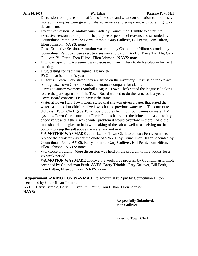- Discussion took place on the affairs of the state and what consolidation can do to save money. Examples were given on shared services and equipment with other highway departments.
- Executive Session. **A motion was made** by Councilman Trimble to enter into executive session at 7:50pm for the purpose of personnel reasons and seconded by Councilman Pettit. **AYES**: Barry Trimble, Gary Gulliver, Bill Pettit, Tom Hilton, Ellen Johnson. **NAYS**: none
- Close Executive Session. A **motion was made** by Councilman Hilton seconded by Councilman Pettit to close executive session at 8:07 pm. **AYES**: Barry Trimble, Gary Gulliver, Bill Pettit, Tom Hilton, Ellen Johnson. **NAYS**: none
- Highway Spending Agreement was discussed. Town Clerk to do Resolution for next meeting.
- Drug testing contract was signed last month
- PYO that is none this year.
- Dugouts. Town Clerk stated they are listed on the inventory. Discussion took place on dugouts. Town Clerk to contact insurance company for claim.
- Oswego County Women's Softball League. Town Clerk stated the league is looking to use the park again and if the Town Board wanted to do the same as last year. Town Board consensus is to have it the same.
- Water at Town Hall. Town Clerk stated that she was given a paper that stated the water has failed but didn't realize it was for the previous water test. The current test did pass. Town Clerk gave Town Board quotes from four companies on water UV systems. Town Clerk stated that Ferris Pumps has stated the brine tank has no safety check valve and if there was a water problem it would overflow in there. Also the tube should be in glass to help with caking of the salt as well as a shelving on the bottom to keep the salt above the water and not in it.

**\*-A MOTION WAS MADE** authorize the Town Clerk to contact Ferris pumps to replace the brink tank as per the quote of \$265.00 by Councilman Hilton seconded by Councilman Pettit. **AYES**: Barry Trimble, Gary Gulliver, Bill Pettit, Tom Hilton, Ellen Johnson. **NAYS**: none

- Workforce program. More discussion was held on the program to hire youths for a six week period.

**\*-A MOTION WAS MADE** approve the workforce program by Councilman Trimble seconded by Councilman Pettit. **AYES**: Barry Trimble, Gary Gulliver, Bill Pettit, Tom Hilton, Ellen Johnson. **NAYS**: none

**Adjournment**: **-\*A MOTION WAS MADE** to adjourn at 8:39pm by Councilman Hilton seconded by Councilman Trimble.

**AYES:** Barry Trimble, Gary Gulliver, Bill Pettit, Tom Hilton, Ellen Johnson **NAYS:**

> Respectfully Submitted, Jean Gulliver

Palermo Town Clerk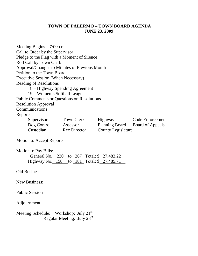# **TOWN OF PALERMO – TOWN BOARD AGENDA JUNE 23, 2009**

Meeting Begins – 7:00p.m. Call to Order by the Supervisor Pledge to the Flag with a Moment of Silence Roll Call by Town Clerk Approval/Changes to Minutes of Previous Month Petition to the Town Board Executive Session (When Necessary) Reading of Resolutions 18 – Highway Spending Agreement 19 – Women's Softball League Public Comments or Questions on Resolutions Resolution Approval Communications Reports: Supervisor Town Clerk Highway Code Enforcement Dog Control Assessor Planning Board Board of Appeals Custodian Rec Director County Legislature

Motion to Accept Reports

Motion to Pay Bills:

| General No. 230 to 267 Total: \$27,483.22  |  |  |  |
|--------------------------------------------|--|--|--|
| Highway No. 158 to 181 Total: \$ 27,485.71 |  |  |  |

Old Business:

New Business:

Public Session

Adjournment

Meeting Schedule: Workshop: July  $21^{st}$ Regular Meeting: July 28<sup>th</sup>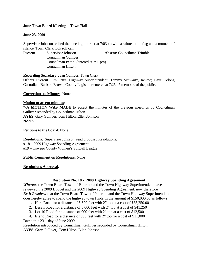# **June Town Board Meeting - Town Hall**

# **June 23, 2009**

Supervisor Johnson called the meeting to order at 7:03pm with a salute to the flag and a moment of silence. Town Clerk took roll call:

**Present:** Supervisor Johnson **Absent:** Councilman Trimble

Councilman Gulliver Councilman Pettit (entered at 7:11pm) Councilman Hilton

**Recording Secretary**: Jean Gulliver, Town Clerk

**Others Present**: Jim Pettit, Highway Superintendent; Tammy Schwartz, Janitor; Dave Delong Custodian; Barbara Brown, County Legislator entered at 7:25; 7 members of the public.

## **Corrections to Minutes**: None

## **Motion to accept minutes**:

**\*-A MOTION WAS MADE** to accept the minutes of the previous meetings by Councilman Gulliver seconded by Councilman Hilton. **AYES**: Gary Gulliver, Tom Hilton, Ellen Johnson **NAYS**:

## **Petitions to the Board**: None

**Resolutions:** Supervisor Johnson read proposed Resolutions: # 18 – 2009 Highway Spending Agreement #19 – Oswego County Women's Softball League

## **Public Comment on Resolutions**: None

# **Resolutions Approval**:

# **Resolution No. 18 - 2009 Highway Spending Agreement**

*Whereas* the Town Board Town of Palermo and the Town Highway Superintendent have reviewed the 2009 Budget and the 2009 Highway Spending Agreement, now therefore *Be It Resolved* that the Town Board Town of Palermo and the Town Highway Superintendent does hereby agree to spend the highway town funds in the amount of \$150,000.00 as follows:

- 1. Hare Road for a distance of 5,690 feet with 2" top at a cost of \$85,250.00
- 2. Besaw Road for a distance of 3,000 feet with 2" top at a cost of \$41,250
- 3. Lot 10 Road for a distance of 900 feet with 2" top at a cost of \$12,500

4. Island Road for a distance of 800 feet with 2" top for a cost of \$11,000 Dated this  $23^{\text{rd}}$  day of June 2009.

Resolution introduced by Councilman Gulliver seconded by Councilman Hilton. **AYES**: Gary Gulliver, Tom Hilton, Ellen Johnson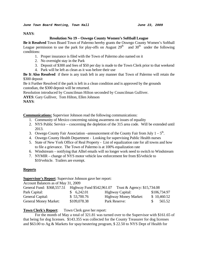## **NAYS**:

# **Resolution No 19 – Oswego County Women's Softball League**

**Be it Resolved** Town Board Town of Palermo hereby grants the Oswego County Women's Softball League permission to use the park for play-offs on August  $29<sup>th</sup>$  and  $30<sup>th</sup>$  under the following conditions:

- 1. Proper insurance is filed with the Town of Palermo also named on it
- 2. No overnight stay in the Park
- 3. Deposit of \$300 and fees of \$50 per day is made to the Town Clerk prior to that weekend
- 4. Park will be left as clean as it was before their use

**Be It Also Resolved** if there is any trash left in any manner that Town of Palermo will retain the \$300 deposit

Be it Further Resolved if the park is left in a clean condition and is approved by the grounds custodian, the \$300 deposit will be returned.

Resolution introduced by Councilman Hilton seconded by Councilman Gulliver.

**AYES**: Gary Gulliver, Tom Hilton, Ellen Johnson

**NAYS**:

**Communications:** Supervisor Johnson read the following communications:

- 1. Community of Mexico concerning raising awareness on issues of equality
- 2. NYS Public Service concerning the depletion of the 315 area code. Will be extended until 2013.
- 3. Oswego County Fair Association –announcement of the County Fair from July  $1 5$ <sup>th</sup>.
- 4. Oswego County Health Department Looking for supervising Public Health nurses
- 5. State of New York Office of Real Property List of equalization rate for all towns and how to file a grievance. The Town of Palermo is at 100% equalization rate
- 6. Windstream notifying that Alltel emails will no longer work need to switch to Windstream
- 7. NYMIR change of NYS motor vehicle law enforcement fee from \$5/vehicle to \$10/vehicle. Trailers are exempt.

# **Reports**

# **Supervisor's Report**: Supervisor Johnson gave her report:

Account Balances as of May 31, 2009

| General Fund: \$368,557.51   | Highway Fund \$542,961.07 | Trust & Agency: \$15,734.08  |              |
|------------------------------|---------------------------|------------------------------|--------------|
| Park Capital:                | \$6,242.01                | <b>Highway Capital:</b>      | \$106,734.97 |
| General Capital:             | \$53,700.76               | <b>Highway Money Market:</b> | \$10,460.52  |
| <b>General Money Market:</b> | \$109,078.38              | Park Reserve:                | 565.52       |

# **Town Clerk's Report**: Town Clerk gave her report:

For the month of May a total of 321.81 was turned over to the Supervisor with \$161.65 of that being for dog licenses. \$143.355 was collected for the County Treasurer for dog licenses and \$63.00 to Ag & Markets for spay/neutering program, \$ 22.50 to NYS Dept of Health for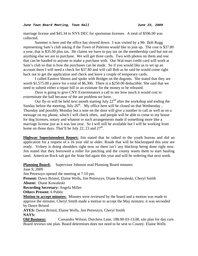marriage license and \$45.34 to NYS DEC for sportsman licenses. A total of \$596.00 was collected.

 Summer is here and the office has slowed down. I was visited by a Mr. Bob Rugg representing Sam's club asking if the Town of Palermo would like to join up. The cost is \$37.80 a year, that is \$35.00 plus tax. He claims we have to pay tax on the membership card but not on anything else we are to purchase. We will get three cards. Two with photos on them and one that can be handed to anyone to make a purchase with. Our Wal-mart credit card will work at Sam's club so that is how the purchases can be made. So if you would like us to set up an account there I will need a check for \$37.80 and will call Bob as he said he would come right back out to get the application and check and leave a couple of temporary cards.

 I called Eastern Shores and spoke with Bridget on the dugouts. She stated that they are worth \$1,575.00 a piece for a total of \$6,300. There is a \$250.00 deductible. She said that we need to submit either a repair bill or an estimate for the money to be released.

 Dave is going to give CNY Exterminators a call to see how much it would cost to exterminate the hall because of the ant problem we have.

Our fly-in will be held next month starting July  $22<sup>nd</sup>$  after the workshop and ending the Sunday before the meeting, July  $26<sup>th</sup>$ . My office here will be closed on that Wednesday, Thursday and possibly Monday but a note on the door will give a number to call as well as on a message on my phone, which I will check often, and people will be able to come to my house for dog licenses, notary and whatnot or such arrangements made if something more like a marriage license just as it was last year. So I will still be available but I will be working from home on those days. That'll be July 22, 23 and  $27<sup>th</sup>$ .

**Highway Superintendent Report:** Jim stated that he talked to the youth bureau and did an application for a request of a 16 year old or older. Roads that will be blacktopped this year are ready. Volney is doing shoulders right now so there isn't any blacktop being done right now. Jim stated that they borrowed a roller for patching and the county wants them to start hauling sand. American Rock salt got the State bid again this year and will be ordering that next week.

**Planning Board:** Supervisor Johnson read Planning Board minutes: June 9, 2009 Jim Petreszyn opened the meeting at 7:10 pm. **Present:** Dawn Bristol, Elaine Wells, Jim Petreszyn, Diane Kowaleski, Cheryl Smith **Absent:** Diane Kowaleski **Recording Secretary:** Angela Miller **Others Present: 6 Public Motion to accept minutes:** Minutes were reviewed by the board and a motion was made to approve the minutes. Cheryl Smith made a motion to accept the May minutes; it was seconded by Dawn Bristol **AYES:** Dawn Bristol, Elaine Wells, Jim Petreszyn, Cheryl Smith **NAYS:** 

**Old Business:** Cassandra Wilson, Dutchess Lane, 188.00-03-13.08, site plan for day care. Board reviews site plan. Board determines does not need to be sent to County. Elaine Wells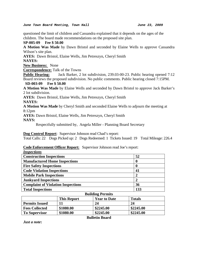*June Town Board Meeting, Town Hall June 23, 2009* 

questioned the limit of children and Cassandra explained that it depends on the ages of the children. The board made recommendations on the proposed site plan.

**SP-005-09 Fee \$ 50.00** 

**A Motion Was Made** by Dawn Bristol and seconded by Elaine Wells to approve Cassandra Wilson's site plan.

**AYES:** Dawn Bristol, Elaine Wells, Jim Petreszyn, Cheryl Smith

**NAYES:** 

**New Business:** None

**Correspondence:** Talk of the Towns

**Public Hearing:** Jack Barker, 2 lot subdivision, 239.03-00-23. Public hearing opened 7:12 Board reviews the proposed subdivision. No public comments. Public hearing closed 7:15PM.

**SD-003-09 Fee \$ 50.00** 

**A Motion Was Made** by Elaine Wells and seconded by Dawn Bristol to approve Jack Barker's 2 lot subdivision.

**AYES:** Dawn Bristol, Elaine Wells, Jim Petreszyn, Cheryl Smith

#### **NAYES:**

**A Motion Was Made** by Cheryl Smith and seconded Elaine Wells to adjourn the meeting at 8:12pm

**AYES:** Dawn Bristol, Elaine Wells, Jim Petreszyn, Cheryl Smith **NAYS:** 

Respectfully submitted by, Angela Miller - Planning Board Secretary

# **Dog Control Report**: Supervisor Johnson read Chad's report:

Total Calls: 22 Dogs Picked up: 2 Dogs Redeemed: 1 Tickets Issued: 19 Total Mileage: 226.4

# **Code Enforcement Officer Report:** Supervisor Johnson read Joe's report:

| <b>Inspections</b>                        |     |
|-------------------------------------------|-----|
| <b>Construction Inspections</b>           | 52  |
| <b>Manufactured Home Inspections</b>      | 0   |
| <b>Fire Safety Inspections</b>            | 0   |
| <b>Code Violation Inspections</b>         | 41  |
| <b>Mobile Park Inspections</b>            |     |
| <b>Junkyard Inspections</b>               | 2   |
| <b>Complaint of Violation Inspections</b> | 36  |
| <b>Total Inspections</b>                  | 133 |

# **Building Permits**  This Report Year to Date Totals **Permits Issued** 11 24 24 **Fees Collected** \$1080.00 \$2245.00 \$2245.00 **To Supervisor \$1080.00 \$2245.00 \$2245.00**

**Bulletin Board** 

*Just a note***:**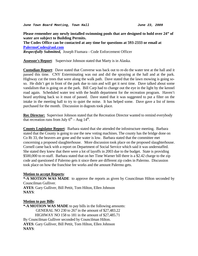*June Town Board Meeting, Town Hall June 23, 2009* 

**Please remember any newly installed swimming pools that are designed to hold over 24" of water are subject to Building Permits.** 

**The Codes Office can be contacted at any time for questions at 593-2333 or email at [PalermoCodes@aol.com](mailto:PalermoCodes@aol.com)** 

*Respectfully Submitted,* Joseph Fiumara - Code Enforcement Officer

**Assessor's Report**: Supervisor Johnson stated that Marty is in Alaska.

**Custodian Report**: Dave stated that Converse was back out to re-do the water test at the hall and it passed this time. CNY Exterminating was out and did the spraying at the hall and at the park. Highway cut the trees that were along the walk path. Dave stated that the lawn mowing is going soso. He didn't get in front of the park due to rain and will get it next time. Dave talked about some vandalism that is going on at the park. Bill Carp had to change out the eye in the light by the kennel road again. Scheduled water test with the health department for the recreation program. Haven't heard anything back so it must of passed. Dave stated that it was suggested to put a filter on the intake in the meeting hall to try to quiet the noise. It has helped some. Dave gave a list of items purchased for the month. Discussion in dugouts took place.

**Rec Director:** Supervisor Johnson stated that the Recreation Director wanted to remind everybody that recreation runs from July  $6<sup>th</sup> - Aug 14<sup>th</sup>$ .

**County Legislator Report**: Barbara stated that she attended the infostructure meeting. Barbara stated that the County is going to use the new voting machines. The county has the bridge done on Co Rt 33, the beavers are gone and the water is low. Barbara stated that the committee met concerning a proposed slaughterhouse. More discussion took place on the proposed slaughterhouse. Cornell came back with a report on Department of Social Service which said it was understaffed. She stated they knew that there were a lot of layoffs in 2003 due to the budget. State is providing \$500,000 to re-staff. Barbara stated that on her Time Warner bill there is a \$2.42 charge to the zip code and questioned if Palermo gets it since there are different zip codes in Palermo. Discussion took place on how the franchise fee works and the amount Palermo gets.

# **Motion to accept Reports**:

**\*-A MOTION WAS MADE** to approve the reports as given by Councilman Hilton seconded by Councilman Gulliver.

**AYES**: Gary Gulliver, Bill Pettit, Tom Hilton, Ellen Johnson **NAYS**:

# **Motion to pay Bills**:

**\*-A MOTION WAS MADE** to pay bills in the following amounts: GENERAL NO 230 to 267 in the amount of \$27,483.22 HIGHWAY NO 158 to 181 in the amount of \$27,485.71 By Councilman Gulliver seconded by Councilman Hilton. **AYES**: Gary Gulliver, Bill Pettit, Tom Hilton, Ellen Johnson **NAYS**: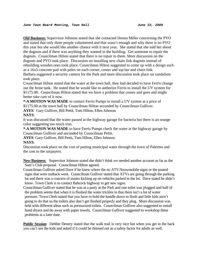**Old Business:** Supervisor Johnson stated that she contacted Donna Miller concerning the PYO and stated that only three people volunteered and that wasn't enough and why there is no PYO this year but she would like another chance with it next year. She stated that she told her about the dugouts and if there was anything they wanted in the building. Get someone to repair the dugouts. Councilman Hilton stated that there is no repair to them. More discussion on the dugouts and PYO took place. Discussion on installing new chain link dugouts instead of rebuilding wooden ones took place. Councilman Hilton suggested to come up with a design such as a 16x5 concrete pad with poles on each corner, center and top bar and chain link. Barbara suggested a security camera for the Park and more discussion took place on vandalism took place.

Councilman Hilton stated that the water at the town hall, they had decided to have Ferris change out the brine tank. He stated that he would like to authorize Ferris to install the UV system for \$1175.00. Councilman Hilton stated that we have a problem that comes and goes and might better take care of it now.

**\*-A MOTION WAS MADE** to contact Ferris Pumps to install a UV system at a price of \$1175.00 at the town hall by Councilman Hilton seconded by Councilman Gulliver. **AYES**: Gary Gulliver, Bill Pettit, Tom Hilton, Ellen Johnson

# **NAYS**:

It was discussed that the water passed at the highway garage for bacteria but there is an orange color suggesting too much iron.

**\*-A MOTION WAS MADE** to have Ferris Pumps check the water at the highway garage by Councilman Gulliver and seconded by Councilman Pettit.

**AYES**: Gary Gulliver, Bill Pettit, Tom Hilton, Ellen Johnson

# **NAYS**:

Discussion took place on the cost of putting municipal water through the town of Palermo and the cost to the taxpayers.

**New Business:** Supervisor Johnson stated she didn't think we needed another account as far as the Sam's Club proposal. Councilman Hilton agreed.

Councilman Gulliver asked Dave if he knew where the no ATV/Snowmobile signs or the posted signs that were outback went. Councilman Gulliver stated that ATVs are going through the parking lot and there was a concern of stones kicking up on vehicles parked in the lot. Dave stated he didn't know. Town Clerk is to contact Babcock highway to get new signs.

Councilman Gulliver stated that he was at a party at the Park and one toilet was plugged and half of the problem seems that when it is flushed the water trickles in that there isn't a lot of water pressure. Town Clerk stated that you have to hold the handle down to flush and little kids aren't going to do that so the toilets also don't get flushed properly and they plug. More discussion was held with different ideas such as pressurized toilets. Councilman Gulliver also suggested to install hand dryers and do away with paper towels. Councilman Gulliver suggested to workshop these problems at a later date.

**Public Session**: Debbie Denery stated that the walk trail is very nice but when you get in the back you can't see the kids and asked if it could be thinned out as a safety factor for adults as well.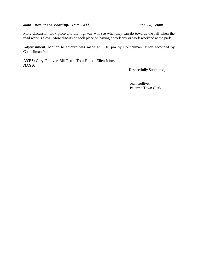#### *June Town Board Meeting, Town Hall* **1988 1988** *June 23, 2009*

More discussion took place and the highway will see what they can do towards the fall when the road work is slow. More discussion took place on having a work day or work weekend at the park.

**Adjournment**: Motion to adjourn was made at: 8:16 pm by Councilman Hilton seconded by Councilman Pettit.

**AYES:** Gary Gulliver, Bill Pettit, Tom Hilton, Ellen Johnson **NAYS:** 

Respectfully Submitted,

 Jean Gulliver Palermo Town Clerk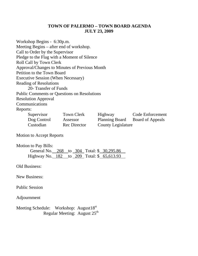# **TOWN OF PALERMO – TOWN BOARD AGENDA JULY 23, 2009**

Workshop Begins - 6:30p.m. Meeting Begins – after end of workshop. Call to Order by the Supervisor Pledge to the Flag with a Moment of Silence Roll Call by Town Clerk Approval/Changes to Minutes of Previous Month Petition to the Town Board Executive Session (When Necessary) Reading of Resolutions 20- Transfer of Funds Public Comments or Questions on Resolutions Resolution Approval Communications Reports: Supervisor Town Clerk Highway Code Enforcement Dog Control Assessor Planning Board Board of Appeals Custodian Rec Director County Legislature

Motion to Accept Reports

Motion to Pay Bills: General No. 268 to 304 Total: \$ 30,295.86 Highway No. 182 to 209 Total: \$ 65,613.93

Old Business:

New Business:

Public Session

Adjournment

Meeting Schedule: Workshop: August18<sup>st</sup> Regular Meeting: August 25<sup>th</sup>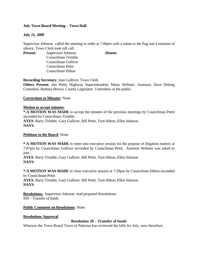# **July Town Board Meeting - Town Hall**

# **July 21, 2009**

Supervisor Johnson called the meeting to order at 7:00pm with a salute to the flag and a moment of silence. Town Clerk took roll call:

**Present:** Supervisor Johnson **Absent:** Councilman Trimble Councilman Gulliver Councilman Pettit Councilman Hilton

**Recording Secretary**: Jean Gulliver, Town Clerk

**Others Present**: Jim Pettit, Highway Superintendent; Marty Webster, Assessor; Dave Delong Custodian; Barbara Brown, County Legislator; 3 members of the public.

# **Corrections to Minutes**: None

# **Motion to accept minutes**:

**\*-A MOTION WAS MADE** to accept the minutes of the previous meetings by Councilman Pettit seconded by Councilman Trimble. **AYES**: Barry Trimble, Gary Gulliver, Bill Pettit, Tom Hilton, Ellen Johnson **NAYS**:

# **Petitions to the Board**: None

**\*-A MOTION WAS MADE** to enter into executive session for the purpose of litigation matters at 7:07pm by Councilman Gulliver seconded by Councilman Pettit. Assessor Webster was asked to join.

**AYES**: Barry Trimble, Gary Gulliver, Bill Pettit, Tom Hilton, Ellen Johnson **NAYS**:

**\*-A MOTION WAS MADE** to close executive session at 7:29pm by Councilman Hilton seconded by Councilman Pettit

**AYES**: Barry Trimble, Gary Gulliver, Bill Pettit, Tom Hilton, Ellen Johnson **NAYS**:

**Resolutions:** Supervisor Johnson read proposed Resolutions: #20 – Transfer of funds

# **Public Comment on Resolutions**: None

# **Resolutions Approval**:

# **Resolution 20 – Transfer of funds**

Whereas the Town Board Town of Palermo has reviewed the bills for July, now therefore,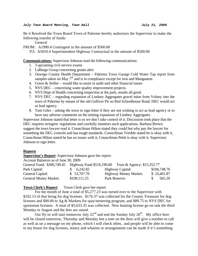Be it Resolved the Town Board Town of Palermo hereby authorizes the Supervisor to make the following transfer of funds:

General

FROM: A1990.4 Contingent in the amount of \$500.00

TO: A5010.4 Superintendent Highway Contractual in the amount of \$500.00

**Communications:** Supervisor Johnson read the following communications:

- 1. 3 upcoming civil service exams
- 2. LaBarge Group concerning grants alert
- 3. Oswego County Health Department Palermo Town Garage Cold Water Tap report from samples taken on May 7<sup>th</sup> and is in compliance except for iron and Manganese.
- 4. Green & Seifter would like to assist in audit and other financial issues
- 5. NYS DEC concerning water quality improvement projects.
- 6. NYS Dept of Health concerning inspection at the park, results all good.
- 7. NYS DEC regarding expansion of Lindsey Aggregates gravel mine from Volney into the town of Palermo by means of the old Gulliver Pit on Red Schoolhouse Road. DEC would act as lead agency.
- 8. Tom Giles asking the town to sign letter if they are not wishing to act as lead agency or to have any adverse comments on the mining expansion of Lindsey Aggregates.

Supervisor Johnson stated that letter is so we don't take control of it. Discussion took place that the DEC requires stringent regulations and carefully monitors such applications. Barbara Brown suggest the town lawyer read it. Councilman Hilton stated they could but why pay the lawyer for something the DEC controls and has tough standards. Councilman Trimble stated he is okay with it, Councilman Hilton stated he has no issues with it, Councilman Pettit is okay with it. Supervisor Johnson to sign letter.

## **Reports**

**Supervisor's Report**: Supervisor Johnson gave her report:

Account Balances as of June 30, 2009

| General Fund: \$300,749.45   |              | Highway Fund \$516,190.60 Trust & Agency: \$15,352.77 |              |
|------------------------------|--------------|-------------------------------------------------------|--------------|
| Park Capital:                | \$6,242.82   | Highway Capital:                                      | \$106,748.76 |
| General Capital:             | \$ 53,707.70 | <b>Highway Money Market:</b>                          | \$10,461.87  |
| <b>General Money Market:</b> | \$109,111.25 | Park Reserve:                                         | 565.29       |

# **Town Clerk's Report:** Town Clerk gave her report:

For the month of June a total of \$5,277.23 was turned over to the Supervisor with \$192.13 of that being for dog licenses. \$176.37 was collected for the County Treasurer for dog licenses and \$90.00 to Ag & Markets for spay/neutering program, and \$89.75 to NYS DEC for sportsman licenses. A total of \$5,633.35 was collected. New hunting license go on sale the third Monday in August and the fees are raised.

Our fly-in will start tomorrow July  $22<sup>nd</sup>$  and end the Sunday July  $26<sup>th</sup>$ . My office here will be closed tomorrow, Thursday and Monday but a note on the door will give a number to call as well as on a message on my phone, which I will check often, and people will be able to come to my house for dog licenses, notary and whatnot or arrangements can be made if it's something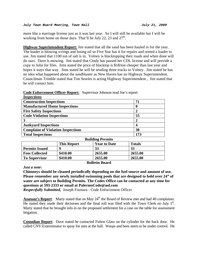more like a marriage license just as it was last year. So I will still be available but I will be working from home on those days. That'll be July 22, 23 and  $27<sup>th</sup>$ .

**Highway Superintendent Report:** Jim stated that all the sand has been hauled in for the year. The loader is blowing o-rings and losing oil so Five Star has it for repairs and rented a loader to use. Jim stated that 1100 ton of salt is in. Volney is blacktopping their roads and when done will do ours. Dave is mowing. Jim stated that Cindy has passed her CDL license and will provide a copy to Julie for files. Jims stated the price of blacktop is \$18/ton cheaper than last year and hopes it stays that way. Jims stated he will be sending three trucks to Volney. Jim stated he has no idea what happened about the sandblaster as New Haven has no Highway Superintendent. Councilman Trimble stated that Tim Searles is acting Highway Superintendent , Jim stated that he will contact him.

| 71  |
|-----|
| U   |
|     |
| 55  |
|     |
|     |
| 38  |
| 173 |
|     |

|             | <b>Code Enforcement Officer Report:</b> Supervisor Johnson read Joe's report: |
|-------------|-------------------------------------------------------------------------------|
| Ingnostiano |                                                                               |

| <b>Building Permits</b>                                    |          |         |         |  |  |
|------------------------------------------------------------|----------|---------|---------|--|--|
| <b>Totals</b><br><b>This Report</b><br><b>Year to Date</b> |          |         |         |  |  |
| <b>Permits Issued</b>                                      |          | 33      | 33      |  |  |
| <b>Fees Collected</b>                                      | \$410.00 | 2655.00 | 2655.00 |  |  |
| <b>To Supervisor</b>                                       | \$410.00 | 2655.00 | 2655.00 |  |  |
| _ _ _ _ _                                                  |          |         |         |  |  |

# **Bulletin Board**

# *Just a note***:**

**Chimneys should be cleaned periodically depending on the fuel source and amount of use. Please remember any newly installed swimming pools that are designed to hold over 24" of water are subject to Building Permits. The Codes Office can be contacted at any time for questions at 593-2333 or email at PalermoCode@aol.com** 

*Respectfully Submitted,* Joseph Fiumara - Code Enforcement Officer

**Assessor's Report:** Marty stated that on May  $24<sup>th</sup>$  the Board of Review met and had 40 complaints. He stated they made their decisions and the final roll was filed with the Town Clerk on July  $1<sup>st</sup>$ . Marty stated that he brought info in on the proposed settlement for a case on the table for assessment litigation.

**Custodian Report**: Dave stated he contacted Fulton Glass on the cylinder for the back door. He called CNY Exterminator to spray for ants at the hall. Wasps and bees seem to be under control. He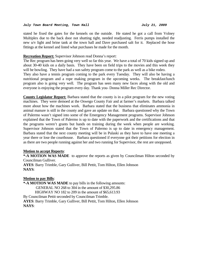stated he fixed the gates for the kennels on the outside. He stated he got a call from Volney Multiplex due to the back door not shutting tight, needed readjusting. Ferris pumps installed the new u/v light and brine tank at the town hall and Dave purchased salt for it. Replaced the hose fittings at the kennel and listed what purchases he made for the month.

## **Recreation Report:** Supervisor Johnson read Donna's report:

The Rec program has been going very well so far this year. We have a total of 70 kids signed up and about 30-40 kids on a daily basis. They have been on field trips to the movies and this week they will be bowling. They have had a sun safety program come to the park as well as a bike rodeo.

They also have a tennis program coming to the park every Tuesday. They will also be having a nutritional program and a rope making program in the upcoming weeks. The breakfast/lunch program also is going very well. The program has seen many new faces along with the old and everyone is enjoying the program every day. Thank you- Donna Miller Rec Director.

**County Legislator Report:** Barbara stated that the county is in a pilot program for the new voting machines. They were demoed at the Oswego County Fair and at farmer's markets. Barbara talked more about how the machines work. Barbara stated that the business that eliminates ammonia in animal manure is still in the county and gave an update on that. Barbara questioned why the Town of Palermo wasn't signed into some of the Emergency Management programs. Supervisor Johnson explained that the Town of Palermo is up to date with the paperwork and the certifications and that the programs weren't grants but hands on training during the week when people are working. Supervisor Johnson stated that the Town of Palermo is up to date in emergency management. Barbara stated that the next county meeting will be in Pulaski as they have to have one meeting a year there or lose the courthouse. Barbara questioned if everyone got their petitions for election in as there are two people running against her and two running for Supervisor, the rest are unopposed.

## **Motion to accept Reports**:

**\*-A MOTION WAS MADE** to approve the reports as given by Councilman Hilton seconded by Councilman Gulliver.

**AYES**: Barry Trimble, Gary Gulliver, Bill Pettit, Tom Hilton, Ellen Johnson **NAYS**:

## **Motion to pay Bills**:

**\*-A MOTION WAS MADE** to pay bills in the following amounts: GENERAL NO 268 to 304 in the amount of \$30,295.86 HIGHWAY NO 182 to 209 in the amount of \$65,613.93 By Councilman Pettit seconded by Councilman Trimble. **AYES**: Barry Trimble, Gary Gulliver, Bill Pettit, Tom Hilton, Ellen Johnson **NAYS**: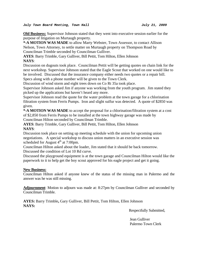**Old Business:** Supervisor Johnson stated that they went into executive session earlier for the purpose of litigation on Murtaugh property.

**\*-A MOTION WAS MADE** to allow Marty Webster, Town Assessor, to contact Allison Nelson, Town Attorney, to settle matter on Murtaugh property on Thompson Road by Councilman Trimble seconded by Councilman Gulliver.

**AYES**: Barry Trimble, Gary Gulliver, Bill Pettit, Tom Hilton, Ellen Johnson **NAYS**:

Discussion on dugouts took place. Councilman Pettit will be getting quotes on chain link for the next workshop. Supervisor Johnson stated that the Eagle Scout that worked on one would like to be involved. Discussed that the insurance company either needs two quotes or a repair bill. Specs along with a phone number will be given to the Town Clerk.

Discussion of wind storm and eight trees down on Co Rt 35a took place.

Supervisor Johnson asked Jim if anyone was working from the youth program. Jim stated they picked up the applications but haven't heard any more.

Supervisor Johnson read the quote for the water problem at the town garage for a chlorination filtration system from Ferris Pumps. Iron and slight sulfur was detected. A quote of \$2850 was given.

**\*-A MOTION WAS MADE** to accept the proposal for a chlorination/filtration system at a cost of \$2,850 from Ferris Pumps to be installed at the town highway garage was made by Councilman Hilton seconded by Councilman Trimble.

**AYES**: Barry Trimble, Gary Gulliver, Bill Pettit, Tom Hilton, Ellen Johnson **NAYS**:

Discussion took place on setting up meeting schedule with the union for upcoming union negotiations. A special workshop to discuss union matters in an executive session was scheduled for August  $4<sup>th</sup>$  at 7:00pm.

Councilman Hilton asked about the loader, Jim stated that it should be back tomorrow. Discussed the condition of Lot 10 Rd curve.

Discussed the playground equipment is at the town garage and Councilman Hilton would like the paperwork to it to help get the boy scout approved for his eagle project and get it going.

# **New Business:**

Councilman Hilton asked if anyone knew of the status of the missing man in Palermo and the answer was he was still missing.

**Adjournment**: Motion to adjourn was made at: 8:27pm by Councilman Gulliver and seconded by Councilman Trimble.

**AYES:** Barry Trimble**,** Gary Gulliver, Bill Pettit, Tom Hilton, Ellen Johnson **NAYS:** 

Respectfully Submitted,

 Jean Gulliver Palermo Town Clerk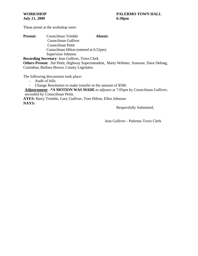| <b>Present:</b> | Councilman Trimble                    | Absent: |  |  |  |
|-----------------|---------------------------------------|---------|--|--|--|
|                 | Councilman Gulliver                   |         |  |  |  |
|                 | Councilman Pettit                     |         |  |  |  |
|                 | Councilman Hilton (entered at 6:52pm) |         |  |  |  |
|                 | Supervisor Johnson                    |         |  |  |  |

**Recording Secretary**: Jean Gulliver, Town Clerk **Others Present**: Jim Pettit, Highway Superintendent, Marty Webster, Assessor, Dave Delong, Custodian, Barbara Brown, County Legislator.

The following discussions took place:

- Audit of bills

- Change Resolution to make transfer in the amount of \$500.

**Adjournment**: **-\*A MOTION WAS MADE** to adjourn at 7:05pm by Councilman Gulliver, seconded by Councilman Pettit.

**AYES:** Barry Trimble, Gary Gulliver, Tom Hilton, Ellen Johnson **NAYS:**

Respectfully Submitted,

Jean Gulliver - Palermo Town Clerk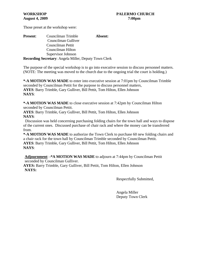| <b>Present:</b> | Councilman Trimble                                           |  |
|-----------------|--------------------------------------------------------------|--|
|                 | Councilman Gulliver                                          |  |
|                 | Councilman Pettit                                            |  |
|                 | Councilman Hilton                                            |  |
|                 | Supervisor Johnson                                           |  |
|                 | <b>Recording Secretary:</b> Angela Miller, Deputy Town Clerk |  |

The purpose of the special workshop is to go into executive session to discuss personnel matters. (NOTE: The meeting was moved to the church due to the ongoing trial the court is holding.)

**\*-A MOTION WAS MADE** to enter into executive session at 7:01pm by Councilman Trimble seconded by Councilman Pettit for the purpose to discuss personnel matters, **AYES**: Barry Trimble, Gary Gulliver, Bill Pettit, Tom Hilton, Ellen Johnson **NAYS**:

**\*-A MOTION WAS MADE** to close executive session at 7:42pm by Councilman Hilton seconded by Councilman Pettit.

**AYES**: Barry Trimble, Gary Gulliver, Bill Pettit, Tom Hilton, Ellen Johnson **NAYS**:

 Discussion was held concerning purchasing folding chairs for the town hall and ways to dispose of the current ones. Discussed purchase of chair rack and where the money can be transferred from.

**\*-A MOTION WAS MADE** to authorize the Town Clerk to purchase 60 new folding chairs and a chair rack for the town hall by Councilman Trimble seconded by Councilman Pettit. **AYES**: Barry Trimble, Gary Gulliver, Bill Pettit, Tom Hilton, Ellen Johnson **NAYS**:

**Adjournment**: **-\*A MOTION WAS MADE** to adjourn at 7:44pm by Councilman Pettit seconded by Councilman Gulliver.

**AYES:** Barry Trimble, Gary Gulliver, Bill Pettit, Tom Hilton, Ellen Johnson **NAYS:**

Respectfully Submitted,

Angela Miller Deputy Town Clerk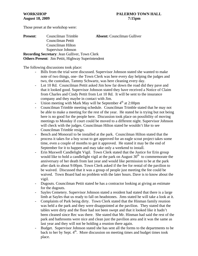| <b>Present:</b> | Councilman Trimble                                        | <b>Absent:</b> Councilman Gulliver |
|-----------------|-----------------------------------------------------------|------------------------------------|
|                 | Councilman Pettit                                         |                                    |
|                 | Councilman Hilton                                         |                                    |
|                 | Supervisor Johnson                                        |                                    |
|                 | <b>Recording Secretary: Jean Gulliver, Town Clerk</b>     |                                    |
|                 | <b>Others Present:</b> Jim Pettit, Highway Superintendent |                                    |

The following discussions took place:

- Bills from the trial were discussed. Supervisor Johnson stated she wanted to make note of two things, one- the Town Clerk was here every day helping the judges and two, the custodian, Tammy Schwartz, was here cleaning every day.
- Lot 10 Rd. Councilman Pettit asked Jim how far down the road did they pave and that it looked good. Supervisor Johnson stated they have received a Notice of Claim from Charles and Cindy Pettit from Lot 10 Rd. It will be sent to the insurance company and they maybe in contact with Jim.
- Union meeting with Mark May will be September  $4<sup>th</sup>$  at 2:00pm
- Councilman Trimble meeting schedule. Councilman Trimble stated that he may not be able to make a meeting for the rest of the year. He stated he is trying but not being here is no good for the people here. Discussion took place on possibility of moving meetings to Monday if court could be moved to a different night. Supervisor Johnson will check with the judges. Councilman Hilton stated he wouldn't like to see Councilman Trimble resign.
- Bench and Monorail to be installed at the park. Councilman Hilton stated that the process it takes for a boy scout to get approved for an eagle scout project takes some time, even a couple of months to get it approved. He stated it may be the end of September for it to happen and may take only a weekend to install.
- Erin Maxwell Candlelight Vigil. Town Clerk stated that the Justice for Erin group would like to hold a candlelight vigil at the park on August  $30<sup>th</sup>$  to commemorate the anniversary of her death from last year and would like permission to be at the park after dark to about 9:00pm. Town Clerk asked if the fee for rental of the pavilion to be waived. Discussed that it was a group of people just meeting the fee could be waived. Town Board had no problem with the later hours. Dave is to know about the vigil.
- Dugouts. Councilman Pettit stated he has a contractor looking at giving an estimate for the dugouts.
- Sayles Cemetery. Supervisor Johnson stated a resident had stated that there is a large limb at Sayles that us ready to fall on headstones. Jims stated he will take a look at it.
- Complaints of Park being dirty. Town Clerk stated that the Hinman family reunion was held a the park and they were disappointed at the pavilion. They stated that the tables were dirty and the floor had not been swept and that it looked like it hadn't been cleaned since Rec was there. She stated that Mr. Hinman had said the rest of the park and bathrooms were nice and clean just the pavilion area and it was the same as last year and they will not be holding a reunion there again.
- Budget. Supervisor Johnson stated she has sent all the forms to the departments to be back to her by Sept.  $4<sup>th</sup>$ . More discussion on meeting times and budget times took place.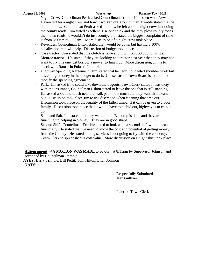#### **August 18, 2009 Workshop Palermo Town Hall**

- Night Crew. Councilman Pettit asked Councilman Trimble if he seen what New Haven did for a night crew and how it worked out. Councilman Trimble stated that he did not know. Councilman Pettit asked Jim how he felt about a night crew just doing the county roads. Jim stated excellent. Use one truck and the they plow county roads then town roads he wouldn't do just county. Jim stated the biggest complaint of time is from 8:00pm to 2:00am.. More discussion of a night crew took place.
- Revenues. Councilman Hilton stated they would be down but having a 100% equalization rate will help. Discussion of budget took place.
- Case tractor. Jim stated that the clutch is gone and it will cost \$3,000 to fix it at Monroe tractor. He stated if they are looking at a tractor next year then they may not want to fix this one just borrow a mower to finish up. More discussion, Jim is to check with Ramar in Pulaski for a price.
- Highway Spending Agreement. Jim stated that he hadn't budgeted shoulder work but has enough money in the budget to do it. Consensus of Town Board is to do it and modify the spending agreement.
- Park. Jim asked if he could take down the dugouts, Town Clerk stated it was okay with the insurance, Councilman Hilton stated to leave the one that is still standing. Jim asked about the brush near the walk path, how much did they want that cleaned out. Discussion took place Jim to use discretion when cleaning that area out. Discussion took place on the legality of the fallen timber if it can be given to a poor family. Discussion took place that it would have to be bid out, highway is to chip it up.
- Sand and Salt. Jim stated that they were all in. Back top is done and they are finishing up helping in Volney. They are in good shape.
- Second Shift. Councilman Trimble stated to look what a second shift would mean financially. He stated that we need to know the cost and potential of getting money from the County. He stated adding services is not going to fly with the economy. Town Clerk to spreadsheet a cost value. More discussion on a night shift took place.

**Adjournment**: **-\*A MOTION WAS MADE** to adjourn at 8:11pm by Supervisor Johnson and seconded by Councilman Trimble.

**AYES:** Barry Trimble, Bill Pettit, Tom Hilton, Ellen Johnson **NAYS:**

> Respectfully Submitted, Jean Gulliver

Palermo Town Clerk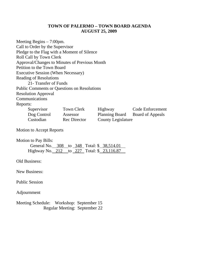# **TOWN OF PALERMO – TOWN BOARD AGENDA AUGUST 25, 2009**

Meeting Begins – 7:00pm. Call to Order by the Supervisor Pledge to the Flag with a Moment of Silence Roll Call by Town Clerk Approval/Changes to Minutes of Previous Month Petition to the Town Board Executive Session (When Necessary) Reading of Resolutions 21- Transfer of Funds Public Comments or Questions on Resolutions Resolution Approval Communications Reports: Supervisor Town Clerk Highway Code Enforcement Dog Control Assessor Planning Board Board of Appeals Custodian Rec Director County Legislature

Motion to Accept Reports

Motion to Pay Bills:

| General No. 308 to 348 Total: \$38,514.01  |  |  |  |
|--------------------------------------------|--|--|--|
| Highway No. 212 to 227 Total: \$ 23,116.87 |  |  |  |

Old Business:

New Business:

Public Session

Adjournment

Meeting Schedule: Workshop: September 15 Regular Meeting: September 22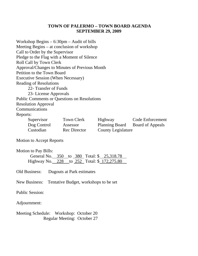# **TOWN OF PALERMO – TOWN BOARD AGENDA SEPTEMBER 29, 2009**

| Workshop Begins $-6:30$ pm $-$ Audit of bills      |                     |                                 |                  |  |
|----------------------------------------------------|---------------------|---------------------------------|------------------|--|
| Meeting Begins – at conclusion of workshop         |                     |                                 |                  |  |
| Call to Order by the Supervisor                    |                     |                                 |                  |  |
| Pledge to the Flag with a Moment of Silence        |                     |                                 |                  |  |
| Roll Call by Town Clerk                            |                     |                                 |                  |  |
| Approval/Changes to Minutes of Previous Month      |                     |                                 |                  |  |
| Petition to the Town Board                         |                     |                                 |                  |  |
| <b>Executive Session (When Necessary)</b>          |                     |                                 |                  |  |
| <b>Reading of Resolutions</b>                      |                     |                                 |                  |  |
| 22- Transfer of Funds                              |                     |                                 |                  |  |
| 23- License Approvals                              |                     |                                 |                  |  |
| <b>Public Comments or Questions on Resolutions</b> |                     |                                 |                  |  |
| <b>Resolution Approval</b>                         |                     |                                 |                  |  |
| Communications                                     |                     |                                 |                  |  |
| Reports:                                           |                     |                                 |                  |  |
| Supervisor                                         | Town Clerk          | Highway                         | Code Enforcement |  |
| Dog Control                                        | Assessor            | Planning Board Board of Appeals |                  |  |
| Custodian                                          | <b>Rec</b> Director | <b>County Legislature</b>       |                  |  |
|                                                    |                     |                                 |                  |  |

Motion to Accept Reports

Motion to Pay Bills:

| General No. 350 to 380 Total: \$ 25,318.78  |  |  |
|---------------------------------------------|--|--|
| Highway No. 228 to 252 Total: \$ 172,275.80 |  |  |

Old Business: Dugouts at Park estimates

New Business: Tentative Budget, workshops to be set

Public Session:

Adjournment:

Meeting Schedule: Workshop: October 20 Regular Meeting: October 27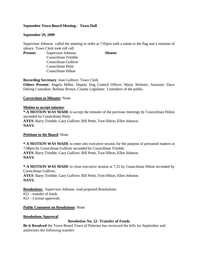# **September Town Board Meeting - Town Hall**

# **September 29, 2009**

Supervisor Johnson called the meeting to order at 7:05pm with a salute to the flag and a moment of silence. Town Clerk took roll call:

**Present:** Supervisor Johnson **Absent:** Councilman Trimble Councilman Gulliver Councilman Pettit Councilman Hilton

**Recording Secretary**: Jean Gulliver, Town Clerk

**Others Present**: Angela Miller, Deputy Dog Control Officer; Marty Webster, Assessor; Dave Delong Custodian; Barbara Brown, County Legislator. 3 members of the public.

**Corrections to Minutes**: None

# **Motion to accept minutes**:

**\*-A MOTION WAS MADE** to accept the minutes of the previous meetings by Councilman Hilton seconded by Councilman Pettit. **AYES**: Barry Trimble, Gary Gulliver, Bill Pettit, Tom Hilton, Ellen Johnson **NAYS**:

# **Petitions to the Board**: None

**\*-A MOTION WAS MADE** to enter into executive session for the purpose of personnel matters at 7:08pm by Councilman Gulliver seconded by Councilman Trimble. **AYES**: Barry Trimble, Gary Gulliver, Bill Pettit, Tom Hilton, Ellen Johnson **NAYS**:

**\*-A MOTION WAS MADE** to close executive session at 7:25 by Councilman Hilton seconded by Councilman Gulliver. **AYES**: Barry Trimble, Gary Gulliver, Bill Pettit, Tom Hilton, Ellen Johnson **NAYS**:

**Resolutions:** Supervisor Johnson read proposed Resolutions: #22 – transfer of funds #23 – License approvals

# **Public Comment on Resolutions**: None

# **Resolutions Approval**:

# **Resolution No. 22- Transfer of Funds**

**Be it Resolved** the Town Board Town of Palermo has reviewed the bills for September and authorizes the following transfer: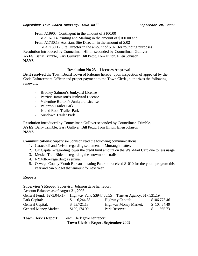From A1990.4 Contingent in the amount of \$100.00

To A1670.4 Printing and Mailing in the amount of \$100.00 and

From A1730.13 Assistant Site Director in the amount of \$.02

 To A7130.12 Site Director in the amount of \$.02 (for rounding purposes) Resolution introduced by Councilman Hilton seconded by Councilman Gulliver. **AYES**: Barry Trimble, Gary Gulliver, Bill Pettit, Tom Hilton, Ellen Johnson **NAYS**:

# **Resolution No 23 – Licenses Approval**

**Be it resolved** the Town Board Town of Palermo hereby, upon inspection of approval by the Code Enforcement Officer and proper payment to the Town Clerk , authorizes the following renewals:

- Bradley Salmon's Junkyard License
- Patricia Jamieson's Junkyard License
- Valentine Burton's Junkyard License
- Palermo Trailer Park
- Island Road Trailer Park
- Sundown Trailer Park

Resolution introduced by Councilman Gulliver seconded by Councilman Trimble. **AYES**: Barry Trimble, Gary Gulliver, Bill Pettit, Tom Hilton, Ellen Johnson **NAYS**:

**Communications:** Supervisor Johnson read the following communications:

- 1. Caraccioli and Nelson regarding settlement of Murtaugh matter.
- 2. GE Capital regarding lower the credit limit amount on the Wal-Mart Card due to less usage
- 3. Mexico Trail Riders regarding the snowmobile trails
- 4. NYMIR regarding a seminar
- 5. Oswego County Youth Bureau stating Palermo received \$1010 for the youth program this year and can budget that amount for next year

# **Reports**

# **Supervisor's Report**: Supervisor Johnson gave her report:

Account Balances as of August 31, 2008

| General Fund: \$273,045.17   |              | Highway Fund \$394,458.55 Trust & Agency: \$17,531.19 |              |
|------------------------------|--------------|-------------------------------------------------------|--------------|
| Park Capital:                | 6,244.38     | <b>Highway Capital:</b>                               | \$106,775.46 |
| General Capital:             | \$53,721.13  | <b>Highway Money Market:</b>                          | \$10,464.49  |
| <b>General Money Market:</b> | \$109,174.90 | Park Reserve:                                         | 565.73       |

**Town Clerk's Report:** Town Clerk gave her report:

**Town Clerk's Report September 2009**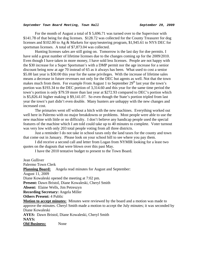For the month of August a total of \$ 5,696.71 was turned over to the Supervisor with \$141.78 of that being for dog licenses. \$128.72 was collected for the County Treasurer for dog licenses and \$102.00 to Ag & Markets for spay/neutering program, \$1,945.61 to NYS DEC for sportsman licenses. A total of \$7,873.04 was collected.

 Hunting licenses sales are still going on. Tomorrow is the last day for doe permits. I have sold a great number of lifetime licenses due to the changes coming up for the 2009/2010. Even though I have taken in more money, I have sold less licenses. People are not happy with the \$30 increase for a Super Sportsman's with a DMP permit nor the age increase for a senior discount being now at age 70 instead of 65 as it always has been. What used to cost a senior \$5.00 last year is \$30.00 this year for the same privileges. With the increase of lifetime sales means a decrease in future revenues not only for the DEC but agents as well. Not that the town makes much from them. For example From August 1 to September  $29<sup>th</sup>$  last year the town's portion was \$193.34 to the DEC portion of 3,314.60 and this year for the same time period the town's portion is only \$79.59 more than last year at \$272.93 compared to DEC's portion which is \$5,826.41 higher making it \$9,141.07. So even though the State's portion tripled from last year the town's part didn't even double. Many hunters are unhappy with the new changes and increased cost.

 The primaries went off without a hitch with the new machines. Everything worked out well here in Palermo with no major breakdowns or problems. Most people were able to use the new machine with little or no difficulty. I don't believe any handicap people used the special features of the machine which I am told could take up to 40 minutes to complete. Voter turnout was very low with only 203 total people voting from all three districts.

 Just a reminder I do not take in school taxes only the land taxes for the county and town that come out in January. Please look on your school bill to see where you pay them.

 I did receive a second call and letter from Logan from NYMIR looking for a least two quotes on the dugouts that were blown over this past May.

I have the 2010 tentative budget to present to the Town Board.

Jean Gulliver Palermo Town Clerk **Planning Board:** Angela read minutes for August and September: August 11, 2009 Diane Kowaleski opened the meeting at 7:02 pm. **Present:** Dawn Bristol, Diane Kowaleski, Cheryl Smith **Absent:** Elaine Wells, Jim Petreszyn **Recording Secretary:** Angela Miller **Others Present:** 4 Public **Motion to accept minutes:** Minutes were reviewed by the board and a motion was made to approve the minutes. Cheryl Smith made a motion to accept the July minutes; it was seconded by Diane Kowaleski **AYES:** Dawn Bristol, Diane Kowaleski, Cheryl Smith **NAYS: Old Business:** None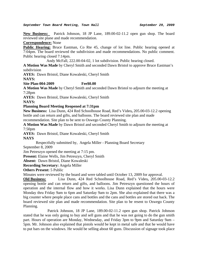**New Business:** Patrick Johnson, 18 JP Lane, 189.00-02-11.2 open gun shop. The board reviewed site plane and made recommendation.

**Correspondence:** None

**Public Hearing:** Bruce Eastman, Co Rte 45, change of lot line. Public hearing opened at 7:04pm. The board reviewed the subdivision and made recommendations. No public comment. Public hearing closed 7:14pm.

Andy McFall, 222.00-04-02, 1 lot subdivision. Public hearing closed.

**A Motion Was Made** by Cheryl Smith and seconded Dawn Bristol to approve Bruce Eastman's subdivision

**AYES:** Dawn Bristol, Diane Kowaleski, Cheryl Smith

**NAYS:** 

**Site Plan-004-2009 Fee\$0.00** 

**A Motion Was Made** by Cheryl Smith and seconded Dawn Bristol to adjourn the meeting at 7:28pm

**AYES:** Dawn Bristol, Diane Kowaleski, Cheryl Smith

**NAYS:** 

# **Planning Board Meeting Reopened at 7:31pm**

**New Business:** Lisa Dunn, 424 Red Schoolhouse Road, Red's Video**,** 205.00-03-12.2 opening bottle and can return and gifts, and balloons. The board reviewed site plan and made recommendation. Site plan to be sent to Oswego County Planning.

**A Motion Was Made** by Dawn Bristol and seconded Cheryl Smith to adjourn the meeting at 7:50pm

**AYES:** Dawn Bristol, Diane Kowaleski, Cheryl Smith

**NAYS** 

 Respectfully submitted by, Angela Miller - Planning Board Secretary September 8, 2009

Jim Petreszyn opened the meeting at 7:15 pm.

**Present:** Elaine Wells, Jim Petreszyn, Cheryl Smith

**Absent:** Dawn Bristol, Diane Kowaleski

**Recording Secretary:** Angela Miller

**Others Present:** 5 Public

Minutes were reviewed by the board and were tabled until October 13, 2009 for approval.

**Old Business:** Lisa Dunn, 424 Red Schoolhouse Road, Red's Video**,** 205.00-03-12.2 opening bottle and can return and gifts, and balloons. Jim Petreszyn questioned the hours of operation and the internal flow and how it works. Lisa Dunn explained that the hours were Monday thru Friday 9am to 6pm and Saturday 9am to 2pm. She also explained that there was a big counter where people place cans and bottles and the cans and bottles are stored out back. The board reviewed site plan and made recommendation. Site plan to be resent to Oswego County Planning.

 Patrick Johnson, 18 JP Lane, 189.00-02-11.2 open gun shop. Patrick Johnson stated that he was only going to buy and sell guns and that he was not going to do the gun smith part. Hours of operation are Monday, Wednesday, and Friday 3pm to 9pm and Saturday 9am – 5pm. Mr. Johnson also explained that pistols would be kept in metal safe and that he would have to put bars on the windows. He would be selling about 60 guns. Discussion of signage took place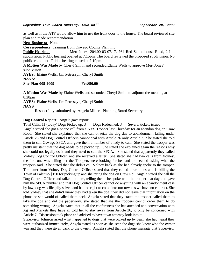as well as if the ATF would allow him to use the front door to the house. The board reviewed site plan and made recommendation.

**New Business:** None

**Correspondence:** Training from Oswego County Planning

**Public Hearing:** Mert Jones, 204.00-03-07.17, 764 Red Schoolhouse Road, 2 Lot subdivision. Public hearing opened at 7:15pm. The board reviewed the proposed subdivision. No public comment. Public hearing closed at 7:19pm.

**A Motion Was Made** by Cheryl Smith and seconded Elaine Wells to approve Mert Jones' subdivision

**AYES:** Elaine Wells, Jim Petreszyn, Cheryl Smith **NAYS: Site Plan-005-2009 Fee\$50.00** 

**A Motion Was Made** by Elaine Wells and seconded Cheryl Smith to adjourn the meeting at 8:28pm

**AYES:** Elaine Wells, Jim Petreszyn, Cheryl Smith **NAYS** 

Respectfully submitted by, Angela Miller - Planning Board Secretary

# **Dog Control Report**: Angela gave report:

Total Calls: 11 (today) Dogs Picked up: 3 Dogs Redeemed: 3 Several tickets issued Angela stated she got a phone call from a NYS Trooper last Thursday for an abandon dog on Craw Road. She stated she explained that she cannot seize the dog due to abandonment falling under Article 26 and Dog Control Officers cannot deal with Article 26 only Article 7. She stated she told them to call Oswego SPCA and gave them a number of a lady to call. She stated the trooper was pretty insistent that the dog needs to be picked up. She stated she explained again the reasons why she could not legally do it and they need to call the SPCA. She stated that apparently they called Volney Dog Control Officer and she received a letter. She stated she had two calls from Volney, the first one was telling her the Troopers were looking for her and the second asking what the troopers said. She stated that she didn't call Volney back as she had already spoke to the trooper. The letter from Volney Dog Control Officer stated that they called three times and is billing the Town of Palermo \$150 for picking up and sheltering the dog on Craw Rd. Angela stated she call the Dog Control Officer and talked to them, telling them she spoke with the trooper that day and gave him the SPCA number and that Dog Control Officer cannot do anything with an abandonment case by law, dog was illegally seized and had no right to come into our town as we have no contract. She told Volney that she didn't know they had taken the dog, they did not leave that information on the phone or she would of called them back. Angela stated that they stated the trooper called them to take the dog and did the paperwork, she stated that she the troopers cannot order them to do something wrong. Angela stated that in all the conferences she has attended and conversation with Ag and Markets they have all told her to stay away from Article 26, to only be concerned with Article 7. Discussion took place and advised to have town attorney look into it.

Supervisor Johnson asked what happened to dogs that were picked up by Jean, she had heard they were euthanized immediately, Angela stated as soon as she seen the dogs she knew who the owner was and they were given back to the owner. Angela stated that the phone message that Supervisor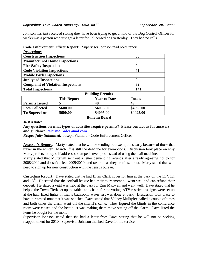Johnson has just received stating they have been trying to get a hold of the Dog Control Officer for weeks was a person who just got a letter for unlicensed dog yesterday. They had no calls.

| <b>Inspections</b>                        |     |
|-------------------------------------------|-----|
| <b>Construction Inspections</b>           | 68  |
| <b>Manufactured Home Inspections</b>      | O   |
| <b>Fire Safety Inspections</b>            |     |
| <b>Code Violation Inspections</b>         | 41  |
| <b>Mobile Park Inspections</b>            |     |
| <b>Junkyard Inspections</b>               |     |
| <b>Complaint of Violation Inspections</b> | 32  |
| <b>Total Inspections</b>                  | 141 |

# **Code Enforcement Officer Report:** Supervisor Johnson read Joe's report:

| <b>Building Permits</b> |                    |                     |               |
|-------------------------|--------------------|---------------------|---------------|
|                         | <b>This Report</b> | <b>Year to Date</b> | <b>Totals</b> |
| <b>Permits Issued</b>   |                    | 49                  | 49            |
| <b>Fees Collected</b>   | \$600.00           | \$4095.00           | \$4095.00     |
| <b>To Supervisor</b>    | \$600.00           | \$4095.00           | \$4095.00     |

# **Bulletin Board**

*Just a note***:** 

**Any questions on what types of activities require permits? Please contact us for answers and guidance [PalermoCodes@aol.com](mailto:PalermoCodes@aol.com)** 

*Respectfully Submitted,* Joseph Fiumara - Code Enforcement Officer

**Assessor's Report**: Marty stated that he will be sending out exemptions early because of those that travel in the winter. March  $1<sup>st</sup>$  is still the deadline for exemptions. Discussion took place on why Marty prefers to buy self addressed stamped envelopes instead of using the mail machine.

Marty stated that Murtaugh sent out a letter demanding refunds after already agreeing not to for 2008/2009 and doesn't affect 2009/2010 land tax bills as they aren't sent out. Marty stated that will need to sign up for new construction with the census bureau.

**Custodian Report**: Dave stated that he had Brian Clark cover for him at the park on the  $11<sup>th</sup>$ , 12, and 13<sup>th</sup>. He stated that the softball league had their tournament all went well and can refund their deposit. He stated a vigil was held at the park for Erin Maxwell and went well. Dave stated that he helped the Town Clerk set up the tables and chairs for the voting, ATV restrictions signs were set up at the hall, fixed lights in men's bathroom, water test was done at park. Discussion took place to have it retested now that it was shocked. Dave stated that Volney Mulitplex called a couple of times and both times the alarm went off the sheriff's came. They figured the blinds in the conference room were closed and the heat duct was making them move setting off the alarm. Dave listed the items he bought for the month.

Supervisor Johnson stated that she had a letter from Dave stating that he will not be seeking reappointment for 2010. Supervisor Johnson thanked Dave for his service.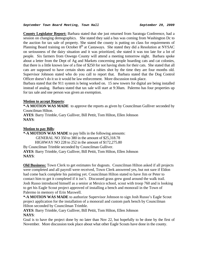**County Legislator Report:** Barbara stated that she just returned from Saratoga Conference, had a session on changing demographics. She stated they said a bus was coming from Washington Dc to the auction for tax sale of property. She stated the county is putting on class for requirements of Planning Board training on October  $8<sup>th</sup>$  at Castaways. She stated they did a Resolution at NYSAC on seriousness of the dairy situation and it was prioritized, she stated it was too late for a lot of people. Six farmers from Oswego County will attend a meeting tomorrow night. Barbara spoke about a letter from the Dept of Ag and Markets concerning people hoarding cats and cat colonies, that there is a little known law of a fine of \$250 for not having shots for their cats. She stated that all cats are supposed to have certain shots and a rabies shot by the time they are four months old. Supervisor Johnson stated who do you call to report that. Barbara stated that the Dog Control Officer doesn't do it so it would be law enforcement. More discussion took place.

Barbara stated that the 911 system is being worked on. 15 new towers for digital are being installed instead of analog. Barbara stated that tax sale will start at 9:30am. Palermo has four properties up for tax sale and one person was given an exemption.

# **Motion to accept Reports**:

**\*-A MOTION WAS MADE** to approve the reports as given by Councilman Gulliver seconded by Councilman Hilton.

**AYES**: Barry Trimble, Gary Gulliver, Bill Pettit, Tom Hilton, Ellen Johnson **NAYS**:

# **Motion to pay Bills**:

**\*-A MOTION WAS MADE** to pay bills in the following amounts: GENERAL NO 350 to 380 in the amount of \$25,318.78 HIGHWAY NO 228 to 252 in the amount of \$172,275.80 By Councilman Trimble seconded by Councilman Gulliver. **AYES**: Barry Trimble, Gary Gulliver, Bill Pettit, Tom Hilton, Ellen Johnson **NAYS**:

**Old Business:** Town Clerk to get estimates for dugouts. Councilman Hilton asked if all projects were completed and all payroll were received, Town Clerk answered yes, but not sure if Eldon had come back complete his painting yet. Councilman Hilton stated to have Jim or Peter to contact him to get it completed if it isn't. Discussed grass grew good around the walk trail. Josh Russo introduced himself as a senior at Mexico school, scout with troop 760 and is looking to get his Eagle Scout project approved of installing a bench and monorail in the Town of Palermo in memory of Erin Maxwell.

**\*-A MOTION WAS MADE** to authorize Supervisor Johnson to sign Josh Russo's Eagle Scout project application for the installation of a monorail and custom park bench by Councilman Hilton seconded by Councilman Trimble.

**AYES**: Barry Trimble, Gary Gulliver, Bill Pettit, Tom Hilton, Ellen Johnson **NAYS**:

Goal is to have the project done by no later than Nov 22, but hopefully to be done by the first of November. More discussion took place about what other Eagle Scouts have done in the county.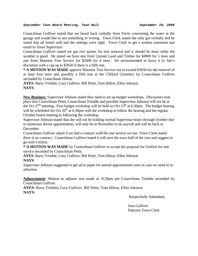Councilman Gulliver stated that we heard back verbally from Ferris concerning the water at the garage and would like to see something in writing. Town Clerk stated she only got verbally and he stated that all tested well and the settings were right. Town Clerk to get a written statement and email to Town Supervisor.

Councilman Gulliver stated we got two quotes for tree removal and it should be done while the weather is good. He stated we have one from Upstate Land and Timber for \$4900 for 5 trees and one from Mannise Tree Service for \$2600 for 4 trees. He recommended to leave it to Jim's discretion with a cap up to \$3650 if there is a fifth one.

**\*-A MOTION WAS MADE** approve Mannise Tree Service not to exceed \$3650 for the removal of at least four trees and possibly a fifth tree at the Clifford Cemetery by Councilman Gulliver seconded by Councilman Hilton.

**AYES**: Barry Trimble, Gary Gulliver, Bill Pettit, Tom Hilton, Ellen Johnson **NAYS**:

**New Business:** Supervisor Johnson stated they need to set up budget workshops. Discussion took place that Councilman Pettit, Councilman Trimble and possible Supervisor Johnson will not be at the Oct  $27<sup>th</sup>$  meeting. First budget workshop will be held on Oct  $13<sup>th</sup>$  at 6:30pm. The budget hearing will be scheduled for Oct  $20<sup>th</sup>$  at 6:30pm with the workshop to follow the hearing and the regular October board meeting to following the workshop.

Supervisor Johnson stated that she will not be holding normal Supervisor hours through October due to numerous doctor appointments, will only be in November to do payroll and will be back in December.

Councilman Gulliver asked if we had a contract with the mat service we use. Town Clerk stated there is no contract. Councilman Gulliver stated it will save the town half of the cost and suggest to go with Unifirst.

**\*-A MOTION WAS MADE** by Councilman Gulliver to accept the proposal for Unifirst for mat service seconded by Councilman Pettit.

**AYES**: Barry Trimble, Gary Gulliver, Bill Pettit, Tom Hilton, Ellen Johnson **NAYS**:

Supervisor Johnson suggested to get ad in paper for annual appointments soon in case we need to readvertise.

**Adjournment**: Motion to adjourn was made at: 8:29pm pm Councilman Trimble seconded by Councilman Gulliver.

**AYES:** Barry Trimble**,** Gary Gulliver, Bill Pettit, Tom Hilton, Ellen Johnson **NAYS:** 

Respectfully Submitted,

Jean Gulliver Palermo Town Clerk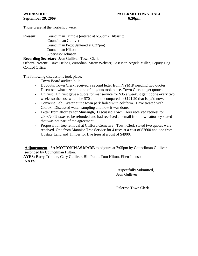# **September 29, 2009** 6:30pm

Those preset at the workshop were:

**Present**: Councilman Trimble (entered at 6:55pm) **Absent:** Councilman Gulliver Councilman Pettit 9entered at 6:37pm) Councilman Hilton Supervisor Johnson

**Recording Secretary**: Jean Gulliver, Town Clerk **Others Present**: Dave Delong, custodian; Marty Webster, Assessor; Angela Miller, Deputy Dog Control Officer.

The following discussions took place:

- Town Board audited bills
- Dugouts. Town Clerk received a second letter from NYMIR needing two quotes. Discussed what size and kind of dugouts took place. Town Clerk to get quotes.
- Unifirst. Unifirst gave a quote for mat service for \$35 a week, it get it done every two weeks so the cost would be \$70 a month compared to \$121.20 that is paid now.
- Converse Lab. Water at the town park failed with coliform. Dave treated with Clorox. Discussed water sampling and how it was done.
- Letter from attorney for Murtaugh, Discussed Town Clerk received request for 2008/2009 taxes to be refunded and had received an email from town attorney stated that was not part of the agreement.
- Proposal for tree removal at Clifford Cemetery. Town Clerk stated two quotes were received. One from Mannise Tree Service for 4 trees at a cost of \$2600 and one from Upstate Land and Timber for five trees at a cost of \$4900.

**Adjournment**: **-\*A MOTION WAS MADE** to adjourn at 7:05pm by Councilman Gulliver seconded by Councilman Hilton.

**AYES:** Barry Trimble, Gary Gulliver, Bill Pettit, Tom Hilton, Ellen Johnson **NAYS:**

> Respectfully Submitted, Jean Gulliver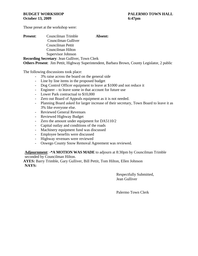Those preset at the workshop were:

| <b>Present:</b> | Councilman Trimble                                    | Absent: |
|-----------------|-------------------------------------------------------|---------|
|                 | Councilman Gulliver                                   |         |
|                 | Councilman Pettit                                     |         |
|                 | Councilman Hilton                                     |         |
|                 | Supervisor Johnson                                    |         |
|                 | <b>Recording Secretary: Jean Gulliver, Town Clerk</b> |         |

**Others Present**: Jim Pettit, Highway Superintendent, Barbara Brown, County Legislator, 2 public

The following discussions took place:

- 3% raise across the board on the general side
- Line by line items in the proposed budget
- Dog Control Officer equipment to leave at \$1000 and not reduce it
- Engineer to leave some in that account for future use
- Lower Park contractual to \$10,000
- Zero out Board of Appeals equipment as it is not needed.
- Planning Board asked for larger increase of their secretary, Town Board to leave it as 3% like everyone else.
- Reviewed General Revenues
- Reviewed Highway Budget
- Zero the amount under equipment for DA5110/2
- Capital outlay and conditions of the roads
- Machinery equipment fund was discussed
- Employee benefits were discussed
- Highway revenues were reviewed
- Oswego County Snow Removal Agreement was reviewed.

**Adjournment**: **-\*A MOTION WAS MADE** to adjourn at 8:30pm by Councilman Trimble seconded by Councilman Hilton.

**AYES:** Barry Trimble, Gary Gulliver, Bill Pettit, Tom Hilton, Ellen Johnson **NAYS:**

> Respectfully Submitted, Jean Gulliver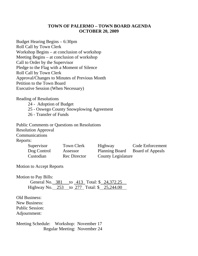# **TOWN OF PALERMO – TOWN BOARD AGENDA OCTOBER 20, 2009**

Budget Hearing Begins – 6:30pm Roll Call by Town Clerk Workshop Begins – at conclusion of workshop Meeting Begins – at conclusion of workshop Call to Order by the Supervisor Pledge to the Flag with a Moment of Silence Roll Call by Town Clerk Approval/Changes to Minutes of Previous Month Petition to the Town Board Executive Session (When Necessary)

Reading of Resolutions

24 - Adoption of Budget

25 - Oswego County Snowplowing Agreement

26 - Transfer of Funds

Public Comments or Questions on Resolutions Resolution Approval Communications Reports:

| Supervisor  | Town Clerk          | Highway            | <b>Code Enforcement</b> |
|-------------|---------------------|--------------------|-------------------------|
| Dog Control | Assessor            | Planning Board     | <b>Board of Appeals</b> |
| Custodian   | <b>Rec Director</b> | County Legislature |                         |

Motion to Accept Reports

Motion to Pay Bills:

|  | General No. 381 to 413 Total: \$24,372.25  |  |
|--|--------------------------------------------|--|
|  | Highway No. 253 to 277 Total: \$ 25,244.00 |  |

Old Business: New Business: Public Session: Adjournment:

Meeting Schedule: Workshop: November 17 Regular Meeting: November 24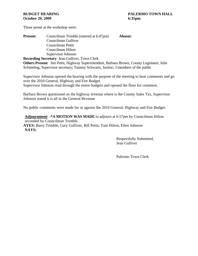# **October 20, 2009** 6:35pm

Those preset at the workshop were:

| <b>Present:</b> | Councilman Trimble (entered at 6:47pm)                                                               | Absent: |  |
|-----------------|------------------------------------------------------------------------------------------------------|---------|--|
|                 | Councilman Gulliver                                                                                  |         |  |
|                 | Councilman Pettit                                                                                    |         |  |
|                 | Councilman Hilton                                                                                    |         |  |
|                 | Supervisor Johnson                                                                                   |         |  |
|                 | <b>Recording Secretary: Jean Gulliver, Town Clerk</b>                                                |         |  |
|                 | $\Omega$ de an Darram (Fig. Datter Halance Constitution Line Darlam Darram $\Omega$ control Labour 1 |         |  |

**Others Present**: Jim Pettit, Highway Superintendent, Barbara Brown, County Legislator; Julie Schmeling, Supervisor secretary; Tammy Schwartz, Janitor; 3 members of the public

Supervisor Johnson opened the hearing with the purpose of the meeting to hear comments and go over the 2010 General, Highway and Fire Budget. Supervisor Johnson read through the entire budgets and opened the floor for comment.

Barbara Brown questioned on the highway revenue where is the County Sales Tax, Supervisor Johnson stated it is all in the General Revenue

No public comments were made for or against the 2010 General, Highway and Fire Budget.

**Adjournment**: **-\*A MOTION WAS MADE** to adjourn at 6:57pm by Councilman Hilton seconded by Councilman Trimble. **AYES:** Barry Trimble, Gary Gulliver, Bill Pettit, Tom Hilton, Ellen Johnson **NAYS:**

> Respectfully Submitted, Jean Gulliver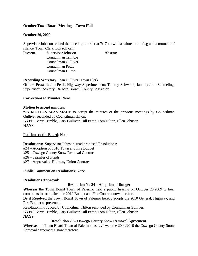# **October Town Board Meeting - Town Hall**

# **October 20, 2009**

Supervisor Johnson called the meeting to order at 7:17pm with a salute to the flag and a moment of silence. Town Clerk took roll call:

**Present:** Supervisor Johnson **Absent:** Councilman Trimble Councilman Gulliver Councilman Pettit Councilman Hilton

**Recording Secretary**: Jean Gulliver, Town Clerk

**Others Present**: Jim Pettit, Highway Superintendent; Tammy Schwartz, Janitor; Julie Schmeling, Supervisor Secretary; Barbara Brown, County Legislator.

# **Corrections to Minutes**: None

# **Motion to accept minutes**:

**\*-A MOTION WAS MADE** to accept the minutes of the previous meetings by Councilman Gulliver seconded by Councilman Hilton. **AYES**: Barry Trimble, Gary Gulliver, Bill Pettit, Tom Hilton, Ellen Johnson **NAYS**:

# **Petitions to the Board**: None

**Resolutions:** Supervisor Johnson read proposed Resolutions:

#24 – Adoption of 2010 Town and Fire Budget

#25 – Oswego County Snow Removal Contract

#26 – Transfer of Funds

#27 – Approval of Highway Union Contract

# **Public Comment on Resolutions**: None

# **Resolutions Approval**:

# **Resolution No 24 – Adoption of Budget**

**Whereas** the Town Board Town of Palermo held a public hearing on October 20,2009 to hear comments for or against the 2010 Budget and Fire Contract now therefore

**Be it Resolved** the Town Board Town of Palermo hereby adopts the 2010 General, Highway, and Fire Budget as presented.

Resolution introduced by Councilman Hilton seconded by Councilman Gulliver.

**AYES**: Barry Trimble, Gary Gulliver, Bill Pettit, Tom Hilton, Ellen Johnson

**NAYS**:

# **Resolution 25 – Oswego County Snow Removal Agreement**

**Whereas** the Town Board Town of Palermo has reviewed the 2009/2010 the Oswego County Snow Removal agreement t, now therefore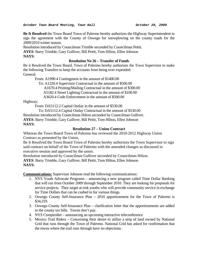#### *October Town Board Meeting, Town Hall October 20, 2009*

**Be It Resolved** the Town Board Town of Palermo hereby authorizes the Highway Superintendent to sign the agreement with the County of Oswego for snowplowing on the county roads for the 2009/2010 winter season.

Resolution introduced by Councilman Trimble seconded by Councilman Pettit.

**AYES**: Barry Trimble, Gary Gulliver, Bill Pettit, Tom Hilton, Ellen Johnson

# **NAYS**:

# **Resolution No 26 – Transfer of Funds**

Be it Resolved the Town Board, Town of Palermo hereby authorizes the Town Supervisor to make the following Transfers to keep the accounts from being over expended: General:

From: A1990.4 Contingment in the amount of \$1400.00

To: A1220.4 Supervisor Contractual in the amount of \$500.00

A1670.4 Printing/Mailing Contractual in the amount of \$300.00

A5182.4 Street Lighting Contractual in the amount of \$100.00

A3620.4 Code Enforcement in the amount of \$500.00

Highway:

From: DA5112.2 Capital Outlay in the amount of \$530.00

To: DA5112.4 Capital Outlay Contractual in the amount of \$530.00

Resolution introduced by Councilman Hilton seconded by Councilman Gulliver.

**AYES**: Barry Trimble, Gary Gulliver, Bill Pettit, Tom Hilton, Ellen Johnson **NAYS**:

# **Resolution 27 – Union Contract**

Whereas the Town Board Town of Palermo has reviewed the 2010-2012 Highway Union Contract as presented by the Union,

Be It Resolved the Town Board Town of Palermo hereby authorizes the Town Supervisor to sign said contract on behalf of the Town of Palermo with the amended changes as discussed in executive session and approved by the union.

Resolution introduced by Councilman Gulliver seconded by Councilman Hilton.

**AYES**: Barry Trimble, Gary Gulliver, Bill Pettit, Tom Hilton, Ellen Johnson **NAYS**:

**Communications:** Supervisor Johnson read the following communications:

- 1. NYS Youth Advocate Programs announcing a new program called Time Dollar Banking that will run from October 2009 through September 2010. They are looking for proposals for service projects. They target at-risk youths who will provide community service in exchange for Time Dollars that can be cashed in for various things.
- 2. Oswego County Self-Insurance Plan 2010 apportionment for the Town of Palermo is \$34,319.
- 3. Oswego County Self-Insurance Plan clarification letter that the apportionments are added to the county tax bills. Towns don't pay.
- 4. NYS Comptroller announcing an upcoming interactive teleconference
- 5. Mexico Trail Riders Concerning their desire to utilize a strip of land owned by National Grid that runs through the Town of Palermo. National Grid has asked for confirmation that the towns where the trail runs through have no objections.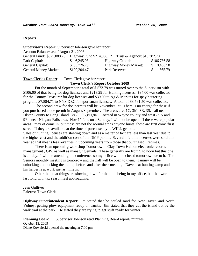## **Reports**

| <b>Supervisor's Report:</b> Supervisor Johnson gave her report:                  |              |                              |              |
|----------------------------------------------------------------------------------|--------------|------------------------------|--------------|
| Account Balances as of August 31, 2008                                           |              |                              |              |
| General Fund: \$325,088.75 Highway Fund \$214,808.12 Trust & Agency: \$16,382.70 |              |                              |              |
| Park Capital:                                                                    | 6,245.03     | <b>Highway Capital:</b>      | \$106,786.58 |
| General Capital:                                                                 | \$53,726.73  | <b>Highway Money Market:</b> | \$10,465.58  |
| <b>General Money Market:</b>                                                     | \$109,204.47 | Park Reserve:                | 565.79       |

# **Town Clerk's Report**: Town Clerk gave her report:

#### **Town Clerk's Report October 2009**

For the month of September a total of \$ 573.79 was turned over to the Supervisor with \$106.00 of that being for dog licenses and \$213.29 for Hunting licenses, \$94.00 was collected for the County Treasurer for dog licenses and \$39.00 to Ag & Markets for spay/neutering program, \$7,884.71 to NYS DEC for sportsman licenses. A total of \$8,591.50 was collected.

 The second draw for doe permits will be November 1st. There is no charge for these if you purchased a doe permit in August/September. The areas are: 1C, 3M, 3R, 3S, - all near Ulster County to Long Island..8A,8F,8G,8H,8N, Located in Wayne county and west - 9A and  $9F$  – near Niagara Falls area. Nov 1<sup>st</sup> falls on a Sunday, I will not be open. If these were popular areas I may of come in, but these are not the normal areas anyone hunts, these are first come/first serve. If they are available at the time of purchase – you WILL get one. Sales of hunting licenses are slowing down and as a matter of fact are less than last year due to

the higher cost and the addition cost of the DMP permit. Several life time licenses were sold this year so that means less revenues in upcoming years from those that purchased lifetimes.

 There is an upcoming workshop Tomorrow in Clay Town Hall on electronic records management , GIS, as well as managing emails. These generally are from 9 to noon but this one is all day. I will be attending the conference so my office will be closed tomorrow due to it. The Seniors monthly meeting is tomorrow and the hall will be open to them. Tammy will be unlocking and locking the hall up before and after their meeting. Dave is at hunting camp and his helper is at work just as mine is.

 Other than that things are slowing down for the time being in my office, but that won't last long with tax season fast approaching.

Jean Gulliver Palermo Town Clerk

**Highway Superintendent Report:** Jim stated that he hauled sand for New Haven and North Volney, getting plow equipment ready on trucks. Jim stated that they cut the island out by the walk trail at the park. He stated they are trying to get stuff ready for winter.

**Planning Board:** Supervisor Johnson read Planning Board report/minutes:

October 13, 2009 Diane Kowaleski opened the meeting at 7:00 pm.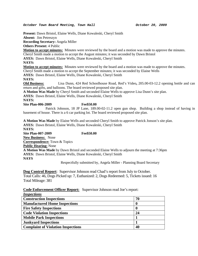#### *October Town Board Meeting, Town Hall October 20, 2009*

**Present:** Dawn Bristol, Elaine Wells, Diane Kowaleski, Cheryl Smith **Absent:** Jim Petreszyn **Recording Secretary:** Angela Miller

**Others Present:** 4 Public

**Motion to accept minutes:** Minutes were reviewed by the board and a motion was made to approve the minutes.

Cheryl Smith made a motion to accept the August minutes; it was seconded by Dawn Bristol

**AYES:** Dawn Bristol, Elaine Wells, Diane Kowaleski, Cheryl Smith

**NAYS:** 

**Motion to accept minutes:** Minutes were reviewed by the board and a motion was made to approve the minutes. Cheryl Smith made a motion to accept the September minutes; it was seconded by Elaine Wells

**AYES:** Dawn Bristol, Elaine Wells, Diane Kowaleski, Cheryl Smith

**NAYS:** 

**Old Business:** Lisa Dunn, 424 Red Schoolhouse Road, Red's Video**,** 205.00-03-12.2 opening bottle and can return and gifts, and balloons. The board reviewed proposed site plan.

**A Motion Was Made** by Cheryl Smith and seconded Elaine Wells to approve Lisa Dunn's site plan.

**AYES:** Dawn Bristol, Elaine Wells, Diane Kowaleski, Cheryl Smith

**NAYS:** 

#### **Site Plan-006-2009 Fee\$50.00**

 Patrick Johnson, 18 JP Lane, 189.00-02-11.2 open gun shop. Building a shop instead of having in basement of house. There is a 6 car parking lot. The board reviewed proposed site plan.

**A Motion Was Made** by Elaine Wells and seconded Cheryl Smith to approve Patrick Jonson's site plan. **AYES:** Dawn Bristol, Elaine Wells, Diane Kowaleski, Cheryl Smith **NAYS: Site Plan-007-2009 Fee\$50.00 New Business:** None **Correspondence:** Town & Topics **Public Hearing:** None **A Motion Was Made** by Dawn Bristol and seconded Elaine Wells to adjourn the meeting at 7:36pm **AYES:** Dawn Bristol, Elaine Wells, Diane Kowaleski, Cheryl Smith **NAYS** 

Respectfully submitted by, Angela Miller - Planning Board Secretary

**Dog Control Report:** Supervisor Johnson read Chad's report from July to October. Total Calls: 46, Dogs Picked up: 7, Euthanized: 2, Dogs Redeemed: 5, Tickets issued: 16 Total Mileage: 381

# **Code Enforcement Officer Report:** Supervisor Johnson read Joe's report:

| <i>Inspections</i>                        |    |
|-------------------------------------------|----|
| <b>Construction Inspections</b>           | 70 |
| <b>Manufactured Home Inspections</b>      |    |
| <b>Fire Safety Inspections</b>            |    |
| <b>Code Violation Inspections</b>         | 24 |
| <b>Mobile Park Inspections</b>            |    |
| <b>Junkyard Inspections</b>               |    |
| <b>Complaint of Violation Inspections</b> | 40 |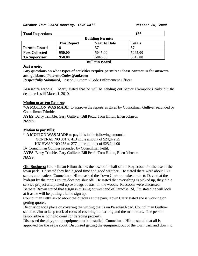|                    |                     | 136                                          |
|--------------------|---------------------|----------------------------------------------|
|                    |                     |                                              |
| <b>This Report</b> | <b>Year to Date</b> | <b>Totals</b>                                |
|                    | 57                  | 57                                           |
| 950.00             | 5045.00             | 5045.00                                      |
| 950.00             | 5045.00             | 5045.00                                      |
|                    |                     | <b>Building Permits</b><br><b>DU</b> 11 11 D |

#### **Bulletin Board**

## *Just a note***:**

# **Any questions on what types of activities require permits? Please contact us for answers and guidance. PalermoCodes@aol.com**

*Respectfully Submitted,* Joseph Fiumara - Code Enforcement Officer

**Assessor's Report**: Marty stated that he will be sending out Senior Exemptions early but the deadline is still March 1, 2010.

#### **Motion to accept Reports**:

**\*-A MOTION WAS MADE** to approve the reports as given by Councilman Gulliver seconded by Councilman Trimble.

**AYES**: Barry Trimble, Gary Gulliver, Bill Pettit, Tom Hilton, Ellen Johnson **NAYS**:

#### **Motion to pay Bills**:

**\*-A MOTION WAS MADE** to pay bills in the following amounts:

GENERAL NO 381 to 413 in the amount of \$24,372.25

HIGHWAY NO 253 to 277 in the amount of \$25,244.00

By Councilman Gulliver seconded by Councilman Pettit.

**AYES**: Barry Trimble, Gary Gulliver, Bill Pettit, Tom Hilton, Ellen Johnson **NAYS**:

**Old Business:** Councilman Hilton thanks the town of behalf of the Boy scouts for the use of the town park. He stated they had a good time and good weather. He stated there were about 150 scouts and leaders. Councilman Hilton asked the Town Clerk to make a note to Dave that the hydrant by the tennis courts does not shut off. He stated that everything is picked up, they did a service project and picked up two bags of trash in the woods. Raccoons were discussed. Barbara Brown stated that a sign is missing on west end of Paradise Rd, Jim stated he will look at it as he will be putting a blind sign up.

Councilman Pettit asked about the dugouts at the park, Town Clerk stated she is working on getting quotes.

Discussion took place on covering the writing that is on Paradise Road. Councilman Gulliver stated to Jim to keep track of costs of covering the writing and the man hours. The person responsible is going to court for defacing property.

Discussed the playground equipment to be installed. Councilman Hilton stated that all is approved for the eagle scout. Discussed getting the equipment out of the town barn and down to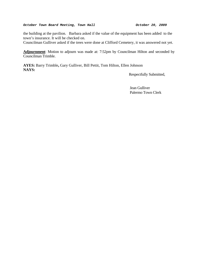#### *October Town Board Meeting, Town Hall October 20, 2009*

the building at the pavilion. Barbara asked if the value of the equipment has been added to the town's insurance. It will be checked on.

Councilman Gulliver asked if the trees were done at Clifford Cemetery, it was answered not yet.

**Adjournment**: Motion to adjourn was made at: 7:52pm by Councilman Hilton and seconded by Councilman Trimble.

**AYES:** Barry Trimble**,** Gary Gulliver, Bill Pettit, Tom Hilton, Ellen Johnson **NAYS:** 

Respectfully Submitted,

 Jean Gulliver Palermo Town Clerk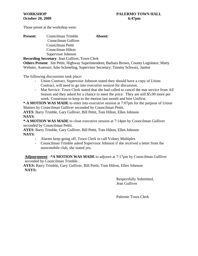Those preset at the workshop were:

# **Present**: Councilman Trimble **Absent:** Councilman Gulliver Councilman Pettit Councilman Hilton Supervisor Johnson

**Recording Secretary**: Jean Gulliver, Town Clerk

**Others Present**: Jim Pettit, Highway Superintendent; Barbara Brown, County Legislator; Marty Webster, Assessor; Julie Schmeling, Supervisor Secretary; Tammy Schwarz, Janitor

The following discussions took place:

- Union Contract, Supervisor Johnson stated they should have a copy of Union Contract, will need to go into executive session for discussion.
- Mat Service. Town Clerk stated that she had called to cancel the mat service from All Season and they asked for a chance to meet the price. They are still \$5.00 more per week. Consensus to keep to the motion last month and hire Unifirst.

**\*-A MOTION WAS MADE** to enter into executive session at 7:07pm for the purpose of Union Matters by Councilman Gulliver seconded by Councilman Pettit.

**AYES**: Barry Trimble, Gary Gulliver, Bill Pettit, Tom Hilton, Ellen Johnson **NAYS**:

**\*-A MOTION WAS MADE** to close executive session at 7:14pm by Councilman Gulliver seconded by Councilman Pettit.

**AYES**: Barry Trimble, Gary Gulliver, Bill Pettit, Tom Hilton, Ellen Johnson **NAYS**:

- Alarms keep going off, Town Clerk to call Volney Multiplex
- Councilman Trimble asked Supervisor Johnson if she received a letter from the snowmobile club, she stated yes.

**Adjournment**: **-\*A MOTION WAS MADE** to adjourn at 7:17pm by Councilman Gulliver seconded by Councilman Trimble.

**AYES:** Barry Trimble, Gary Gulliver, Bill Pettit, Tom Hilton, Ellen Johnson **NAYS:**

> Respectfully Submitted, Jean Gulliver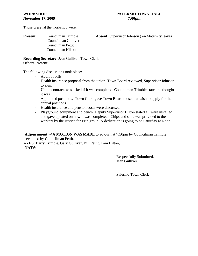Those preset at the workshop were:

 Councilman Gulliver Councilman Pettit Councilman Hilton

**Present:** Councilman Trimble **Absent:** Supervisor Johnson (on Maternity leave)

**Recording Secretary**: Jean Gulliver, Town Clerk **Others Present**:

The following discussions took place:

- Audit of bills
- Health insurance proposal from the union. Town Board reviewed, Supervisor Johnson to sign.
- Union contract, was asked if it was completed. Councilman Trimble stated he thought it was
- Appointed positions. Town Clerk gave Town Board those that wish to apply for the annual positions
- Health insurance and pension costs were discussed
- Playground equipment and bench. Deputy Supervisor Hilton stated all were installed and gave updated on how it was completed. Chips and soda was provided to the workers by the Justice for Erin group. A dedication is going to be Saturday at Noon.

**Adjournment**: **-\*A MOTION WAS MADE** to adjourn at 7:50pm by Councilman Trimble seconded by Councilman Pettit.

**AYES:** Barry Trimble, Gary Gulliver, Bill Pettit, Tom Hilton, **NAYS:**

> Respectfully Submitted, Jean Gulliver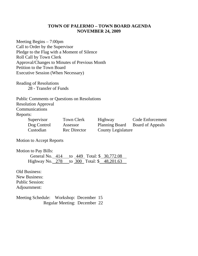# **TOWN OF PALERMO – TOWN BOARD AGENDA NOVEMBER 24, 2009**

Meeting Begins – 7:00pm Call to Order by the Supervisor Pledge to the Flag with a Moment of Silence Roll Call by Town Clerk Approval/Changes to Minutes of Previous Month Petition to the Town Board Executive Session (When Necessary)

Reading of Resolutions 28 - Transfer of Funds

Public Comments or Questions on Resolutions Resolution Approval

Communications

Reports:

| Supervisor  | Town Clerk          | Highway            | <b>Code Enforcement</b> |
|-------------|---------------------|--------------------|-------------------------|
| Dog Control | Assessor            | Planning Board     | <b>Board of Appeals</b> |
| Custodian   | <b>Rec Director</b> | County Legislature |                         |

Motion to Accept Reports

Motion to Pay Bills:

|  | General No. 414 to 449 Total: \$ 30,772.08 |  |
|--|--------------------------------------------|--|
|  | Highway No. 278 to 300 Total: \$ 48,201.63 |  |

Old Business: New Business: Public Session: Adjournment:

Meeting Schedule: Workshop: December 15 Regular Meeting: December 22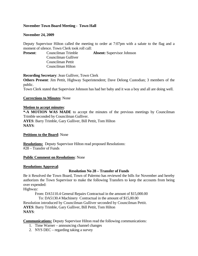# **November Town Board Meeting - Town Hall**

# **November 24, 2009**

Deputy Supervisor Hilton called the meeting to order at 7:07pm with a salute to the flag and a moment of silence. Town Clerk took roll call:

**Present**: Councilman Trimble **Absent:** Supervisor Johnson Councilman Gulliver Councilman Pettit Councilman Hilton

**Recording Secretary**: Jean Gulliver, Town Clerk **Others Present**: Jim Pettit, Highway Superintendent; Dave Delong Custodian; 3 members of the public. Town Clerk stated that Supervisor Johnson has had her baby and it was a boy and all are doing well.

# **Corrections to Minutes**: None

# **Motion to accept minutes**:

**\*-A MOTION WAS MADE** to accept the minutes of the previous meetings by Councilman Trimble seconded by Councilman Gulliver. **AYES**: Barry Trimble, Gary Gulliver, Bill Pettit, Tom Hilton **NAYS**:

# **Petitions to the Board**: None

**Resolutions:** Deputy Supervisor Hilton read proposed Resolutions: #28 – Transfer of Funds

# **Public Comment on Resolutions**: None

# **Resolutions Approval**:

# **Resolution No 28 – Transfer of Funds**

Be it Resolved the Town Board, Town of Palermo has reviewed the bills for November and hereby authorizes the Town Supervisor to make the following Transfers to keep the accounts from being over expended:

Highway:

From: DA5110.4 General Repairs Contractual in the amount of \$15,000.00

To: DA5130.4 Machinery Contractual in the amount of \$15,00.00

Resolution introduced by Councilman Gulliver seconded by Councilman Pettit.

**AYES**: Barry Trimble, Gary Gulliver, Bill Pettit, Tom Hilton **NAYS**:

**Communications:** Deputy Supervisor Hilton read the following communications:

- 1. Time Warner announcing channel changes
- 2. NYS DEC regarding taking a survey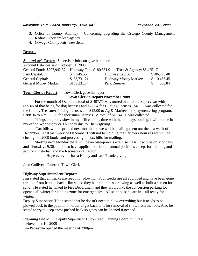#### *November Town Board Meeting, Town Hall November 24, 2009*

- 3. Office of County Attorney Concerning upgrading the Oswego County Management Radios. They are lead agency.
- 4. Oswego County Fair newsletter

## **Reports**

#### **Supervisor's Report**: Supervisor Johnson gave her report:

Account Balances as of October 31, 2009

| General Fund: \$297,942.37   |              | Highway Fund $$180,851.91$ Trust & Agency: $$6,425.17$ |              |
|------------------------------|--------------|--------------------------------------------------------|--------------|
| Park Capital:                | \$6,245.55   | Highway Capital:                                       | \$106,795.48 |
| General Capital:             | \$53,731.21  | <b>Highway Money Market:</b>                           | \$10,466.45  |
| <b>General Money Market:</b> | \$109,231.77 | Park Reserve:                                          | 565.84       |

**Town Clerk's Report:** Town Clerk gave her report:

## **Town Clerk's Report November 2009**

For the month of October a total of \$ 497.71 was turned over to the Supervisor with \$55.65 of that being for dog licenses and \$22.64 for Hunting licenses, \$49.35 was collected for the County Treasurer for dog licenses and \$15.00 to Ag & Markets for spay/neutering program, \$388.36 to NYS DEC for sportsman licenses. A total of \$1,044.50 was collected.

 Things are pretty slow in my office at this time with the holidays coming. I will not be in my office Wednesday or Thursday due to Thanksgiving.

 Tax bills will be printed next month and we will be mailing them out the last week of December. That last week of December I will not be holding regular clerk hours as we will be closing out 2009 books and processing the tax bills for mailing.

Starting next Monday there will be an osteoporosis exercise class. It will be on Mondays and Thursdays 9:30am. I also have applications for all annual positions except for building and grounds custodian and the Recreation Director.

Hope everyone has a Happy and safe Thanksgiving!

Jean Gulliver - Palermo Town Clerk

#### **Highway Superintendent Report:**

Jim stated that all trucks are ready for plowing. Four trucks are all equipped and have been gone through from front to back. Jim stated they had rebuilt a spare wing as well as built a screen for sand. He stated he talked to Fire Department and they would like the concession parking lot opened all winter for landing zone for emergencies. All salt and sand are in – all ready for winter.

Deputy Supervisor Hilton stated that he doesn't need to plow everything but it needs to be plowed back to the pavilion in order to get back to it for removal of snow from the roof. Also he stated to try to keep snow pushed back so gates can be opened if needed.

**Planning Board:** Deputy Supervisor Hilton read Planning Board minutes:

November 10, 2009

Jim Petreszyn opened the meeting at 7:00pm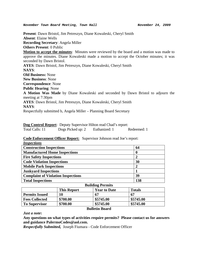*November Town Board Meeting, Town Hall November 24, 2009* 

**Present**: Dawn Bristol, Jim Petreszyn, Diane Kowaleski, Cheryl Smith **Absent**: Elaine Wells **Recording Secretary**: Angela Miller **Others Present**: 0 Public **Motion to accept the minutes**: Minutes were reviewed by the board and a motion was made to approve the minutes. Diane Kowaleski made a motion to accept the October minutes; it was seconded by Dawn Bristol. **AYES**: Dawn Bristol, Jim Petreszyn, Diane Kowaleski, Cheryl Smith **NAYS**: **Old Business:** None **New Business**: None **Correspondence**: None **Public Hearing**: None **A Motion Was Made** by Diane Kowaleski and seconded by Dawn Bristol to adjourn the meeting at 7:30pm **AYES**: Dawn Bristol, Jim Petreszyn, Diane Kowaleski, Cheryl Smith **NAYS**: Respectfully submitted b, Angela Miller – Planning Board Secretary

**Dog Control Report**: Deputy Supervisor Hilton read Chad's report:

Total Calls: 11 Dogs Picked up: 2 Euthanized: 1 Redeemed: 1

# **Code Enforcement Officer Report:** Supervisor Johnson read Joe's report:

| <i>Inspections</i>                                                    |     |
|-----------------------------------------------------------------------|-----|
| <b>Construction Inspections</b>                                       | 64  |
| <b>Manufactured Home Inspections</b>                                  |     |
| <b>Fire Safety Inspections</b>                                        | 2   |
| <b>Code Violation Inspections</b>                                     | 30  |
| <b>Mobile Park Inspections</b>                                        | 2   |
| <b>Junkyard Inspections</b>                                           |     |
| <b>Complaint of Violation Inspections</b>                             | 39  |
| <b>Total Inspections</b>                                              | 138 |
| $\mathbf{D}_{\mathbf{u}}$ ilding $\mathbf{D}_{\alpha \mathbf{w}}$ ita |     |

| Dunuing refilms       |                    |                       |               |  |
|-----------------------|--------------------|-----------------------|---------------|--|
|                       | <b>This Report</b> | <b>Year to Date</b>   | <b>Totals</b> |  |
| <b>Permits Issued</b> | 10                 | 67                    | 67            |  |
| <b>Fees Collected</b> | \$700.00           | \$5745.00             | \$5745.00     |  |
| <b>To Supervisor</b>  | \$700.00           | \$5745.00             | \$5745.00     |  |
|                       |                    | <b>Bulletin Board</b> |               |  |

#### *Just a note***:**

**Any questions on what types of activities require permits? Please contact us for answers and guidance PalermoCodes@aol.com.** 

*Respectfully Submitted,* Joseph Fiumara - Code Enforcement Officer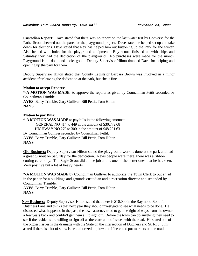**Custodian Report**: Dave stated that there was no report on the last water test by Converse for the Park. Scout checked out the parts for the playground project. Dave stated he helped set up and take down for elections. Dave stated that Rex has helped him out buttoning up the Park for the winter. Also helped with holes for the playground equipment. Boy scouts finished up with chips and Saturday they had the dedication of the playground. No purchases were made for the month. Playground is all done and looks good. Deputy Supervisor Hilton thanked Dave for helping and opening up the park for them.

Deputy Supervisor Hilton stated that County Legislator Barbara Brown was involved in a minor accident after leaving the dedication at the park, but she is fine.

## **Motion to accept Reports**:

**\*-A MOTION WAS MADE** to approve the reports as given by Councilman Pettit seconded by Councilman Trimble.

**AYES**: Barry Trimble, Gary Gulliver, Bill Pettit, Tom Hilton **NAYS**:

# **Motion to pay Bills**:

**\*-A MOTION WAS MADE** to pay bills in the following amounts: GENERAL NO 414 to 449 in the amount of \$30,772.08 HIGHWAY NO 279 to 300 in the amount of \$48,201.63 By Councilman Gulliver seconded by Councilman Pettit. **AYES**: Barry Trimble, Gary Gulliver, Bill Pettit, Tom Hilton **NAYS**:

**Old Business:** Deputy Supervisor Hilton stated the playground work is done at the park and had a great turnout on Saturday for the dedication. News people were there, there was a ribbon cutting ceremony. The Eagle Scout did a nice job and is one of the better ones that he has seen. Very positive but a lot of heavy hearts.

**\*-A MOTION WAS MADE** by Councilman Gulliver to authorize the Town Clerk to put an ad in the paper for a buildings and grounds custodian and a recreation director and seconded by Councilman Trimble.

**AYES**: Barry Trimble, Gary Gulliver, Bill Pettit, Tom Hilton **NAYS**:

**New Business:** Deputy Supervisor Hilton stated that there is \$10,000 in the Raymond Bond for Dutchess Lane and thinks that next year they should investigate to see what needs to be done. He discussed what happened in the past, the town attorney tried to get the right of ways from the owners a few years back and couldn't get them all to sign off. Before the town can do anything they need to see if the residents are willing to sign off as there are a lot of issues with the road. He stated one of the biggest issues is the drainage with the State on the intersection of Dutchess and St. Rt 3. Jim asked if there is a lot of snow is he authorized to plow and if he could put markers on the road.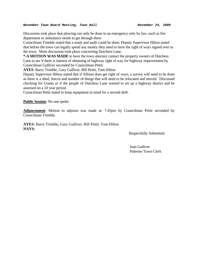Discussion took place that plowing can only be done in an emergency only by law, such as fire department or ambulance needs to get through there.

Councilman Trimble stated that a study and audit could be done, Deputy Supervisor Hilton stated that before the town can legally spend any money they need to have the right of ways signed over to the town. More discussion took place concerning Dutchess Lane.

**\*-A MOTION WAS MADE** to have the town attorney contact the property owners of Dutchess Lane to see if there is interest of obtaining of highway right of way for highway improvement by Councilman Gulliver seconded by Councilman Pettit.

**AYES**: Barry Trimble, Gary Gulliver, Bill Pettit, Tom Hilton

Deputy Supervisor Hilton stated that if Allison does get right of ways, a survey will need to be done as there is a shed, fences and number of things that will need to be relocated and moved. Discussed checking for Grants or if the people of Dutchess Lane wanted to set up a highway district and be assessed on a 10 year period.

Councilman Pettit stated to keep equipment in mind for a second shift.

**Public Session**: No one spoke

**Adjournment**: Motion to adjourn was made at: 7:45pm by Councilman Pettit seconded by Councilman Trimble.

**AYES:** Barry Trimble**,** Gary Gulliver, Bill Pettit, Tom Hilton **NAYS:** 

Respectfully Submitted,

 Jean Gulliver Palermo Town Clerk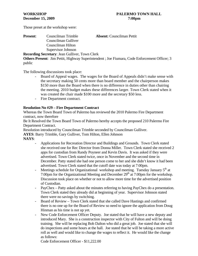Those preset at the workshop were:

**Present**: Councilman Trimble **Absent:** Councilman Pettit Councilman Gulliver Councilman Hilton Supervisor Johnson **Recording Secretary**: Jean Gulliver, Town Clerk

**Others Present**: Jim Pettit, Highway Superintendent ; Joe Fiumara, Code Enforcement Officer; 3 public

The following discussions took place:

- Board of Appeal wages. The wages for the Board of Appeals didn't make sense with the secretary making 50 cents more than board member and the chairperson makes \$150 more than the Board when there is no difference in duties other than chairing the meeting. 2010 budget makes these differences larger. Town Clerk stated when it was created the chair made \$100 more and the secretary \$50 less.
- Fire Department contract.

# **Resolution No #29 – Fire Department Contract**

Whereas the Town Board Town of Palermo has reviewed the 2010 Palermo Fire Department contract, now therefore

Be It Resolved the Town Board Town of Palermo hereby accepts the proposed 210 Palermo Fire Department Contract.

Resolution introduced by Councilman Trimble seconded by Councilman Gulliver.

**AYES**: Barry Trimble, Gary Gulliver, Tom Hilton, Ellen Johnson **NAYS**:

- Applications for Recreation Director and Buildings and Grounds. Town Clerk stated she received one for Rec Director from Donna Miller. Town Clerk stated she received 2 apps for custodian from Randy Poyneer and Kevin Davis. It was asked if they were advertised. Town Clerk stated twice, once in November and the second time in December. Patty stated she had one person come to her and she didn't know it had been advertised. Town Clerk stated that the cutoff date was today at 7:00pm.
- Meetings schedule for Organizational workshop and meeting. Tuesday January  $5<sup>th</sup>$  at 7:00pm for the Organizational Meeting and December  $29<sup>th</sup>$  at 7:00pm for the workshop. Discussion took place on whether or not to allow more time for the advertised position of Custodian.
- PayChex Patty asked about the minutes referring to having PayChex do a presentation. Town Clerk stated they already did at beginning of year. Supervisor Johnson stated there were no savings by switching.
- Board of Review Town Clerk stated that she called Dave Hastings and confirmed there is no one up for the Board of Review so need to ignore the application from Doug Hinman as his time is not up yet.
- New Code Enforcement Officer Deputy. Joe stated that he will have a new deputy and introduced Mary. She is a construction inspector with City of Fulton and will be doing training. She will be replacing Bob Dalton who did a great job. Joe stated that she will do inspections and some hours at the hall. Joe stated that he will be taking a more active roll as well and would like to change the wages to reflect it. He would like the change as follows:

Code Enforcement Officer - \$11,222.00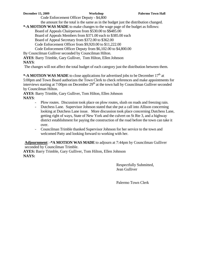Code Enforcement Officer Deputy - \$4,800

the amount for the total is the same as in the budget just the distribution changed.

**\*-A MOTION WAS MADE** to make changes to the wage page of the budget as follows:

Board of Appeals Chairperson from \$530.00 to \$\$485.00

Board of Appeals Members from \$371.00 each to \$385.00 each

Board of Appeal Secretary from \$372.00 to \$362.00

Code Enforcement Officer from \$9,920.00 to \$11,222.00

Code Enforcement Officer Deputy from \$6,102.00 to \$4,800.00

By Councilman Gulliver seconded by Councilman Hilton.

**AYES**: Barry Trimble, Gary Gulliver, Tom Hilton, Ellen Johnson

# **NAYS**:

The changes will not affect the total budget of each category just the distribution between them.

**\*-A MOTION WAS MADE** to close applications for advertised jobs to be December 17<sup>th</sup> at 5:00pm and Town Board authorizes the Town Clerk to check references and make appointments for interviews starting at 7:00pm on December  $29<sup>th</sup>$  at the town hall by Councilman Gulliver seconded by Councilman Hilton.

**AYES**: Barry Trimble, Gary Gulliver, Tom Hilton, Ellen Johnson **NAYS**:

- Plow routes. Discussion took place on plow routes, slush on roads and freezing rain.
- Dutchess Lane. Supervisor Johnson stated that she put a call into Allison concerning looking at Dutchess Lane issue. More discussion took place concerning Dutchess Lane, getting right of ways, State of New York and the culvert on St Rte 3, and a highway district establishment for paying the construction of the road before the town can take it over.
- Councilman Trimble thanked Supervisor Johnson for her service to the town and welcomed Patty and looking forward to working with her.

**Adjournment**: **-\*A MOTION WAS MADE** to adjourn at 7:44pm by Councilman Gulliver seconded by Councilman Trimble.

**AYES:** Barry Trimble, Gary Gulliver, Tom Hilton, Ellen Johnson **NAYS:**

> Respectfully Submitted, Jean Gulliver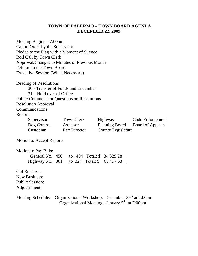# **TOWN OF PALERMO – TOWN BOARD AGENDA DECEMBER 22, 2009**

Meeting Begins – 7:00pm Call to Order by the Supervisor Pledge to the Flag with a Moment of Silence Roll Call by Town Clerk Approval/Changes to Minutes of Previous Month Petition to the Town Board Executive Session (When Necessary)

Reading of Resolutions

30 - Transfer of Funds and Encumber

31 – Hold over of Office

Public Comments or Questions on Resolutions

Resolution Approval

Communications

# Reports:

| Supervisor  | Town Clerk   | Highway                   | <b>Code Enforcement</b> |
|-------------|--------------|---------------------------|-------------------------|
| Dog Control | Assessor     | Planning Board            | <b>Board of Appeals</b> |
| Custodian   | Rec Director | <b>County Legislature</b> |                         |

Motion to Accept Reports

Motion to Pay Bills:

|  | General No. 450 to 494 Total: \$34,329.28  |  |
|--|--------------------------------------------|--|
|  | Highway No. 301 to 327 Total: \$ 65,497.63 |  |

Old Business:

New Business: Public Session: Adjournment:

Meeting Schedule: Organizational Workshop: December 29<sup>th</sup> at 7:00pm Organizational Meeting: January  $5<sup>th</sup>$  at 7:00pm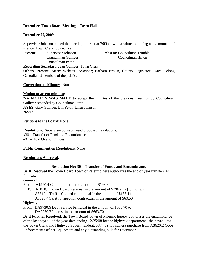# **December Town Board Meeting - Town Hall**

## **December 22, 2009**

Supervisor Johnson called the meeting to order at 7:00pm with a salute to the flag and a moment of silence. Town Clerk took roll call:

**Present:** Supervisor Johnson **Absent:** Councilman Trimble Councilman Gulliver Councilman Hilton

 Councilman Pettit **Recording Secretary**: Jean Gulliver, Town Clerk

**Others Present**: Marty Webster, Assessor; Barbara Brown, County Legislator; Dave Delong Custodian; 2members of the public.

#### **Corrections to Minutes**: None

## **Motion to accept minutes**:

**\*-A MOTION WAS MADE** to accept the minutes of the previous meetings by Councilman Gulliver seconded by Councilman Pettit. **AYES**: Gary Gulliver, Bill Pettit, Ellen Johnson **NAYS**:

## **Petitions to the Board**: None

**Resolutions:** Supervisor Johnson read proposed Resolutions: #30 – Transfer of Fund and Encumbrances #31 – Hold Over of Offices

#### **Public Comment on Resolutions**: None

#### **Resolutions Approval**:

# **Resolution No: 30 – Transfer of Funds and Encumbrance**

**Be It Resolved** the Town Board Town of Palermo here authorizes the end of year transfers as follows:

**General** 

From: A1990.4 Contingment in the amount of \$193.84 to:

- To: A1010.1 Town Board Personal in the amount of \$.20cents (rounding) A3310.4 Traffic Control contractual in the amount of \$133.14
	- A3620.4 Safety Inspection contractual in the amount of \$60.50

#### Highway

From: DA9730.6 Debt Service Principal in the amount of \$663.70 to DA9730.7 Interest in the amount of \$663.70

**Be it Further Resolved**, the Town Board Town of Palermo hereby authorizes the encumbrance of the last payroll of the year date ending 12/25/08 for the highway department, the payroll for the Town Clerk and Highway Superintendent, \$377.39 for camera purchase from A3620.2 Code Enforcement Officer Equipment and any outstanding bills for December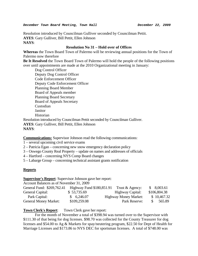Resolution introduced by Councilman Gulliver seconded by Councilman Pettit. **AYES**: Gary Gulliver, Bill Pettit, Ellen Johnson **NAYS**:

# **Resolution No 31 – Hold over of Offices**

**Whereas** the Town Board Town of Palermo will be reviewing annual positions for the Town of Palermo now therefore

**Be It Resolved** the Town Board Town of Palermo will hold the people of the following positions over until appointments are made at the 2010 Organizational meeting in January:

 Dog Control Officer Deputy Dog Control Officer Code Enforcement Officer Deputy Code Enforcement Officer Planning Board Member Board of Appeals member Planning Board Secretary Board of Appeals Secretary Custodian Janitor Historian Resolution introduced by Councilman Pettit seconded by Councilman Gulliver.

**AYES**: Gary Gulliver, Bill Pettit, Ellen Johnson **NAYS**:

**Communications:** Supervisor Johnson read the following communications:

1 – several upcoming civil service exams

2 – Patricia Egan – concerning new snow emergency declaration policy

3 – Oswego County Real Property – update on names and addresses of officials

4 – Hartford – concerning NYS Comp Board changes

5 – Labarge Group – concerning technical assistant grants notification

# **Reports**

**Supervisor's Report**: Supervisor Johnson gave her report:

Account Balances as of November 31, 2009

| General Fund: \$269,762.41   | Highway Fund \$180,851.91 | Trust $&$ Agency:            | \$8,003.61   |
|------------------------------|---------------------------|------------------------------|--------------|
| General Capital:             | \$53,735.69               | Highway Capital:             | \$106,804.38 |
| Park Capital:                | \$6,246.07                | <b>Highway Money Market:</b> | \$10,467.32  |
| <b>General Money Market:</b> | \$109,259.08              | Park Reserve:                | 565.89<br>S. |

# **Town Clerk's Report**: Town Clerk gave her report:

For the month of November a total of \$398.94 was turned over to the Supervisor with \$111.30 of that being for dog licenses. \$98.70 was collected for the County Treasurer for dog licenses and \$54.00 to Ag & Markets for spay/neutering program, \$22.50 for Dept of Health for Marriage Licenses and \$173.86 to NYS DEC for sportsman licenses. A total of \$748.00 was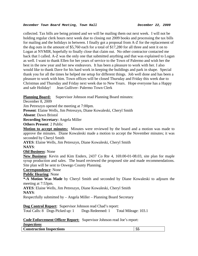collected. Tax bills are being printed and we will be mailing them out next week. I will not be holding regular clerk hours next week due to closing out 2009 books and processing the tax bills for mailing and the holidays in between. I finally got a proposal from A-Z for the replacement of the dug outs in the amount of \$5,760 each for a total of \$17,280 for all three and sent it on to Logan at NYMIR, hopefully to finally close that claim out. No other contractor contacted me back that I called. A-Z was the only one that submitted anything and that was explained to Logan as well. I want to thank Ellen for her years of service to the Town of Palermo and wish her the best in the new year and her new endeavors. It has been a pleasure to work with her. I also would like to thank Dave for his hard work in keeping the buildings and park in shape. Special thank you for all the times he helped me setup for different things. Job well done and has been a pleasure to work with him. Town offices will be closed Thursday and Friday this week due to Christmas and Thursday and Friday next week due to New Years. Hope everyone has a Happy and safe Holiday! Jean Gulliver- Palermo Town Clerk

**Planning Board:** Supervisor Johnson read Planning Board minutes:

December 8, 2009

Jim Petreszyn opened the meeting at 7:00pm.

**Present**: Elaine Wells, Jim Petreszyn, Diane Kowaleski, Cheryl Smith

**Absent**: Dawn Bristol

**Recording Secretary:** Angela Miller

**Others Present**: 2 Public

**Motion to accept minutes:** Minutes were reviewed by the board and a motion was made to approve the minutes. Diane Kowaleski made a motion to accept the November minutes; it was seconded by Cheryl Smith

**AYES**: Elaine Wells, Jim Petreszyn, Diane Kowaleski, Cheryl Smith

**NAYS**:

**Old Business**: None

**New Business**: Kevin and Kim Enders, 2437 Co Rte 4, 169.00-01-08.03, site plan for maple syrup production and sales. The board reviewed the proposed site and made recommendations. Site plan will be sent to Oswego County Planning.

**Correspondence**: None

**Public Hearing**: None

**\*-A Motion Was Made** by Cheryl Smith and seconded by Diane Kowaleski to adjourn the meeting at 7:53pm.

**AYES**: Elaine Wells, Jim Petreszyn, Diane Kowaleski, Cheryl Smith

**NAYS**:

Respectfully submitted by – Angela Miller – Planning Board Secretary

**Dog Control Report**: Supervisor Johnson read Chad's report:

Total Calls: 8 Dogs Picked up: 1 Dogs Redeemed: 1 Total Mileage: 103.1

**Code Enforcement Officer Report:** Supervisor Johnson read Joe's report:

*Inspections*

| <b>Construction Inspections</b> | ີ້ |
|---------------------------------|----|
|                                 |    |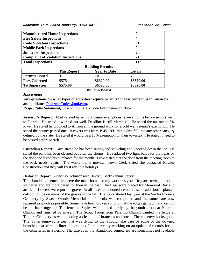| <b>Manufactured Home Inspections</b>      | U   |  |  |
|-------------------------------------------|-----|--|--|
| <b>Fire Safety Inspections</b>            |     |  |  |
| <b>Code Violation Inspections</b>         | 31  |  |  |
| <b>Mobile Park Inspections</b>            | O   |  |  |
| <b>Junkyard Inspections</b>               |     |  |  |
| <b>Complaint of Violation Inspections</b> | 21  |  |  |
| <b>Total Inspections</b>                  | 113 |  |  |
| <b>Ruilding Permits</b>                   |     |  |  |

| $\sim$ was water to the station |                    |                       |               |  |
|---------------------------------|--------------------|-----------------------|---------------|--|
|                                 | <b>This Report</b> | <b>Year to Date</b>   | <b>Totals</b> |  |
| <b>Permits Issued</b>           |                    | 70                    | 70            |  |
| <b>Fees Collected</b>           | \$575              | \$6320.00             | \$6320.00     |  |
| <b>To Supervisor</b>            | \$575.00           | \$6320.00             | \$6320.00     |  |
|                                 |                    | <b>Bulletin Board</b> |               |  |

#### *Just a note***:**

**Any questions on what types of activities require permits? Please contact us for answers and guidance [PalermoCodes@aol.com.](mailto:PalermoCodes@aol.com)** 

*Respectfully Submitted,* Joseph Fiumara - Code Enforcement Officer

**Assessor's Report**: Marty stated he sent out Senior exemptions renewal forms before seniors went to Florida. He stated it worked out well. Deadline is still March  $1<sup>st</sup>$ . He stated the tax rate is  $3%$ lower. He stated he provided to Allison all the ground work for a cold war veteran's exemption. He stated the county passed one. It covers vets from 1945-1991 that didn't fall into any other category defined by the state. He stated it would be a 10% exemption on their town tax. He stated it need to be passed before March 1<sup>st</sup>.

**Custodian Report**: Dave stated he has been salting and shoveling and knocked down the ice. He stated the park has been cleaned out after the storms. He replaced two light bulbs for the lights by the door and listed his purchases for the month. Dave stated that the door from the meeting room to the back needs repair. The whole frame moves. Town Clerk stated she contacted Rowlee Construction and they will fix it after the holidays.

# **Historian Report**: Supervisor Johnson read Beverly Beck's annual report:

The abandoned cemeteries were the main focus for my work this year. They are starting to look a lot better and are more cared for then in the past. The flags were placed for Memorial Day and artificial flowers were put on graves in all three abandoned cemeteries. In addition, I planted daffodil bulbs on many of the graves in the fall. The work started last year at the Sayles Corners Cemetery by Sweet Woods Memorials in Phoenix was completed and the stones are now repaired as much as possible. Some have been broken so long that the edges get worn and cannot be put back together. The fence at Sayles was painted partly by the youth group at Palermo Church and finished by myself. The Scout Troop from Palermo Church painted the fence at Tinkers Cemetery as well as doing a clean up of branches and brush. The cemetery looks good. The Town removed a tree that was dying so that should take care of some of the downed branches that seem to litter the grounds. I am currently working on an update of records for all the cemeteries in Palermo. The graves in the abandoned cemeteries are sometimes not readable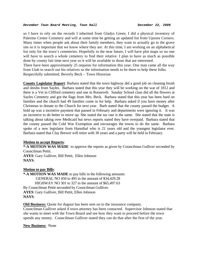so I have to rely on the records I inherited from Gladys Green. I did a physical inventory of Palermo Center Cemetery and will at some time be getting an updated list from Upsons Corners. Many times when people ask about their family members, they want to actually go to the grave site so it is important that we know where they are. At this time, I am working on an alphabetical list only for the town's cemeteries. Hopefully in the near future, I will have plot maps so no one will have to search a whole cemetery to find their relative. I plan to have as much as possible done by county fair time next year so it will be available to those that are interested. There have been approximately 25 requests for information this year. One man came all the way from Utah to search out his relatives so the information needs to be there to help these folks.

Respectfully submitted, Beverly Beck – Town Historian

**County Legislator Report**: Barbara stated that the town highway did a good job on cleaning brush and shrubs from Sayles. Barbara stated that this year they will be working on the war of 1812 and there is a Vet in Clifford cemetery and one in Roosevelt. Sunday School class did all the flowers at Sayles Cemetery and got the flags from Mrs. Beck. Barbara stated that this year has been hard on families and the church had 49 families come in for help. Barbara asked if you have money after Christmas to donate to the Church for next year. Barb stated that the county passed the budget. A hold up was a incentive payment that passed in February and departments were ignoring it. It was an incentive to do better to move up. She stated the tax rate is the same. She stated that the state is talking about taking over Medicaid but news reports stated they have overpaid. Barbara stated that the county passed the Cold War Exemption and encourages the towns to do the same. Barbara spoke of a new legislator from Hannibal who is 21 years old and the youngest legislator ever. Barbara stated that Clay Brewer will retire with 30 years and a party will be held in February.

## **Motion to accept Reports**:

**\*-A MOTION WAS MADE** to approve the reports as given by Councilman Gulliver seconded by Councilman Pettit.

**AYES**: Gary Gulliver, Bill Pettit, Ellen Johnson **NAYS**:

# **Motion to pay Bills**:

**\*-A MOTION WAS MADE** to pay bills in the following amounts: GENERAL NO 450 to 495 in the amount of \$34,429.28 HIGHWAY NO 301 to 327 in the amount of \$65,497.63 By Councilman Pettit seconded by Councilman Gulliver. **AYES**: Gary Gulliver, Bill Pettit, Ellen Johnson **NAYS**:

**Old Business:** Quote for dugout has been sent on to the insurance company.

Councilman Gulliver asked if town attorney has been contacted. Supervisor Johnson stated that she wants to meet with the Town Board and see how they want to proceed before the town spends any money. Councilman Gulliver stated they can do that after the first of the year.

**New Business:** None